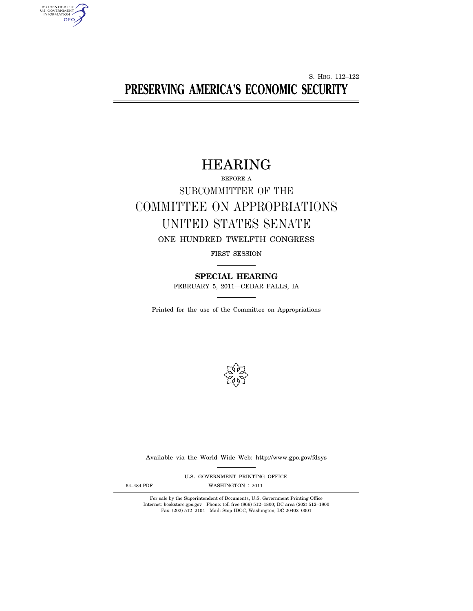S. HRG. 112–122 **PRESERVING AMERICA'S ECONOMIC SECURITY** 

# HEARING

# BEFORE A SUBCOMMITTEE OF THE COMMITTEE ON APPROPRIATIONS UNITED STATES SENATE ONE HUNDRED TWELFTH CONGRESS

FIRST SESSION

**SPECIAL HEARING**  FEBRUARY 5, 2011—CEDAR FALLS, IA

Printed for the use of the Committee on Appropriations



Available via the World Wide Web: http://www.gpo.gov/fdsys

U.S. GOVERNMENT PRINTING OFFICE

AUTHENTICATED<br>U.S. GOVERNMENT<br>INFORMATION

GPO

64-484 PDF WASHINGTON : 2011

For sale by the Superintendent of Documents, U.S. Government Printing Office Internet: bookstore.gpo.gov Phone: toll free (866) 512–1800; DC area (202) 512–1800 Fax: (202) 512–2104 Mail: Stop IDCC, Washington, DC 20402–0001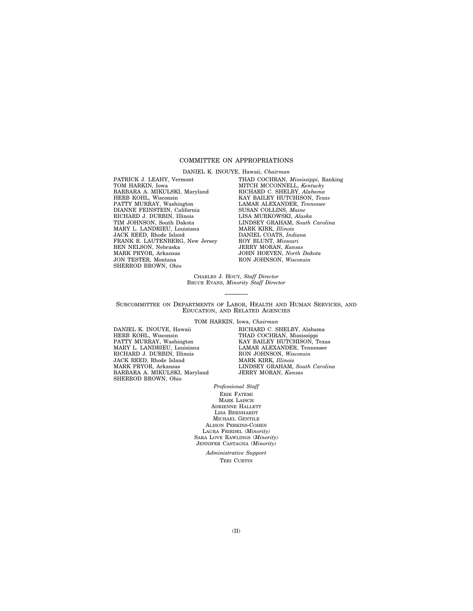# COMMITTEE ON APPROPRIATIONS

DANIEL K. INOUYE, Hawaii, *Chairman* 

PATRICK J. LEAHY, Vermont TOM HARKIN, Iowa BARBARA A. MIKULSKI, Maryland HERB KOHL, Wisconsin PATTY MURRAY, Washington DIANNE FEINSTEIN, California RICHARD J. DURBIN, Illinois TIM JOHNSON, South Dakota MARY L. LANDRIEU, Louisiana JACK REED, Rhode Island FRANK R. LAUTENBERG, New Jersey BEN NELSON, Nebraska MARK PRYOR, Arkansas JON TESTER, Montana SHERROD BROWN, Ohio

THAD COCHRAN, *Mississippi,* Ranking MITCH MCCONNELL, *Kentucky*  RICHARD C. SHELBY, *Alabama*  KAY BAILEY HUTCHISON, *Texas*  LAMAR ALEXANDER, *Tennessee*  SUSAN COLLINS, *Maine*  LISA MURKOWSKI, *Alaska*  LINDSEY GRAHAM, *South Carolina*  MARK KIRK, *Illinois*  DANIEL COATS, *Indiana*  ROY BLUNT, *Missouri*  JERRY MORAN, *Kansas*  JOHN HOEVEN, *North Dakota*  RON JOHNSON, *Wisconsin* 

CHARLES J. HOUY, *Staff Director*  BRUCE EVANS, *Minority Staff Director* 

SUBCOMMITTEE ON DEPARTMENTS OF LABOR, HEALTH AND HUMAN SERVICES, AND EDUCATION, AND RELATED AGENCIES

TOM HARKIN, Iowa, *Chairman* 

DANIEL K. INOUYE, Hawaii HERB KOHL, Wisconsin PATTY MURRAY, Washington MARY L. LANDRIEU, Louisiana RICHARD J. DURBIN, Illinois JACK REED, Rhode Island MARK PRYOR, Arkansas BARBARA A. MIKULSKI, Maryland SHERROD BROWN, Ohio

RICHARD C. SHELBY, Alabama THAD COCHRAN, Mississippi KAY BAILEY HUTCHISON, Texas LAMAR ALEXANDER, Tennessee RON JOHNSON, *Wisconsin*  MARK KIRK, *Illinois*  LINDSEY GRAHAM, *South Carolina*  JERRY MORAN, *Kansas* 

*Professional Staff* 

ERIK FATEMI MARK LAISCH ADRIENNE HALLETT LISA BERNHARDT MICHAEL GENTILE ALISON PERKINS-COHEN LAURA FRIEDEL *(Minority)*  SARA LOVE RAWLINGS *(Minority)*  JENNIFER CASTAGNA *(Minority)* 

> *Administrative Support*  TERI CURTIN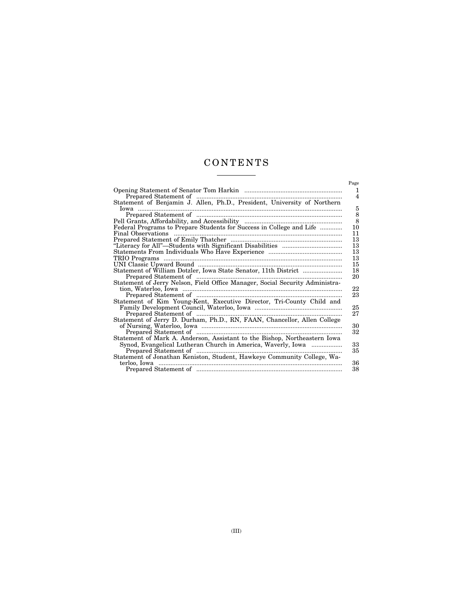# C O N T E N T S  $\begin{tabular}{l} \multicolumn{2}{c} {\textbf{1}}\\ \multicolumn{2}{c} {\textbf{2}}\\ \multicolumn{2}{c} {\textbf{3}}\\ \multicolumn{2}{c} {\textbf{4}}\\ \multicolumn{2}{c} {\textbf{5}}\\ \multicolumn{2}{c} {\textbf{6}}\\ \multicolumn{2}{c} {\textbf{6}}\\ \multicolumn{2}{c} {\textbf{7}}\\ \multicolumn{2}{c} {\textbf{8}}\\ \multicolumn{2}{c} {\textbf{9}}\\ \multicolumn{2}{c} {\textbf{1}}\\ \multicolumn{2}{c} {\textbf{1}}\\ \multicolumn{2}{c} {\textbf{1}}\\ \multicolumn$

|                                                                              | Page |
|------------------------------------------------------------------------------|------|
|                                                                              | 1    |
|                                                                              | 4    |
| Statement of Benjamin J. Allen, Ph.D., President, University of Northern     |      |
|                                                                              | 5    |
|                                                                              | 8    |
|                                                                              | 8    |
| Federal Programs to Prepare Students for Success in College and Life         | 10   |
|                                                                              | 11   |
|                                                                              | 13   |
|                                                                              | 13   |
|                                                                              | 13   |
|                                                                              | 13   |
|                                                                              | 15   |
| Statement of William Dotzler, Iowa State Senator, 11th District              | 18   |
|                                                                              | 20   |
| Statement of Jerry Nelson, Field Office Manager, Social Security Administra- | 22   |
|                                                                              | 23   |
| Statement of Kim Young-Kent, Executive Director, Tri-County Child and        |      |
|                                                                              | 25   |
|                                                                              | 27   |
|                                                                              |      |
|                                                                              | 30   |
|                                                                              | 32   |
| Statement of Mark A. Anderson, Assistant to the Bishop, Northeastern Iowa    |      |
| Synod, Evangelical Lutheran Church in America, Waverly, Iowa                 | 33   |
|                                                                              | 35   |
| Statement of Jonathan Keniston, Student, Hawkeye Community College, Wa-      |      |
|                                                                              | 36   |
|                                                                              | 38   |
|                                                                              |      |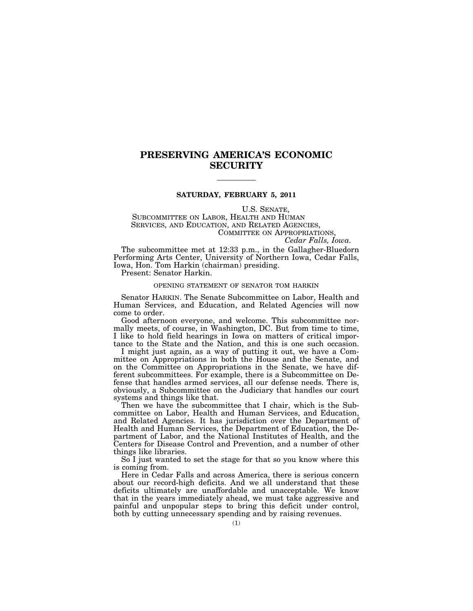# **PRESERVING AMERICA'S ECONOMIC SECURITY**

# **SATURDAY, FEBRUARY 5, 2011**

U.S. SENATE,

SUBCOMMITTEE ON LABOR, HEALTH AND HUMAN SERVICES, AND EDUCATION, AND RELATED AGENCIES, COMMITTEE ON APPROPRIATIONS,

*Cedar Falls, Iowa.* 

The subcommittee met at 12:33 p.m., in the Gallagher-Bluedorn Performing Arts Center, University of Northern Iowa, Cedar Falls, Iowa, Hon. Tom Harkin (chairman) presiding.

Present: Senator Harkin.

# OPENING STATEMENT OF SENATOR TOM HARKIN

Senator HARKIN. The Senate Subcommittee on Labor, Health and Human Services, and Education, and Related Agencies will now come to order.

Good afternoon everyone, and welcome. This subcommittee normally meets, of course, in Washington, DC. But from time to time, I like to hold field hearings in Iowa on matters of critical importance to the State and the Nation, and this is one such occasion.

I might just again, as a way of putting it out, we have a Committee on Appropriations in both the House and the Senate, and on the Committee on Appropriations in the Senate, we have different subcommittees. For example, there is a Subcommittee on Defense that handles armed services, all our defense needs. There is, obviously, a Subcommittee on the Judiciary that handles our court systems and things like that.

Then we have the subcommittee that I chair, which is the Subcommittee on Labor, Health and Human Services, and Education, and Related Agencies. It has jurisdiction over the Department of Health and Human Services, the Department of Education, the Department of Labor, and the National Institutes of Health, and the Centers for Disease Control and Prevention, and a number of other things like libraries.

So I just wanted to set the stage for that so you know where this is coming from.

Here in Cedar Falls and across America, there is serious concern about our record-high deficits. And we all understand that these deficits ultimately are unaffordable and unacceptable. We know that in the years immediately ahead, we must take aggressive and painful and unpopular steps to bring this deficit under control, both by cutting unnecessary spending and by raising revenues.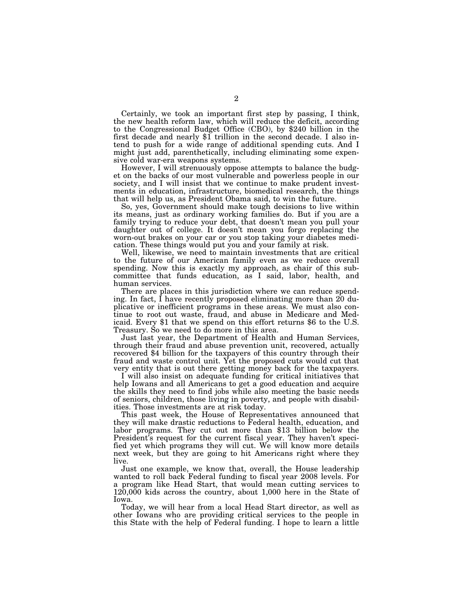Certainly, we took an important first step by passing, I think, the new health reform law, which will reduce the deficit, according to the Congressional Budget Office (CBO), by \$240 billion in the first decade and nearly \$1 trillion in the second decade. I also intend to push for a wide range of additional spending cuts. And I might just add, parenthetically, including eliminating some expensive cold war-era weapons systems.

However, I will strenuously oppose attempts to balance the budget on the backs of our most vulnerable and powerless people in our society, and I will insist that we continue to make prudent investments in education, infrastructure, biomedical research, the things that will help us, as President Obama said, to win the future.

So, yes, Government should make tough decisions to live within its means, just as ordinary working families do. But if you are a family trying to reduce your debt, that doesn't mean you pull your daughter out of college. It doesn't mean you forgo replacing the worn-out brakes on your car or you stop taking your diabetes medication. These things would put you and your family at risk.

Well, likewise, we need to maintain investments that are critical to the future of our American family even as we reduce overall spending. Now this is exactly my approach, as chair of this subcommittee that funds education, as I said, labor, health, and human services.

There are places in this jurisdiction where we can reduce spending. In fact, I have recently proposed eliminating more than 20 duplicative or inefficient programs in these areas. We must also continue to root out waste, fraud, and abuse in Medicare and Medicaid. Every \$1 that we spend on this effort returns \$6 to the U.S. Treasury. So we need to do more in this area.

Just last year, the Department of Health and Human Services, through their fraud and abuse prevention unit, recovered, actually recovered \$4 billion for the taxpayers of this country through their fraud and waste control unit. Yet the proposed cuts would cut that very entity that is out there getting money back for the taxpayers.

I will also insist on adequate funding for critical initiatives that help Iowans and all Americans to get a good education and acquire the skills they need to find jobs while also meeting the basic needs of seniors, children, those living in poverty, and people with disabilities. Those investments are at risk today.

This past week, the House of Representatives announced that they will make drastic reductions to Federal health, education, and labor programs. They cut out more than \$13 billion below the President's request for the current fiscal year. They haven't specified yet which programs they will cut. We will know more details next week, but they are going to hit Americans right where they live.

Just one example, we know that, overall, the House leadership wanted to roll back Federal funding to fiscal year 2008 levels. For a program like Head Start, that would mean cutting services to 120,000 kids across the country, about 1,000 here in the State of Iowa.

Today, we will hear from a local Head Start director, as well as other Iowans who are providing critical services to the people in this State with the help of Federal funding. I hope to learn a little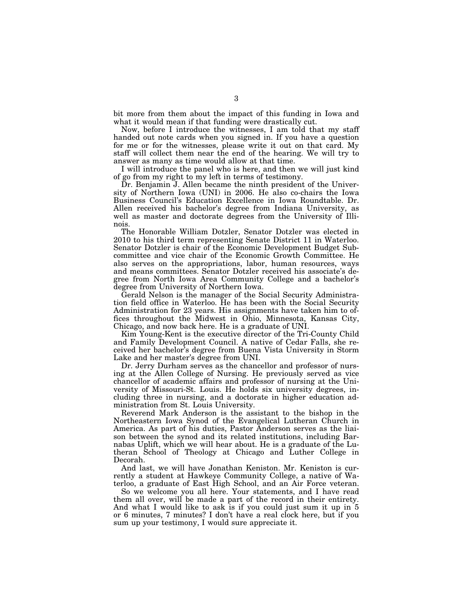bit more from them about the impact of this funding in Iowa and what it would mean if that funding were drastically cut.

Now, before I introduce the witnesses, I am told that my staff handed out note cards when you signed in. If you have a question for me or for the witnesses, please write it out on that card. My staff will collect them near the end of the hearing. We will try to answer as many as time would allow at that time.

I will introduce the panel who is here, and then we will just kind of go from my right to my left in terms of testimony.

Dr. Benjamin J. Allen became the ninth president of the University of Northern Iowa (UNI) in 2006. He also co-chairs the Iowa Business Council's Education Excellence in Iowa Roundtable. Dr. Allen received his bachelor's degree from Indiana University, as well as master and doctorate degrees from the University of Illinois.

The Honorable William Dotzler, Senator Dotzler was elected in 2010 to his third term representing Senate District 11 in Waterloo. Senator Dotzler is chair of the Economic Development Budget Subcommittee and vice chair of the Economic Growth Committee. He also serves on the appropriations, labor, human resources, ways and means committees. Senator Dotzler received his associate's degree from North Iowa Area Community College and a bachelor's degree from University of Northern Iowa.

Gerald Nelson is the manager of the Social Security Administration field office in Waterloo. He has been with the Social Security Administration for 23 years. His assignments have taken him to offices throughout the Midwest in Ohio, Minnesota, Kansas City, Chicago, and now back here. He is a graduate of UNI.

Kim Young-Kent is the executive director of the Tri-County Child and Family Development Council. A native of Cedar Falls, she received her bachelor's degree from Buena Vista University in Storm Lake and her master's degree from UNI.

Dr. Jerry Durham serves as the chancellor and professor of nursing at the Allen College of Nursing. He previously served as vice chancellor of academic affairs and professor of nursing at the University of Missouri-St. Louis. He holds six university degrees, including three in nursing, and a doctorate in higher education administration from St. Louis University.

Reverend Mark Anderson is the assistant to the bishop in the Northeastern Iowa Synod of the Evangelical Lutheran Church in America. As part of his duties, Pastor Anderson serves as the liaison between the synod and its related institutions, including Barnabas Uplift, which we will hear about. He is a graduate of the Lutheran School of Theology at Chicago and Luther College in Decorah.

And last, we will have Jonathan Keniston. Mr. Keniston is currently a student at Hawkeye Community College, a native of Waterloo, a graduate of East High School, and an Air Force veteran.

So we welcome you all here. Your statements, and I have read them all over, will be made a part of the record in their entirety. And what I would like to ask is if you could just sum it up in 5 or 6 minutes, 7 minutes? I don't have a real clock here, but if you sum up your testimony, I would sure appreciate it.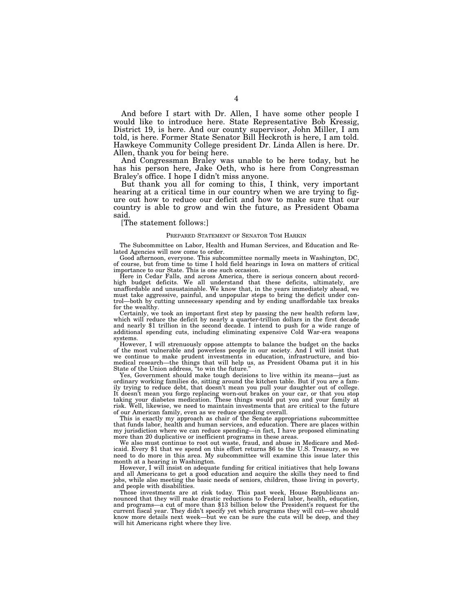And before I start with Dr. Allen, I have some other people I would like to introduce here. State Representative Bob Kressig, District 19, is here. And our county supervisor, John Miller, I am told, is here. Former State Senator Bill Heckroth is here, I am told. Hawkeye Community College president Dr. Linda Allen is here. Dr. Allen, thank you for being here.

And Congressman Braley was unable to be here today, but he has his person here, Jake Oeth, who is here from Congressman Braley's office. I hope I didn't miss anyone.

But thank you all for coming to this, I think, very important hearing at a critical time in our country when we are trying to figure out how to reduce our deficit and how to make sure that our country is able to grow and win the future, as President Obama said.

[The statement follows:]

#### PREPARED STATEMENT OF SENATOR TOM HARKIN

The Subcommittee on Labor, Health and Human Services, and Education and Related Agencies will now come to order.

Good afternoon, everyone. This subcommittee normally meets in Washington, DC, of course, but from time to time I hold field hearings in Iowa on matters of critical importance to our State. This is one such occasion.

Here in Cedar Falls, and across America, there is serious concern about recordhigh budget deficits. We all understand that these deficits, ultimately, are unaffordable and unsustainable. We know that, in the years immediately ahead, we must take aggressive, painful, and unpopular steps to bring the deficit under control—both by cutting unnecessary spending and by ending unaffordable tax breaks for the wealthy.

Certainly, we took an important first step by passing the new health reform law, which will reduce the deficit by nearly a quarter-trillion dollars in the first decade and nearly \$1 trillion in the second decade. I intend to push for a wide range of additional spending cuts, including eliminating expensive Cold War-era weapons systems.

However, I will strenuously oppose attempts to balance the budget on the backs of the most vulnerable and powerless people in our society. And  $\tilde{I}$  will insist that we continue to make prudent investments in education, infrastructure, and biomedical research—the things that will help us, as President Obama put it in his State of the Union address, ''to win the future.''

Yes, Government should make tough decisions to live within its means—just as ordinary working families do, sitting around the kitchen table. But if you are a family trying to reduce debt, that doesn't mean you pull your daughter out of college. It doesn't mean you forgo replacing worn-out brakes on your car, or that you stop taking your diabetes medication. These things would put you and your family at risk. Well, likewise, we need to maintain investments that are critical to the future of our American family, even as we reduce spending overall.

This is exactly my approach as chair of the Senate appropriations subcommittee that funds labor, health and human services, and education. There are places within my jurisdiction where we can reduce spending—in fact, I have proposed eliminating more than 20 duplicative or inefficient programs in these areas.

We also must continue to root out waste, fraud, and abuse in Medicare and Medicaid. Every \$1 that we spend on this effort returns \$6 to the U.S. Treasury, so we need to do more in this area. My subcommittee will examine this issue later this month at a hearing in Washington.

However, I will insist on adequate funding for critical initiatives that help Iowans and all Americans to get a good education and acquire the skills they need to find jobs, while also meeting the basic needs of seniors, children, those living in poverty, and people with disabilities.

Those investments are at risk today. This past week, House Republicans announced that they will make drastic reductions to Federal labor, health, education, and programs—a cut of more than \$13 billion below the President's request for the current fiscal year. They didn't specify yet which programs they will cut—we should know more details next week—but we can be sure the cuts will be deep, and they will hit Americans right where they live.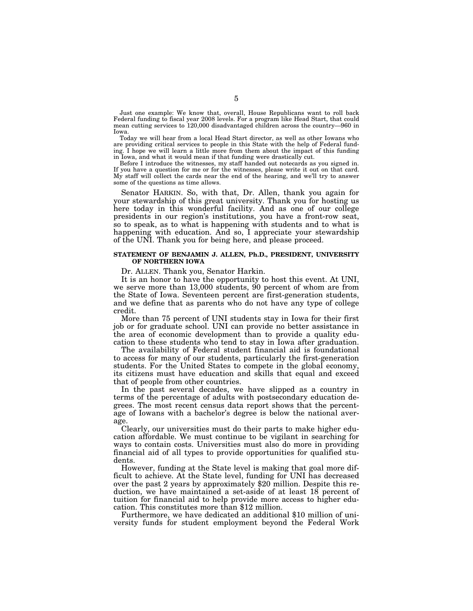Just one example: We know that, overall, House Republicans want to roll back Federal funding to fiscal year 2008 levels. For a program like Head Start, that could mean cutting services to 120,000 disadvantaged children across the country—960 in Iowa.

Today we will hear from a local Head Start director, as well as other Iowans who are providing critical services to people in this State with the help of Federal funding. I hope we will learn a little more from them about the impact of this funding in Iowa, and what it would mean if that funding were drastically cut.

Before I introduce the witnesses, my staff handed out notecards as you signed in. If you have a question for me or for the witnesses, please write it out on that card. My staff will collect the cards near the end of the hearing, and we'll try to answer some of the questions as time allows.

Senator HARKIN. So, with that, Dr. Allen, thank you again for your stewardship of this great university. Thank you for hosting us here today in this wonderful facility. And as one of our college presidents in our region's institutions, you have a front-row seat, so to speak, as to what is happening with students and to what is happening with education. And so, I appreciate your stewardship of the UNI. Thank you for being here, and please proceed.

# **STATEMENT OF BENJAMIN J. ALLEN, Ph.D., PRESIDENT, UNIVERSITY OF NORTHERN IOWA**

Dr. ALLEN. Thank you, Senator Harkin.

It is an honor to have the opportunity to host this event. At UNI, we serve more than 13,000 students, 90 percent of whom are from the State of Iowa. Seventeen percent are first-generation students, and we define that as parents who do not have any type of college credit.

More than 75 percent of UNI students stay in Iowa for their first job or for graduate school. UNI can provide no better assistance in the area of economic development than to provide a quality education to these students who tend to stay in Iowa after graduation.

The availability of Federal student financial aid is foundational to access for many of our students, particularly the first-generation students. For the United States to compete in the global economy, its citizens must have education and skills that equal and exceed that of people from other countries.

In the past several decades, we have slipped as a country in terms of the percentage of adults with postsecondary education degrees. The most recent census data report shows that the percentage of Iowans with a bachelor's degree is below the national average.

Clearly, our universities must do their parts to make higher education affordable. We must continue to be vigilant in searching for ways to contain costs. Universities must also do more in providing financial aid of all types to provide opportunities for qualified students.

However, funding at the State level is making that goal more difficult to achieve. At the State level, funding for UNI has decreased over the past 2 years by approximately \$20 million. Despite this reduction, we have maintained a set-aside of at least 18 percent of tuition for financial aid to help provide more access to higher education. This constitutes more than \$12 million.

Furthermore, we have dedicated an additional \$10 million of university funds for student employment beyond the Federal Work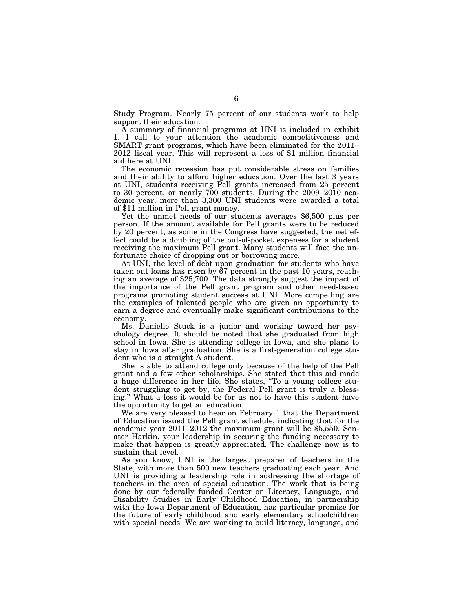Study Program. Nearly 75 percent of our students work to help support their education.

A summary of financial programs at UNI is included in exhibit 1. I call to your attention the academic competitiveness and SMART grant programs, which have been eliminated for the 2011– 2012 fiscal year. This will represent a loss of \$1 million financial aid here at UNI.

The economic recession has put considerable stress on families and their ability to afford higher education. Over the last 3 years at UNI, students receiving Pell grants increased from 25 percent to 30 percent, or nearly 700 students. During the 2009–2010 academic year, more than 3,300 UNI students were awarded a total of \$11 million in Pell grant money.

Yet the unmet needs of our students averages \$6,500 plus per person. If the amount available for Pell grants were to be reduced by 20 percent, as some in the Congress have suggested, the net effect could be a doubling of the out-of-pocket expenses for a student receiving the maximum Pell grant. Many students will face the unfortunate choice of dropping out or borrowing more.

At UNI, the level of debt upon graduation for students who have taken out loans has risen by 67 percent in the past 10 years, reaching an average of \$25,700. The data strongly suggest the impact of the importance of the Pell grant program and other need-based programs promoting student success at UNI. More compelling are the examples of talented people who are given an opportunity to earn a degree and eventually make significant contributions to the economy.

Ms. Danielle Stuck is a junior and working toward her psychology degree. It should be noted that she graduated from high school in Iowa. She is attending college in Iowa, and she plans to stay in Iowa after graduation. She is a first-generation college student who is a straight A student.

She is able to attend college only because of the help of the Pell grant and a few other scholarships. She stated that this aid made a huge difference in her life. She states, ''To a young college student struggling to get by, the Federal Pell grant is truly a blessing.'' What a loss it would be for us not to have this student have the opportunity to get an education.

We are very pleased to hear on February 1 that the Department of Education issued the Pell grant schedule, indicating that for the academic year 2011–2012 the maximum grant will be \$5,550. Senator Harkin, your leadership in securing the funding necessary to make that happen is greatly appreciated. The challenge now is to sustain that level.

As you know, UNI is the largest preparer of teachers in the State, with more than 500 new teachers graduating each year. And UNI is providing a leadership role in addressing the shortage of teachers in the area of special education. The work that is being done by our federally funded Center on Literacy, Language, and Disability Studies in Early Childhood Education, in partnership with the Iowa Department of Education, has particular promise for the future of early childhood and early elementary schoolchildren with special needs. We are working to build literacy, language, and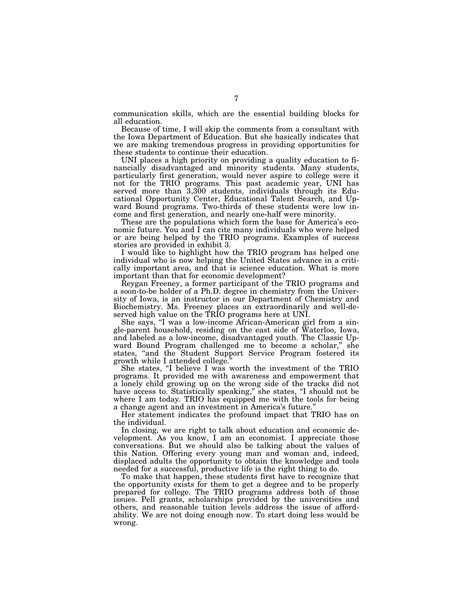communication skills, which are the essential building blocks for all education.

Because of time, I will skip the comments from a consultant with the Iowa Department of Education. But she basically indicates that we are making tremendous progress in providing opportunities for these students to continue their education.

UNI places a high priority on providing a quality education to financially disadvantaged and minority students. Many students, particularly first generation, would never aspire to college were it not for the TRIO programs. This past academic year, UNI has served more than 3,300 students, individuals through its Educational Opportunity Center, Educational Talent Search, and Upward Bound programs. Two-thirds of these students were low income and first generation, and nearly one-half were minority.

These are the populations which form the base for America's economic future. You and I can cite many individuals who were helped or are being helped by the TRIO programs. Examples of success stories are provided in exhibit 3.

I would like to highlight how the TRIO program has helped one individual who is now helping the United States advance in a critically important area, and that is science education. What is more important than that for economic development?

Reygan Freeney, a former participant of the TRIO programs and a soon-to-be holder of a Ph.D. degree in chemistry from the University of Iowa, is an instructor in our Department of Chemistry and Biochemistry. Ms. Freeney places an extraordinarily and well-deserved high value on the TRIO programs here at UNI.

She says, "I was a low-income African-American girl from a single-parent household, residing on the east side of Waterloo, Iowa, and labeled as a low-income, disadvantaged youth. The Classic Upward Bound Program challenged me to become a scholar," she states, "and the Student Support Service Program fostered its growth while I attended college.''

She states, "I believe I was worth the investment of the TRIO programs. It provided me with awareness and empowerment that a lonely child growing up on the wrong side of the tracks did not have access to. Statistically speaking," she states, "I should not be where I am today. TRIO has equipped me with the tools for being a change agent and an investment in America's future.

Her statement indicates the profound impact that TRIO has on the individual.

In closing, we are right to talk about education and economic development. As you know, I am an economist. I appreciate those conversations. But we should also be talking about the values of this Nation. Offering every young man and woman and, indeed, displaced adults the opportunity to obtain the knowledge and tools needed for a successful, productive life is the right thing to do.

To make that happen, these students first have to recognize that the opportunity exists for them to get a degree and to be properly prepared for college. The TRIO programs address both of those issues. Pell grants, scholarships provided by the universities and others, and reasonable tuition levels address the issue of affordability. We are not doing enough now. To start doing less would be wrong.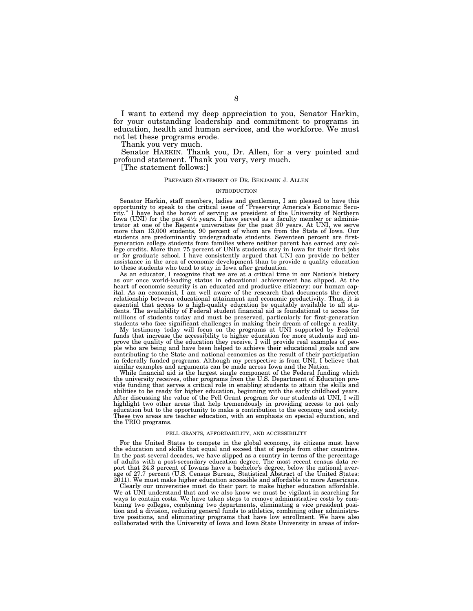I want to extend my deep appreciation to you, Senator Harkin, for your outstanding leadership and commitment to programs in education, health and human services, and the workforce. We must not let these programs erode.

Thank you very much.

Senator HARKIN. Thank you, Dr. Allen, for a very pointed and profound statement. Thank you very, very much.

[The statement follows:]

#### PREPARED STATEMENT OF DR. BENJAMIN J. ALLEN

#### INTRODUCTION

Senator Harkin, staff members, ladies and gentlemen, I am pleased to have this opportunity to speak to the critical issue of "Preserving America's Economic Security.'' I have had the honor of serving as president of the University of Northern Iowa (UNI) for the past  $4\frac{1}{2}$  years. I have served as a faculty member or administrator at one of the Regents universities for the past 30 years. At UNI, we serve more than 13,000 students, 90 percent of whom are from the State of Iowa. Our students are predominantly undergraduate students. Seventeen percent are firstgeneration college students from families where neither parent has earned any college credits. More than 75 percent of UNI's students stay in Iowa for their first jobs or for graduate school. I have consistently argued that UNI can provide no better assistance in the area of economic development than to provide a quality education to these students who tend to stay in Iowa after graduation.

As an educator, I recognize that we are at a critical time in our Nation's history as our once world-leading status in educational achievement has slipped. At the heart of economic security is an educated and productive citizenry: our human capital. As an economist, I am well aware of the research that documents the direct relationship between educational attainment and economic productivity. Thus, it is essential that access to a high-quality education be equitably available to all students. The availability of Federal student financial aid is foundational to access for millions of students today and must be preserved, particularly for first-generation students who face significant challenges in making their dream of college a reality.

My testimony today will focus on the programs at UNI supported by Federal funds that increase the accessibility to higher education for more students and improve the quality of the education they receive. I will provide real examples of people who are being and have been helped to achieve their educational goals and are contributing to the State and national economies as the result of their participation in federally funded programs. Although my perspective is from UNI, I believe that similar examples and arguments can be made across Iowa and the Nation.

While financial aid is the largest single component of the Federal funding which the university receives, other programs from the U.S. Department of Education provide funding that serves a critical role in enabling students to attain the skills and abilities to be ready for higher education, beginning with the early childhood years. After discussing the value of the Pell Grant program for our students at UNI, I will highlight two other areas that help tremendously in providing access to not only education but to the opportunity to make a contribution to the economy and society. These two areas are teacher education, with an emphasis on special education, and the TRIO programs.

#### PELL GRANTS, AFFORDABILITY, AND ACCESSIBILITY

For the United States to compete in the global economy, its citizens must have the education and skills that equal and exceed that of people from other countries. In the past several decades, we have slipped as a country in terms of the percentage of adults with a post-secondary education degree. The most recent census data report that 24.3 percent of Iowans have a bachelor's degree, below the national average of 27.7 percent (U.S. Census Bureau, Statistical Abstract of the United States: 2011). We must make higher education accessible and affordable to more Americans.

Clearly our universities must do their part to make higher education affordable. We at UNI understand that and we also know we must be vigilant in searching for ways to contain costs. We have taken steps to remove administrative costs by combining two colleges, combining two departments, eliminating a vice president position and a division, reducing general funds to athletics, combining other administrative positions, and eliminating programs that have low enrollment. We have also collaborated with the University of Iowa and Iowa State University in areas of infor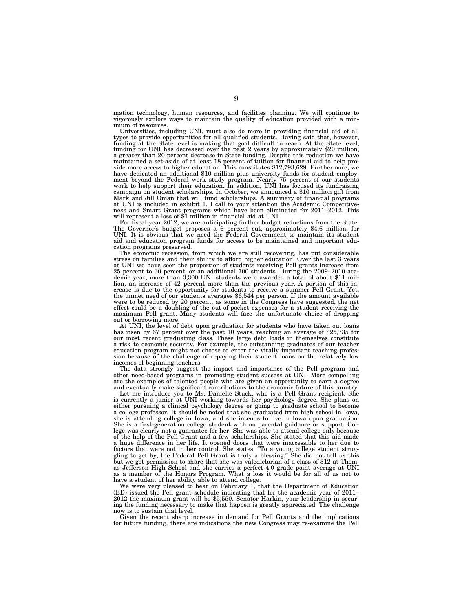mation technology, human resources, and facilities planning. We will continue to vigorously explore ways to maintain the quality of education provided with a minimum of resources.

Universities, including UNI, must also do more in providing financial aid of all types to provide opportunities for all qualified students. Having said that, however, funding at the State level is making that goal difficult to reach. At the State level, funding for UNI has decreased over the past 2 years by approximately \$20 million, a greater than 20 percent decrease in State funding. Despite this reduction we have maintained a set-aside of at least 18 percent of tuition for financial aid to help pro-vide more access to higher education. This constitutes \$12,793,629. Furthermore, we have dedicated an additional \$10 million plus university funds for student employment beyond the Federal work study program. Nearly 75 percent of our students work to help support their education. In addition, UNI has focused its fundraising campaign on student scholarships. In October, we announced a \$10 million gift from Mark and Jill Oman that will fund scholarships. A summary of financial programs at UNI is included in exhibit 1. I call to your attention the Academic Competitive-ness and Smart Grant programs which have been eliminated for 2011–2012. This

will represent a loss of \$1 million in financial aid at UNI.<br>For fiscal vear 2012, we are anticipating further budget reductions from the State. For fiscal year 2012, we are anticipating further budget reductions from the State.<br>The Governor's budget proposes a 6 percent cut, approximately \$4.6 million, for<br>UNI. It is obvious that we need the Federal Government to aid and education program funds for access to be maintained and important education programs preserved.

The economic recession, from which we are still recovering, has put considerable stress on families and their ability to afford higher education. Over the last 3 years at UNI we have seen the proportion of students receiving Pell grants increase from<br>25 percent to 30 percent, or an additional 700 students. During the 2009–2010 aca-<br>demic year, more than 3,300 UNI students were awarded a lion, an increase of 42 percent more than the previous year. A portion of this increase is due to the opportunity for students to receive a summer Pell Grant. Yet, the unmet need of our students averages \$6,544 per person. If the amount available were to be reduced by 20 percent, as some in the Congress have suggested, the net effect could be a doubling of the out-of-pocket expenses for a student receiving the maximum Pell grant. Many students will face the unfortunate choice of dropping

out or borrowing more.<br>At UNI, the level of debt upon graduation for students who have taken out loans At UNI, the level of debt upon graduation for students who have taken out loans<br>has risen by 67 percent over the past 10 years, reaching an average of \$25,735 for<br>our most recent graduating class. These large debt loads in education program might not choose to enter the vitally important teaching profession because of the challenge of repaying their student loans on the relatively low incomes of beginning teachers

The data strongly suggest the impact and importance of the Pell program and other need-based programs in promoting student success at UNI. More compelling are the examples of talented people who are given an opportunity to earn a degree and eventually make significant contributions to the economic future of this country.

Let me introduce you to Ms. Danielle Stuck, who is a Pell Grant recipient. She is currently a junior at UNI working towards her psychology degree. She plans on either pursuing a clinical psychology degree or going to graduate school to become a college professor. It should be noted that she graduated from high school in Iowa, she is attending college in Iowa, and she intends to live in Iowa upon graduation. She is a first-generation college student with no parental guidance or support. College was clearly not a guarantee for her. She was able to attend college only because of the help of the Pell Grant and a few scholarships. She stated that this aid made a huge difference in her life. It opened doors that were inaccessible to her due to factors that were not in her control. She states, ''To a young college student struggling to get by, the Federal Pell Grant is truly a blessing.'' She did not tell us this but we got permission to share that she was valedictorian of a class of 312 at Thomas Jefferson High School and she carries a perfect 4.0 grade point average at UNI as a member of the Honors Program. What a loss it would be for all of us not to have a student of her ability able to attend college.

We were very pleased to hear on February 1, that the Department of Education (ED) issued the Pell grant schedule indicating that for the academic year of 2011– 2012 the maximum grant will be \$5,550. Senator Harkin, your leadership in securing the funding necessary to make that happen is greatly appreciated. The challenge now is to sustain that level.

Given the recent sharp increase in demand for Pell Grants and the implications for future funding, there are indications the new Congress may re-examine the Pell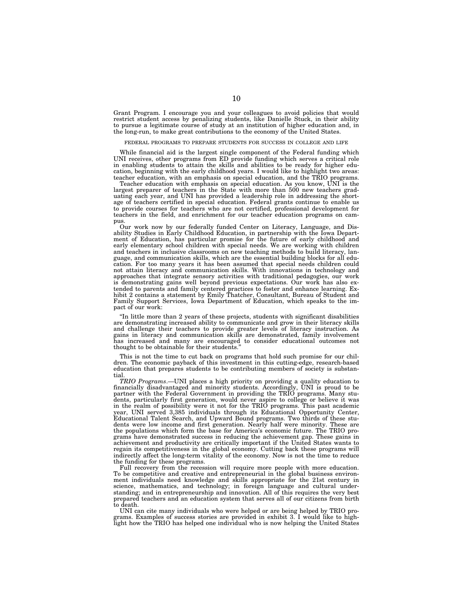Grant Program. I encourage you and your colleagues to avoid policies that would restrict student access by penalizing students, like Danielle Stuck, in their ability to pursue a legitimate course of study at an institution of higher education and, in the long-run, to make great contributions to the economy of the United States.

#### FEDERAL PROGRAMS TO PREPARE STUDENTS FOR SUCCESS IN COLLEGE AND LIFE

While financial aid is the largest single component of the Federal funding which UNI receives, other programs from ED provide funding which serves a critical role in enabling students to attain the skills and abilities to be ready for higher education, beginning with the early childhood years. I would like to highlight two areas: teacher education, with an emphasis on special education, and the TRIO programs.

Teacher education with emphasis on special education. As you know, UNI is the largest preparer of teachers in the State with more than 500 new teachers graduating each year, and UNI has provided a leadership role in addressing the shortage of teachers certified in special education. Federal grants continue to enable us to provide courses for teachers who are not certified, professional development for teachers in the field, and enrichment for our teacher education programs on campus.

Our work now by our federally funded Center on Literacy, Language, and Disability Studies in Early Childhood Education, in partnership with the Iowa Department of Education, has particular promise for the future of early childhood and early elementary school children with special needs. We are working with children and teachers in inclusive classrooms on new teaching methods to build literacy, language, and communication skills, which are the essential building blocks for all education. For too many years it has been assumed that special needs children could not attain literacy and communication skills. With innovations in technology and approaches that integrate sensory activities with traditional pedagogies, our work is demonstrating gains well beyond previous expectations. Our work has also extended to parents and family centered practices to foster and enhance learning. Exhibit 2 contains a statement by Emily Thatcher, Consultant, Bureau of Student and Family Support Services, Iowa Department of Education, which speaks to the impact of our work:

''In little more than 2 years of these projects, students with significant disabilities are demonstrating increased ability to communicate and grow in their literacy skills and challenge their teachers to provide greater levels of literacy instruction. As gains in literacy and communication skills are demonstrated, family involvement has increased and many are encouraged to consider educational outcomes not thought to be obtainable for their students.''

This is not the time to cut back on programs that hold such promise for our children. The economic payback of this investment in this cutting-edge, research-based education that prepares students to be contributing members of society is substantial.

*TRIO Programs*.—UNI places a high priority on providing a quality education to financially disadvantaged and minority students. Accordingly, UNI is proud to be partner with the Federal Government in providing the TRIO programs. Many students, particularly first generation, would never aspire to college or believe it was in the realm of possibility were it not for the TRIO programs. This past academic year, UNI served 3,385 individuals through its Educational Opportunity Center, Educational Talent Search, and Upward Bound programs. Two thirds of these students were low income and first generation. Nearly half were minority. These are the populations which form the base for America's economic future. The TRIO programs have demonstrated success in reducing the achievement gap. These gains in achievement and productivity are critically important if the United States wants to regain its competitiveness in the global economy. Cutting back these programs will indirectly affect the long-term vitality of the economy. Now is not the time to reduce the funding for these programs.

Full recovery from the recession will require more people with more education. To be competitive and creative and entrepreneurial in the global business environment individuals need knowledge and skills appropriate for the 21st century in science, mathematics, and technology; in foreign language and cultural understanding; and in entrepreneurship and innovation. All of this requires the very best prepared teachers and an education system that serves all of our citizens from birth to death.

UNI can cite many individuals who were helped or are being helped by TRIO pro-grams. Examples of success stories are provided in exhibit 3. I would like to highlight how the TRIO has helped one individual who is now helping the United States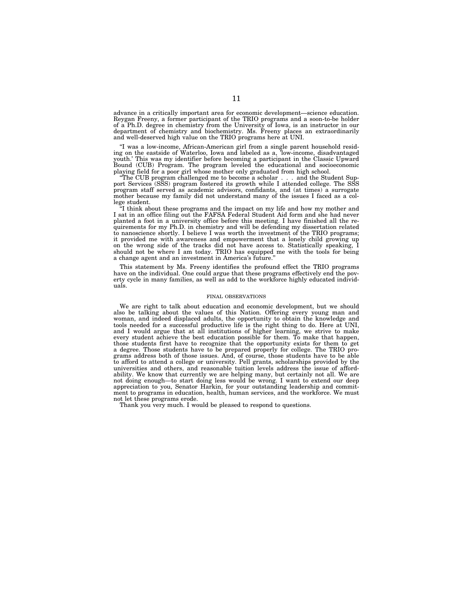advance in a critically important area for economic development—science education. Reygan Freeny, a former participant of the TRIO programs and a soon-to-be holder of a Ph.D. degree in chemistry from the University of Iowa, is an instructor in our department of chemistry and biochemistry. Ms. Freeny places an extraordinarily and well-deserved high value on the TRIO programs here at UNI.

''I was a low-income, African-American girl from a single parent household residing on the eastside of Waterloo, Iowa and labeled as a, 'low-income, disadvantaged youth.' This was my identifier before becoming a participant in the Classic Upward Bound (CUB) Program. The program leveled the educational and socioeconomic playing field for a poor girl whose mother only graduated from high school.

''The CUB program challenged me to become a scholar... and the Student Support Services (SSS) program fostered its growth while I attended college. The SSS program staff served as academic advisors, confidants, and (at times) a surrogate mother because my family did not understand many of the issues I faced as a college student.

'I think about these programs and the impact on my life and how my mother and I sat in an office filing out the FAFSA Federal Student Aid form and she had never planted a foot in a university office before this meeting. I have finished all the requirements for my Ph.D. in chemistry and will be defending my dissertation related to nanoscience shortly. I believe I was worth the investment of the TRIO programs; it provided me with awareness and empowerment that a lonely child growing up on the wrong side of the tracks did not have access to. Statistically speaking, I should not be where I am today. TRIO has equipped me with the tools for being a change agent and an investment in America's future.''

This statement by Ms. Freeny identifies the profound effect the TRIO programs have on the individual. One could argue that these programs effectively end the poverty cycle in many families, as well as add to the workforce highly educated individuals.

#### FINAL OBSERVATIONS

We are right to talk about education and economic development, but we should also be talking about the values of this Nation. Offering every young man and woman, and indeed displaced adults, the opportunity to obtain the knowledge and tools needed for a successful productive life is the right thing to do. Here at UNI, and I would argue that at all institutions of higher learning, we strive to make every student achieve the best education possible for them. To make that happen, those students first have to recognize that the opportunity exists for them to get a degree. Those students have to be prepared properly for college. The TRIO programs address both of those issues. And, of course, those students have to be able to afford to attend a college or university. Pell grants, scholarships provided by the universities and others, and reasonable tuition levels address the issue of affordability. We know that currently we are helping many, but certainly not all. We are not doing enough—to start doing less would be wrong. I want to extend our deep appreciation to you, Senator Harkin, for your outstanding leadership and commitment to programs in education, health, human services, and the workforce. We must not let these programs erode.

Thank you very much. I would be pleased to respond to questions.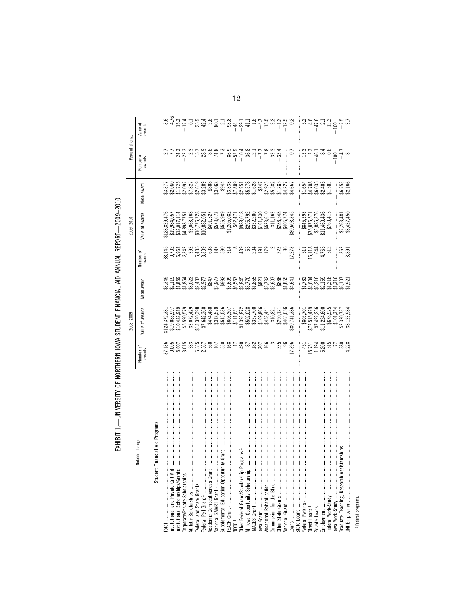| $\begin{array}{r} 1.333 \\ -4.433 \\ -4.533 \\ -1.333 \\ -1.333 \\ -1.333 \\ -1.333 \\ -1.333 \\ -1.333 \\ -1.333 \\ -1.333 \\ -1.333 \\ -1.333 \\ -1.333 \\ -1.333 \\ -1.333 \\ -1.333 \\ -1.333 \\ -1.333 \\ -1.333 \\ -1.333 \\ -1.333 \\ -1.333 \\ -1.333 \\ -1.333 \\ -1.333 \\ -1.333 \\ -1.333 \\ -1.333 \\ -1.333 \\ -1.$<br>$\begin{array}{c c} \hline 0.71 & 0.71 & 0.71 & 0.71 & 0.71 & 0.71 & 0.71 & 0.71 & 0.71 & 0.71 & 0.71 & 0.71 & 0.71 & 0.71 & 0.71 & 0.71 & 0.71 & 0.71 & 0.71 & 0.71 & 0.71 & 0.71 & 0.71 & 0.71 & 0.71 & 0.71 & 0.71 & 0.71 & 0.71 & 0.71 & 0.71 & 0.71 & 0.71 & 0.71 & 0.7$<br>Number of<br>awards<br>::::54<br>\$1,708<br>\$4,708<br>\$2,405<br>\$1,503<br>\$6,253<br>\$2,166<br>Vlean award<br>Value of awards<br>\$3,068,168<br>\$16,776,728<br>\$10,882,051<br>$\begin{array}{r} $3845,398 \\ $75,876,571 \\ $3,886,376 \\ $11,460,436 \\ $11,460,436 \end{array}$<br>$$2,263,481$<br>$$8,427,450$<br>\$491,527<br>$$128,829,476$<br>$$19,984,057$<br>$$12,017,114$<br>$$12,017,114$<br>$$4,898,7751$<br>362<br>3,891<br>$\begin{array}{c}\n 11 \\  11 \\  6 \\  4\n \end{array}$<br>Number of<br>awards<br>នេះ ដែលមាន ដែលមាន ដែលមាន ដែលមាន ដែលមាន ដែលមាន ដែលមាន ដែលមាន ដែលមាន ដែលមាន ដែលមាន ដែលមាន ដែលមាន ដែលមាន ដែលមាន ដ<br>ការដែលមាន ដែលមាន ដែលមាន ដែលមាន ដែលមាន ដែលមាន ដែលមាន ដែលមាន ដែលមាន ដែលមាន ដែលមាន ដែលមាន ដែលមាន ដែលមាន ដែលមាន ដែ<br>: : : : 82<br>84,604<br>84,215,316<br>86,215,316<br>85,321<br>85,921<br>award<br><b>Mean</b><br>$\begin{array}{r} \text{\$803,701} \\ \text{\$72,515,429} \\ \text{\$7,422,256} \\ \text{\$11,224,600} \\ \text{\$11,224,600} \\ \text{\$67,8925} \\ \text{\$101,354} \\ \text{\$101,354} \\ \text{\$210,354} \end{array}$<br>$\begin{array}{l} \textbf{55.590.572}\\ \textbf{53.072.429}\\ \textbf{53.072.4398}\\ \textbf{54.072.4539}\\ \textbf{55.0730.398}\\ \textbf{56.071}\\ \textbf{57.641.536}\\ \textbf{58.085}\\ \textbf{59.0865.07}\\ \textbf{50.01}\\ \textbf{511.163.77}\\ \textbf{512.185.78}\\ \textbf{513.07}\\ \textbf{511.0822.07}\\ \textbf{512.185.78}\\ \$<br>Value of awards<br>\$8,123,584<br>\$124,372,381<br>\$19,085,997<br>\$10,422,989<br>$\begin{array}{l} 17.9602 \\ 17.9602 \\ 18.9603 \\ 19.9603 \\ 15.9603 \\ 15.9603 \\ 15.9603 \\ 15.9603 \\ 15.9603 \\ 15.9603 \\ 15.9603 \\ 15.9603 \\ 15.9603 \\ 15.9603 \\ 15.9603 \\ 15.9603 \\ 15.9603 \\ 15.9603 \\ 15.9603 \\ 15.9603 \\ 15.9603 \\ 15.9603 \\ 15.9603 \\ 15.96$<br>$\begin{matrix} 451 \\ -5,751 \\ -5,200 \\ -5,194 \\ -5,200 \\ -5,750 \\ -5,750 \\ -5,750 \\ -4,228 \\ -4,228 \\ -4,228 \\ -4,228 \\ -4,228 \\ -4,228 \\ -4,228 \\ -4,228 \\ -4,228 \\ -4,228 \\ -4,228 \\ -4,228 \\ -4,228 \\ -4,228 \\ -4,228 \\ -4,228 \\ -4,228 \\ -4,228 \\ -4,228 \\ -4,228 \\ -4,228 \\ -4,228 \\ -4,228 \\$<br>Number of<br>awards<br>ancial Aid Programs<br>Total<br>Institutional and Private Gift Aid<br>Institutional Scholarships/Girants<br>CorporatePrivate Scholarships<br>Federal and State Girant June 1<br>Federal and State Girant June 2020<br>Academic Competitiveness Girant June 2020<br><br>table change<br>Graduate Teaching, Research Assistantships<br>Student Fir<br>Loans<br>State Loans<br>Federal Perkins <sup>1</sup><br>Direct Loans <sup>1</sup><br>Direct Loans <sup>1</sup><br>Employment s<br>Employment State June Hotel Rederal Work-Study<br>Dova Work-Study |  | 2008-2009 |  | 2009-2010 | Percent change |                    |
|---------------------------------------------------------------------------------------------------------------------------------------------------------------------------------------------------------------------------------------------------------------------------------------------------------------------------------------------------------------------------------------------------------------------------------------------------------------------------------------------------------------------------------------------------------------------------------------------------------------------------------------------------------------------------------------------------------------------------------------------------------------------------------------------------------------------------------------------------------------------------------------------------------------------------------------------------------------------------------------------------------------------------------------------------------------------------------------------------------------------------------------------------------------------------------------------------------------------------------------------------------------------------------------------------------------------------------------------------------------------------------------------------------------------------------------------------------------------------------------------------------------------------------------------------------------------------------------------------------------------------------------------------------------------------------------------------------------------------------------------------------------------------------------------------------------------------------------------------------------------------------------------------------------------------------------------------------------------------------------------------------------------------------------------------------------------------------------------------------------------------------------------------------------------------------------------------------------------------------------------------------------------------------------------------------------------------------------------------------------------------------------------------------------------------------------------------------------------------------------------------------------------------------------------------------------------------------------------------------------------------------------------------------------------------------------------------------------------------------------------------------------------------------------------------------------------------------------------------------------------------------------------------------------------------------------------------------------------------------------------------------------------------------------------------------------------------------------------------------------------------------------------------------------------------------------------------------------------------------------------------------------------------------------------------------------------------------------------------------------------------------|--|-----------|--|-----------|----------------|--------------------|
|                                                                                                                                                                                                                                                                                                                                                                                                                                                                                                                                                                                                                                                                                                                                                                                                                                                                                                                                                                                                                                                                                                                                                                                                                                                                                                                                                                                                                                                                                                                                                                                                                                                                                                                                                                                                                                                                                                                                                                                                                                                                                                                                                                                                                                                                                                                                                                                                                                                                                                                                                                                                                                                                                                                                                                                                                                                                                                                                                                                                                                                                                                                                                                                                                                                                                                                                                                                 |  |           |  |           |                | Value of<br>awards |
|                                                                                                                                                                                                                                                                                                                                                                                                                                                                                                                                                                                                                                                                                                                                                                                                                                                                                                                                                                                                                                                                                                                                                                                                                                                                                                                                                                                                                                                                                                                                                                                                                                                                                                                                                                                                                                                                                                                                                                                                                                                                                                                                                                                                                                                                                                                                                                                                                                                                                                                                                                                                                                                                                                                                                                                                                                                                                                                                                                                                                                                                                                                                                                                                                                                                                                                                                                                 |  |           |  |           |                |                    |
|                                                                                                                                                                                                                                                                                                                                                                                                                                                                                                                                                                                                                                                                                                                                                                                                                                                                                                                                                                                                                                                                                                                                                                                                                                                                                                                                                                                                                                                                                                                                                                                                                                                                                                                                                                                                                                                                                                                                                                                                                                                                                                                                                                                                                                                                                                                                                                                                                                                                                                                                                                                                                                                                                                                                                                                                                                                                                                                                                                                                                                                                                                                                                                                                                                                                                                                                                                                 |  |           |  |           |                |                    |
|                                                                                                                                                                                                                                                                                                                                                                                                                                                                                                                                                                                                                                                                                                                                                                                                                                                                                                                                                                                                                                                                                                                                                                                                                                                                                                                                                                                                                                                                                                                                                                                                                                                                                                                                                                                                                                                                                                                                                                                                                                                                                                                                                                                                                                                                                                                                                                                                                                                                                                                                                                                                                                                                                                                                                                                                                                                                                                                                                                                                                                                                                                                                                                                                                                                                                                                                                                                 |  |           |  |           |                |                    |
|                                                                                                                                                                                                                                                                                                                                                                                                                                                                                                                                                                                                                                                                                                                                                                                                                                                                                                                                                                                                                                                                                                                                                                                                                                                                                                                                                                                                                                                                                                                                                                                                                                                                                                                                                                                                                                                                                                                                                                                                                                                                                                                                                                                                                                                                                                                                                                                                                                                                                                                                                                                                                                                                                                                                                                                                                                                                                                                                                                                                                                                                                                                                                                                                                                                                                                                                                                                 |  |           |  |           |                |                    |
|                                                                                                                                                                                                                                                                                                                                                                                                                                                                                                                                                                                                                                                                                                                                                                                                                                                                                                                                                                                                                                                                                                                                                                                                                                                                                                                                                                                                                                                                                                                                                                                                                                                                                                                                                                                                                                                                                                                                                                                                                                                                                                                                                                                                                                                                                                                                                                                                                                                                                                                                                                                                                                                                                                                                                                                                                                                                                                                                                                                                                                                                                                                                                                                                                                                                                                                                                                                 |  |           |  |           |                |                    |
|                                                                                                                                                                                                                                                                                                                                                                                                                                                                                                                                                                                                                                                                                                                                                                                                                                                                                                                                                                                                                                                                                                                                                                                                                                                                                                                                                                                                                                                                                                                                                                                                                                                                                                                                                                                                                                                                                                                                                                                                                                                                                                                                                                                                                                                                                                                                                                                                                                                                                                                                                                                                                                                                                                                                                                                                                                                                                                                                                                                                                                                                                                                                                                                                                                                                                                                                                                                 |  |           |  |           |                |                    |
|                                                                                                                                                                                                                                                                                                                                                                                                                                                                                                                                                                                                                                                                                                                                                                                                                                                                                                                                                                                                                                                                                                                                                                                                                                                                                                                                                                                                                                                                                                                                                                                                                                                                                                                                                                                                                                                                                                                                                                                                                                                                                                                                                                                                                                                                                                                                                                                                                                                                                                                                                                                                                                                                                                                                                                                                                                                                                                                                                                                                                                                                                                                                                                                                                                                                                                                                                                                 |  |           |  |           |                |                    |
|                                                                                                                                                                                                                                                                                                                                                                                                                                                                                                                                                                                                                                                                                                                                                                                                                                                                                                                                                                                                                                                                                                                                                                                                                                                                                                                                                                                                                                                                                                                                                                                                                                                                                                                                                                                                                                                                                                                                                                                                                                                                                                                                                                                                                                                                                                                                                                                                                                                                                                                                                                                                                                                                                                                                                                                                                                                                                                                                                                                                                                                                                                                                                                                                                                                                                                                                                                                 |  |           |  |           |                |                    |
|                                                                                                                                                                                                                                                                                                                                                                                                                                                                                                                                                                                                                                                                                                                                                                                                                                                                                                                                                                                                                                                                                                                                                                                                                                                                                                                                                                                                                                                                                                                                                                                                                                                                                                                                                                                                                                                                                                                                                                                                                                                                                                                                                                                                                                                                                                                                                                                                                                                                                                                                                                                                                                                                                                                                                                                                                                                                                                                                                                                                                                                                                                                                                                                                                                                                                                                                                                                 |  |           |  |           |                |                    |
|                                                                                                                                                                                                                                                                                                                                                                                                                                                                                                                                                                                                                                                                                                                                                                                                                                                                                                                                                                                                                                                                                                                                                                                                                                                                                                                                                                                                                                                                                                                                                                                                                                                                                                                                                                                                                                                                                                                                                                                                                                                                                                                                                                                                                                                                                                                                                                                                                                                                                                                                                                                                                                                                                                                                                                                                                                                                                                                                                                                                                                                                                                                                                                                                                                                                                                                                                                                 |  |           |  |           |                |                    |
|                                                                                                                                                                                                                                                                                                                                                                                                                                                                                                                                                                                                                                                                                                                                                                                                                                                                                                                                                                                                                                                                                                                                                                                                                                                                                                                                                                                                                                                                                                                                                                                                                                                                                                                                                                                                                                                                                                                                                                                                                                                                                                                                                                                                                                                                                                                                                                                                                                                                                                                                                                                                                                                                                                                                                                                                                                                                                                                                                                                                                                                                                                                                                                                                                                                                                                                                                                                 |  |           |  |           |                |                    |
|                                                                                                                                                                                                                                                                                                                                                                                                                                                                                                                                                                                                                                                                                                                                                                                                                                                                                                                                                                                                                                                                                                                                                                                                                                                                                                                                                                                                                                                                                                                                                                                                                                                                                                                                                                                                                                                                                                                                                                                                                                                                                                                                                                                                                                                                                                                                                                                                                                                                                                                                                                                                                                                                                                                                                                                                                                                                                                                                                                                                                                                                                                                                                                                                                                                                                                                                                                                 |  |           |  |           |                |                    |
|                                                                                                                                                                                                                                                                                                                                                                                                                                                                                                                                                                                                                                                                                                                                                                                                                                                                                                                                                                                                                                                                                                                                                                                                                                                                                                                                                                                                                                                                                                                                                                                                                                                                                                                                                                                                                                                                                                                                                                                                                                                                                                                                                                                                                                                                                                                                                                                                                                                                                                                                                                                                                                                                                                                                                                                                                                                                                                                                                                                                                                                                                                                                                                                                                                                                                                                                                                                 |  |           |  |           |                |                    |
|                                                                                                                                                                                                                                                                                                                                                                                                                                                                                                                                                                                                                                                                                                                                                                                                                                                                                                                                                                                                                                                                                                                                                                                                                                                                                                                                                                                                                                                                                                                                                                                                                                                                                                                                                                                                                                                                                                                                                                                                                                                                                                                                                                                                                                                                                                                                                                                                                                                                                                                                                                                                                                                                                                                                                                                                                                                                                                                                                                                                                                                                                                                                                                                                                                                                                                                                                                                 |  |           |  |           |                |                    |
|                                                                                                                                                                                                                                                                                                                                                                                                                                                                                                                                                                                                                                                                                                                                                                                                                                                                                                                                                                                                                                                                                                                                                                                                                                                                                                                                                                                                                                                                                                                                                                                                                                                                                                                                                                                                                                                                                                                                                                                                                                                                                                                                                                                                                                                                                                                                                                                                                                                                                                                                                                                                                                                                                                                                                                                                                                                                                                                                                                                                                                                                                                                                                                                                                                                                                                                                                                                 |  |           |  |           |                |                    |
|                                                                                                                                                                                                                                                                                                                                                                                                                                                                                                                                                                                                                                                                                                                                                                                                                                                                                                                                                                                                                                                                                                                                                                                                                                                                                                                                                                                                                                                                                                                                                                                                                                                                                                                                                                                                                                                                                                                                                                                                                                                                                                                                                                                                                                                                                                                                                                                                                                                                                                                                                                                                                                                                                                                                                                                                                                                                                                                                                                                                                                                                                                                                                                                                                                                                                                                                                                                 |  |           |  |           |                |                    |
|                                                                                                                                                                                                                                                                                                                                                                                                                                                                                                                                                                                                                                                                                                                                                                                                                                                                                                                                                                                                                                                                                                                                                                                                                                                                                                                                                                                                                                                                                                                                                                                                                                                                                                                                                                                                                                                                                                                                                                                                                                                                                                                                                                                                                                                                                                                                                                                                                                                                                                                                                                                                                                                                                                                                                                                                                                                                                                                                                                                                                                                                                                                                                                                                                                                                                                                                                                                 |  |           |  |           |                |                    |
|                                                                                                                                                                                                                                                                                                                                                                                                                                                                                                                                                                                                                                                                                                                                                                                                                                                                                                                                                                                                                                                                                                                                                                                                                                                                                                                                                                                                                                                                                                                                                                                                                                                                                                                                                                                                                                                                                                                                                                                                                                                                                                                                                                                                                                                                                                                                                                                                                                                                                                                                                                                                                                                                                                                                                                                                                                                                                                                                                                                                                                                                                                                                                                                                                                                                                                                                                                                 |  |           |  |           |                |                    |
|                                                                                                                                                                                                                                                                                                                                                                                                                                                                                                                                                                                                                                                                                                                                                                                                                                                                                                                                                                                                                                                                                                                                                                                                                                                                                                                                                                                                                                                                                                                                                                                                                                                                                                                                                                                                                                                                                                                                                                                                                                                                                                                                                                                                                                                                                                                                                                                                                                                                                                                                                                                                                                                                                                                                                                                                                                                                                                                                                                                                                                                                                                                                                                                                                                                                                                                                                                                 |  |           |  |           |                |                    |
|                                                                                                                                                                                                                                                                                                                                                                                                                                                                                                                                                                                                                                                                                                                                                                                                                                                                                                                                                                                                                                                                                                                                                                                                                                                                                                                                                                                                                                                                                                                                                                                                                                                                                                                                                                                                                                                                                                                                                                                                                                                                                                                                                                                                                                                                                                                                                                                                                                                                                                                                                                                                                                                                                                                                                                                                                                                                                                                                                                                                                                                                                                                                                                                                                                                                                                                                                                                 |  |           |  |           |                |                    |
|                                                                                                                                                                                                                                                                                                                                                                                                                                                                                                                                                                                                                                                                                                                                                                                                                                                                                                                                                                                                                                                                                                                                                                                                                                                                                                                                                                                                                                                                                                                                                                                                                                                                                                                                                                                                                                                                                                                                                                                                                                                                                                                                                                                                                                                                                                                                                                                                                                                                                                                                                                                                                                                                                                                                                                                                                                                                                                                                                                                                                                                                                                                                                                                                                                                                                                                                                                                 |  |           |  |           |                |                    |
|                                                                                                                                                                                                                                                                                                                                                                                                                                                                                                                                                                                                                                                                                                                                                                                                                                                                                                                                                                                                                                                                                                                                                                                                                                                                                                                                                                                                                                                                                                                                                                                                                                                                                                                                                                                                                                                                                                                                                                                                                                                                                                                                                                                                                                                                                                                                                                                                                                                                                                                                                                                                                                                                                                                                                                                                                                                                                                                                                                                                                                                                                                                                                                                                                                                                                                                                                                                 |  |           |  |           |                |                    |
|                                                                                                                                                                                                                                                                                                                                                                                                                                                                                                                                                                                                                                                                                                                                                                                                                                                                                                                                                                                                                                                                                                                                                                                                                                                                                                                                                                                                                                                                                                                                                                                                                                                                                                                                                                                                                                                                                                                                                                                                                                                                                                                                                                                                                                                                                                                                                                                                                                                                                                                                                                                                                                                                                                                                                                                                                                                                                                                                                                                                                                                                                                                                                                                                                                                                                                                                                                                 |  |           |  |           |                |                    |
|                                                                                                                                                                                                                                                                                                                                                                                                                                                                                                                                                                                                                                                                                                                                                                                                                                                                                                                                                                                                                                                                                                                                                                                                                                                                                                                                                                                                                                                                                                                                                                                                                                                                                                                                                                                                                                                                                                                                                                                                                                                                                                                                                                                                                                                                                                                                                                                                                                                                                                                                                                                                                                                                                                                                                                                                                                                                                                                                                                                                                                                                                                                                                                                                                                                                                                                                                                                 |  |           |  |           |                |                    |
|                                                                                                                                                                                                                                                                                                                                                                                                                                                                                                                                                                                                                                                                                                                                                                                                                                                                                                                                                                                                                                                                                                                                                                                                                                                                                                                                                                                                                                                                                                                                                                                                                                                                                                                                                                                                                                                                                                                                                                                                                                                                                                                                                                                                                                                                                                                                                                                                                                                                                                                                                                                                                                                                                                                                                                                                                                                                                                                                                                                                                                                                                                                                                                                                                                                                                                                                                                                 |  |           |  |           |                |                    |
|                                                                                                                                                                                                                                                                                                                                                                                                                                                                                                                                                                                                                                                                                                                                                                                                                                                                                                                                                                                                                                                                                                                                                                                                                                                                                                                                                                                                                                                                                                                                                                                                                                                                                                                                                                                                                                                                                                                                                                                                                                                                                                                                                                                                                                                                                                                                                                                                                                                                                                                                                                                                                                                                                                                                                                                                                                                                                                                                                                                                                                                                                                                                                                                                                                                                                                                                                                                 |  |           |  |           |                |                    |
|                                                                                                                                                                                                                                                                                                                                                                                                                                                                                                                                                                                                                                                                                                                                                                                                                                                                                                                                                                                                                                                                                                                                                                                                                                                                                                                                                                                                                                                                                                                                                                                                                                                                                                                                                                                                                                                                                                                                                                                                                                                                                                                                                                                                                                                                                                                                                                                                                                                                                                                                                                                                                                                                                                                                                                                                                                                                                                                                                                                                                                                                                                                                                                                                                                                                                                                                                                                 |  |           |  |           |                |                    |
|                                                                                                                                                                                                                                                                                                                                                                                                                                                                                                                                                                                                                                                                                                                                                                                                                                                                                                                                                                                                                                                                                                                                                                                                                                                                                                                                                                                                                                                                                                                                                                                                                                                                                                                                                                                                                                                                                                                                                                                                                                                                                                                                                                                                                                                                                                                                                                                                                                                                                                                                                                                                                                                                                                                                                                                                                                                                                                                                                                                                                                                                                                                                                                                                                                                                                                                                                                                 |  |           |  |           |                |                    |
|                                                                                                                                                                                                                                                                                                                                                                                                                                                                                                                                                                                                                                                                                                                                                                                                                                                                                                                                                                                                                                                                                                                                                                                                                                                                                                                                                                                                                                                                                                                                                                                                                                                                                                                                                                                                                                                                                                                                                                                                                                                                                                                                                                                                                                                                                                                                                                                                                                                                                                                                                                                                                                                                                                                                                                                                                                                                                                                                                                                                                                                                                                                                                                                                                                                                                                                                                                                 |  |           |  |           |                |                    |
|                                                                                                                                                                                                                                                                                                                                                                                                                                                                                                                                                                                                                                                                                                                                                                                                                                                                                                                                                                                                                                                                                                                                                                                                                                                                                                                                                                                                                                                                                                                                                                                                                                                                                                                                                                                                                                                                                                                                                                                                                                                                                                                                                                                                                                                                                                                                                                                                                                                                                                                                                                                                                                                                                                                                                                                                                                                                                                                                                                                                                                                                                                                                                                                                                                                                                                                                                                                 |  |           |  |           |                |                    |
|                                                                                                                                                                                                                                                                                                                                                                                                                                                                                                                                                                                                                                                                                                                                                                                                                                                                                                                                                                                                                                                                                                                                                                                                                                                                                                                                                                                                                                                                                                                                                                                                                                                                                                                                                                                                                                                                                                                                                                                                                                                                                                                                                                                                                                                                                                                                                                                                                                                                                                                                                                                                                                                                                                                                                                                                                                                                                                                                                                                                                                                                                                                                                                                                                                                                                                                                                                                 |  |           |  |           |                |                    |

EXHIBIT 1.—UNIVERSITY OF NORTHERN IOWA STUDENT FINANCIAL AID ANNUAL REPORT—2009-2010 EXHIBIT 1.—UNIVERSITY OF NORTHERN IOWA STUDENT FINANCIAL AID ANNUAL REPORT—2009–2010 12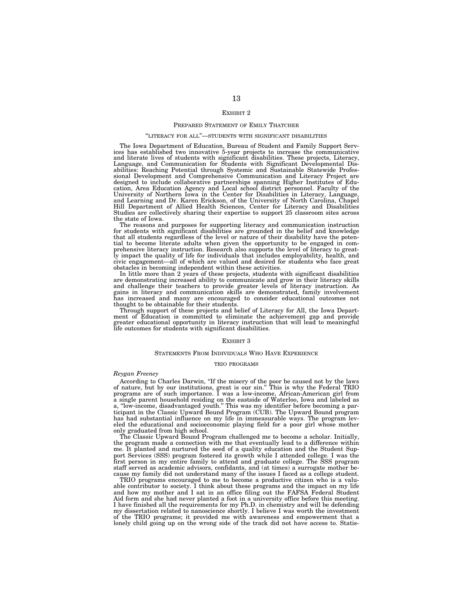#### EXHIBIT 2

#### PREPARED STATEMENT OF EMILY THATCHER

#### ''LITERACY FOR ALL''—STUDENTS WITH SIGNIFICANT DISABILITIES

The Iowa Department of Education, Bureau of Student and Family Support Services has established two innovative 5-year projects to increase the communicative and literate lives of students with significant disabilities. These projects, Literacy, Language, and Communication for Students with Significant Developmental Disabilities: Reaching Potential through Systemic and Sustainable Statewide Professional Development and Comprehensive Communication and Literacy Project are designed to include collaborative partnerships spanning Higher Institutes of Edu-cation, Area Education Agency and Local school district personnel. Faculty of the University of Northern Iowa in the Center for Disabilities in Literacy, Language, and Learning and Dr. Karen Erickson, of the University of North Carolina, Chapel Hill Department of Allied Health Sciences, Center for Literacy and Disabilities Studies are collectively sharing their expertise to support 25 classroom sites across the state of Iowa.

The reasons and purposes for supporting literacy and communication instruction for students with significant disabilities are grounded in the belief and knowledge that all students regardless of the level or nature of their disability have the potential to become literate adults when given the opportunity to be engaged in comprehensive literacy instruction. Research also supports the level of literacy to great-ly impact the quality of life for individuals that includes employability, health, and civic engagement—all of which are valued and desired for students who face great obstacles in becoming independent within these activities.

In little more than 2 years of these projects, students with significant disabilities are demonstrating increased ability to communicate and grow in their literacy skills and challenge their teachers to provide greater levels of literacy instruction. As gains in literacy and communication skills are demonstrated, family involvement has increased and many are encouraged to consider educational outcomes not thought to be obtainable for their students.

Through support of these projects and belief of Literacy for All, the Iowa Department of Education is committed to eliminate the achievement gap and provide greater educational opportunity in literacy instruction that will lead to meaningful life outcomes for students with significant disabilities.

#### EXHIBIT 3

#### STATEMENTS FROM INDIVIDUALS WHO HAVE EXPERIENCE

#### TRIO PROGRAMS

#### *Reygan Freeney*

According to Charles Darwin, "If the misery of the poor be caused not by the laws<br>of nature, but by our institutions, great is our sin." This is why the Federal TRIO<br>programs are of such importance. I was a low-income, Afr a single parent household residing on the eastside of Waterloo, Iowa and labeled as a, ''low-income, disadvantaged youth.'' This was my identifier before becoming a participant in the Classic Upward Bound Program (CUB). The Upward Bound program has had substantial influence on my life in immeasurable ways. The program leveled the educational and socioeconomic playing field for a poor girl whose mother only graduated from high school.

The Classic Upward Bound Program challenged me to become a scholar. Initially, the program made a connection with me that eventually lead to a difference within me. It planted and nurtured the seed of a quality education and the Student Support Services (SSS) program fostered its growth while I attended college. I was the first person in my entire family to attend and graduate college. The SSS program staff served as academic advisors, confidants, and (at times) a surrogate mother because my family did not understand many of the issues I faced as a college student.

TRIO programs encouraged to me to become a productive citizen who is a valuable contributor to society. I think about these programs and the impact on my life and how my mother and I sat in an office filing out the FAFSA Federal Student Aid form and she had never planted a foot in a university office before this meeting. I have finished all the requirements for my Ph.D. in chemistry and will be defending my dissertation related to nanoscience shortly. I believe I was worth the investment of the TRIO programs; it provided me with awareness and empowerment that a lonely child going up on the wrong side of the track did not have access to. Statis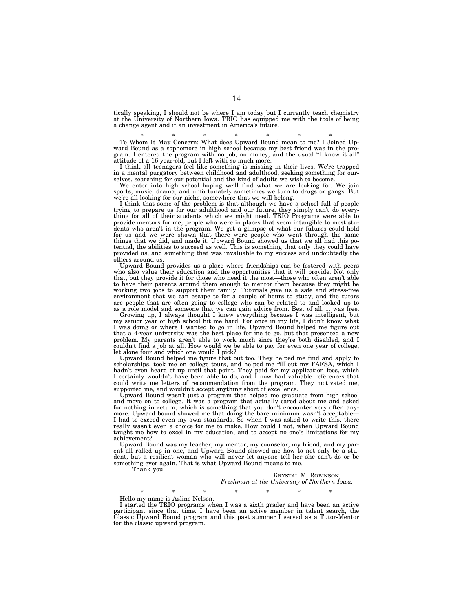tically speaking, I should not be where I am today but I currently teach chemistry at the University of Northern Iowa. TRIO has equipped me with the tools of being a change agent and it an investment in America's future.

\* \* \* \* \* \* \* \* To Whom It May Concern: What does Upward Bound mean to me? I Joined Upward Bound as a sophomore in high school because my best friend was in the program. I entered the program with no job, no money, and the usual "I know it all" attitude of a 16 year-old, but I left with so much more.

I think all teenagers feel like something is missing in their lives. We're trapped in a mental purgatory between childhood and adulthood, seeking something for ourselves, searching for our potential and the kind of adults we wish to become.

We enter into high school hoping we'll find what we are looking for. We join sports, music, drama, and unfortunately sometimes we turn to drugs or gangs. But we're all looking for our niche, somewhere that we will belong.

I think that some of the problem is that although we have a school full of people trying to prepare us for our adulthood and our future, they simply can't do everything for all of their students which we might need. TRIO Programs were able to provide mentors for me, people who were in places that seem intangible to most students who aren't in the program. We got a glimpse of what our futures could hold for us and we were shown that there were people who went through the same things that we did, and made it. Upward Bound showed us that we all had this potential, the abilities to succeed as well. This is something that only they could have provided us, and something that was invaluable to my success and undoubtedly the others around us.

Upward Bound provides us a place where friendships can be fostered with peers who also value their education and the opportunities that it will provide. Not only that, but they provide it for those who need it the most—those who often aren't able to have their parents around them enough to mentor them because they might be working two jobs to support their family. Tutorials give us a safe and stress-free environment that we can escape to for a couple of hours to study, and the tutors are people that are often going to college who can be related to and looked up to as a role model and someone that we can gain advice from. Best of all, it was free.

Growing up, I always thought I knew everything because I was intelligent, but my senior year of high school hit me hard. For once in my life, I didn't know what I was doing or where I wanted to go in life. Upward Bound helped me figure out that a 4-year university was the best place for me to go, but that presented a new problem. My parents aren't able to work much since they're both disabled, and I couldn't find a job at all. How would we be able to pay for even one year of college, let alone four and which one would I pick?

Upward Bound helped me figure that out too. They helped me find and apply to scholarships, took me on college tours, and helped me fill out my FAFSA, which I hadn't even heard of up until that point. They paid for my application fees, which I certainly wouldn't have been able to do, and I now had valuable references that could write me letters of recommendation from the program. They motivated me, supported me, and wouldn't accept anything short of excellence.

Upward Bound wasn't just a program that helped me graduate from high school and move on to college. It was a program that actually cared about me and asked for nothing in return, which is something that you don't encounter very often anymore. Upward bound showed me that doing the bare minimum wasn't acceptable— I had to exceed even my own standards. So when I was asked to write this, there really wasn't even a choice for me to make. How could I not, when Upward Bound taught me how to excel in my education, and to accept no one's limitations for my achievement?

Upward Bound was my teacher, my mentor, my counselor, my friend, and my parent all rolled up in one, and Upward Bound showed me how to not only be a student, but a resilient woman who will never let anyone tell her she can't do or be something ever again. That is what Upward Bound means to me.

Thank you.

KRYSTAL M. ROBINSON, *Freshman at the University of Northern Iowa.* 

\* \* \* \* \* \* \* \* Hello my name is Azline Nelson.

I started the TRIO programs when I was a sixth grader and have been an active participant since that time. I have been an active member in talent search, the Classic Upward Bound program and this past summer I served as a Tutor-Mentor for the classic upward program.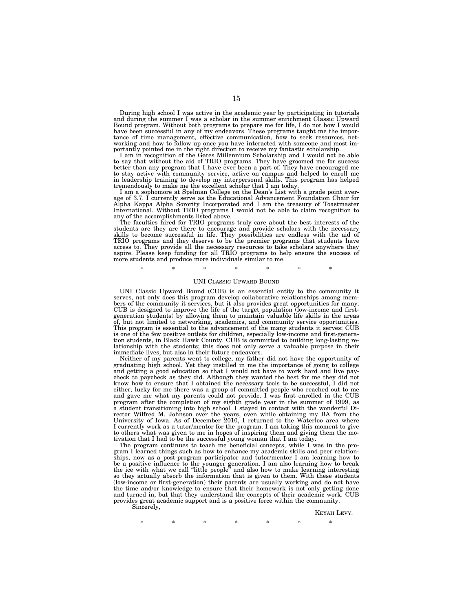During high school I was active in the academic year by participating in tutorials and during the summer I was a scholar in the summer enrichment Classic Upward Bound program. Without both programs to prepare me for life, I do not how I would have been successful in any of my endeavors. These programs taught me the importance of time management, effective communication, how to seek resources, networking and how to follow up once you have interacted with someone and most importantly pointed me in the right direction to receive my fantastic scholarship.

I am in recognition of the Gates Millennium Scholarship and I would not be able<br>to say that without the aid of TRIO programs. They have groomed me for success<br>better than any program that I have ever been a part of. They h to stay active with community service, active on campus and helped to enroll me in leadership training to develop my interpersonal skills. This program has helped tremendously to make me the excellent scholar that I am today.

I am a sophomore at Spelman College on the Dean's List with a grade point aver-age of 3.7. I currently serve as the Educational Advancement Foundation Chair for Alpha Kappa Alpha Sorority Incorporated and I am the treasury of Toastmaster International. Without TRIO programs I would not be able to claim recognition to

any of the accomplishments listed above. The faculties hired for TRIO programs truly care about the best interests of the students are they are there to encourage and provide scholars with the necessary skills to become successful in life. They possibilities are endless with the aid of TRIO programs and they deserve to be the premier programs that students have access to. They provide all the necessary resources to take scholars anywhere they aspire. Please keep funding for all TRIO programs to help ensure the success of more students and produce more individuals similar to me.

#### \* \* \* \* \* \* \* \*

#### UNI CLASSIC UPWARD BOUND

UNI Classic Upward Bound (CUB) is an essential entity to the community it serves, not only does this program develop collaborative relationships among members of the community it services, but it also provides great opportunities for many. CUB is designed to improve the life of the target population (low-income and firstgeneration students) by allowing them to maintain valuable life skills in the areas of, but not limited to networking, academics, and community service opportunities. This program is essential to the advancement of the many students it serves; CUB is one of the few positive outlets for children, especially low-income and first-generation students, in Black Hawk County. CUB is committed to building long-lasting relationship with the students; this does not only serve a valuable purpose in their immediate lives, but also in their future endeavors.

Neither of my parents went to college, my father did not have the opportunity of graduating high school. Yet they instilled in me the importance of going to college and getting a good education so that I would not have to work hard and live paycheck to paycheck as they did. Although they wanted the best for me they did not know how to ensure that I obtained the necessary tools to be successful, I did not either, lucky for me there was a group of committed people who reached out to me and gave me what my parents could not provide. I was first enrolled in the CUB program after the completion of my eighth grade year in the summer of 1999, as a student transitioning into high school. I stayed in contact with the wonderful Director Wilfred M. Johnson over the years, even while obtaining my BA from the University of Iowa. As of December 2010, I returned to the Waterloo area where I currently work as a tutor/mentor for the program. I am taking this moment to give to others what was given to me in hopes of inspiring them and giving them the motivation that I had to be the successful young woman that I am today.

The program continues to teach me beneficial concepts, while I was in the program I learned things such as how to enhance my academic skills and peer relationships, now as a post-program participator and tutor/mentor I am learning how to be a positive influence to the younger generation. I am also learning how to break the ice with what we call ''little people'' and also how to make learning interesting so they actually absorb the information that is given to them. With these students (low-income or first-generation) their parents are usually working and do not have the time and/or knowledge to ensure that their homework is not only getting done and turned in, but that they understand the concepts of their academic work. CUB provides great academic support and is a positive force within the community.

Sincerely,

KEYAH LEVY.

\* \* \* \* \* \* \*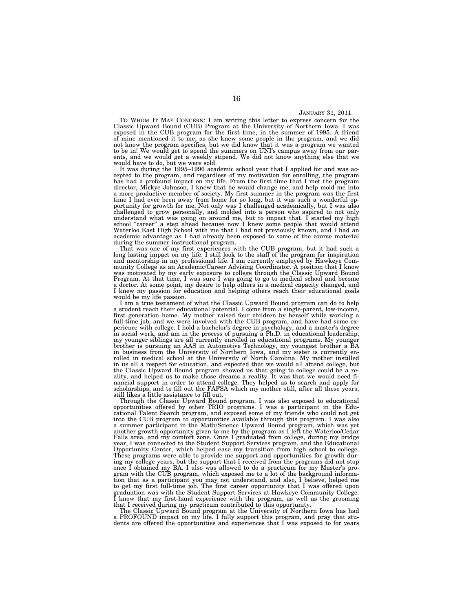#### JANUARY 31, 2011.

TO WHOM IT MAY CONCERN: I am writing this letter to express concern for the Classic Upward Bound (CUB) Program at the University of Northern Iowa. I was exposed in the CUB program for the first time, in the summer of 1995. A friend of mine mentioned it to me, as she knew some people in the program, and we did not know the program specifics, but we did know that it was a program we wanted to be in! We would get to spend the summers on UNI's campus away from our par-ents, and we would get a weekly stipend. We did not know anything else that we would have to do, but we were sold.

It was during the 1995–1996 academic school year that I applied for and was accepted to the program, and regardless of my motivation for enrolling, the program has had a profound impact on my life. From the first time that I met the program director, Mickye Johnson, I knew that he would change me, and help mold me into a more productive member of society. My first summer in the program was the first time I had ever been away from home for so long, but it was such a wonderful op-portunity for growth for me, Not only was I challenged academically, but I was also challenged to grow personally, and molded into a person who aspired to not only understand what was going on around me, but to impact that. I started my high school ''career'' a step ahead because now I knew some people that would attend Waterloo East High School with me that I had not previously known, and I had an academic advantage as I had already been exposed to some of the course material during the summer instructional program.

That was one of my first experiences with the CUB program, but it had such a long lasting impact on my life. I still look to the staff of the program for inspiration and mentorship in my professional life. I am currently employed by Hawkeye Community College as an Academic/Career Advising Coordinator. A position that I know was motivated by my early exposure to college through the Classic Upward Bound Program. At that time, I was sure I was going to go to medical school and become a doctor. At some point, my desire to help others in a medical capacity changed, and I knew my passion for education and helping others reach their educational goals would be my life passion.

I am a true testament of what the Classic Upward Bound program can do to help a student reach their educational potential. I come from a single-parent, low-income, first generation home. My mother raised four children by herself while working a full-time job, and we were involved with the CUB program, and have had some experience with college. I hold a bachelor's degree in psychology, and a master's degree in social work, and am in the process of pursuing a Ph.D. in educational leadership, my younger siblings are all currently enrolled in educational programs. My younger brother is pursuing an AAS in Automotive Technology, my youngest brother a BA in business from the University of Northern Iowa, and my sister is currently enrolled in medical school at the University of North Carolina. My mother instilled in us all a respect for education, and expected that we would all attend college, but the Classic Upward Bound program showed us that going to college could be a reality, and helped us to make those dreams a reality. It was that we would need financial support in order to attend college. They helped us to search and apply for scholarships, and to fill out the FAFSA which my mother still, after all these years, still likes a little assistance to fill out.

Through the Classic Upward Bound program, I was also exposed to educational opportunities offered by other TRIO programs. I was a participant in the Educational Talent Search program, and exposed some of my friends who could not get into the CUB program to opportunities available through this program. I was also a summer participant in the Math/Science Upward Bound program, which was yet another growth opportunity given to me by the program as I left the Waterloo/Cedar Falls area, and my comfort zone. Once I graduated from college, during my bridge year, I was connected to the Student Support Services program, and the Educational Opportunity Center, which helped ease my transition from high school to college. These programs were able to provide me support and opportunities for growth during my college years, but the support that I received from the programs did not stop once I obtained my BA. I also was allowed to do a practicum for my Master's program with the CUB program, which exposed me to a lot of the background information that as a participant you may not understand, and also, I believe, helped me to get my first full-time job. The first career opportunity that I was offered upon graduation was with the Student Support Services at Hawkeye Community College. I know that my first-hand experience with the program, as well as the grooming that I received during my practicum contributed to this opportunity.

The Classic Upward Bound program at the University of Northern Iowa has had a PROFOUND impact on my life. I fully support this program, and pray that students are offered the opportunities and experiences that I was exposed to for years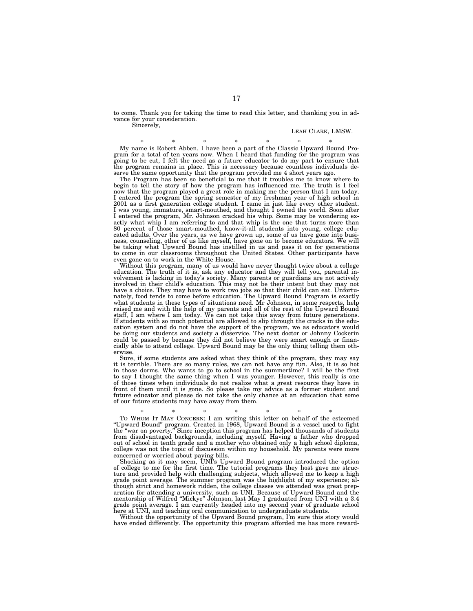to come. Thank you for taking the time to read this letter, and thanking you in advance for your consideration. Sincerely,

# LEAH CLARK, LMSW.

\* \* \* \* \* \* \* My name is Robert Abben. I have been a part of the Classic Upward Bound Program for a total of ten years now. When I heard that funding for the program was going to be cut, I felt the need as a future educator to do my part to ensure that the program remains in place. This is necessary because countless individuals deserve the same opportunity that the program provided me 4 short years ago.

The Program has been so beneficial to me that it troubles me to know where to begin to tell the story of how the program has influenced me. The truth is I feel now that the program played a great role in making me the person that I am today. I entered the program the spring semester of my freshman year of high school in 2001 as a first generation college student. I came in just like every other student. I was young, immature, smart-mouthed, and thought I owned the world. Soon after I entered the program, Mr. Johnson cracked his whip. Some may be wondering exactly what whip I am referring to and that whip is the one that turns more than 80 percent of those smart-mouthed, know-it-all students into young, college educated adults. Over the years, as we have grown up, some of us have gone into business, counseling, other of us like myself, have gone on to become educators. We will be taking what Upward Bound has instilled in us and pass it on for generations to come in our classrooms throughout the United States. Other participants have even gone on to work in the White House.

Without this program, many of us would have never thought twice about a college education. The truth of it is, ask any educator and they will tell you, parental involvement is lacking in today's society. Many parents or guardians are not actively involved in their child's education. This may not be their intent but they may not have a choice. They may have to work two jobs so that their child can eat. Unfortunately, food tends to come before education. The Upward Bound Program is exactly what students in these types of situations need. Mr Johnson, in some respects, help raised me and with the help of my parents and all of the rest of the Upward Bound staff, I am where I am today. We can not take this away from future generations. If students with so much potential are allowed to slip through the cracks in the education system and do not have the support of the program, we as educators would be doing our students and society a disservice. The next doctor or Johnny Cockerin could be passed by because they did not believe they were smart enough or financially able to attend college. Upward Bound may be the only thing telling them otherwise.

Sure, if some students are asked what they think of the program, they may say it is terrible. There are so many rules, we can not have any fun. Also, it is so hot in those dorms. Who wants to go to school in the summertime? I will be the first to say I thought the same thing when I was younger. However, this really is one of those times when individuals do not realize what a great resource they have in front of them until it is gone. So please take my advice as a former student and future educator and please do not take the only chance at an education that some of our future students may have away from them.

\* \* \* \* \* \* \* TO WHOM IT MAY CONCERN: I am writing this letter on behalf of the esteemed ''Upward Bound'' program. Created in 1968, Upward Bound is a vessel used to fight the ''war on poverty.'' Since inception this program has helped thousands of students from disadvantaged backgrounds, including myself. Having a father who dropped out of school in tenth grade and a mother who obtained only a high school diploma, college was not the topic of discussion within my household. My parents were more concerned or worried about paying bills.

Shocking as it may seem, UNI's Upward Bound program introduced the option of college to me for the first time. The tutorial programs they host gave me structure and provided help with challenging subjects, which allowed me to keep a high grade point average. The summer program was the highlight of my experience; although strict and homework ridden, the college classes we attended was great preparation for attending a university, such as UNI. Because of Upward Bound and the mentorship of Wilfred ''Mickye'' Johnson, last May I graduated from UNI with a 3.4 grade point average. I am currently headed into my second year of graduate school here at UNI, and teaching oral communication to undergraduate students.

Without the opportunity of the Upward Bound program, I'm sure this story would have ended differently. The opportunity this program afforded me has more reward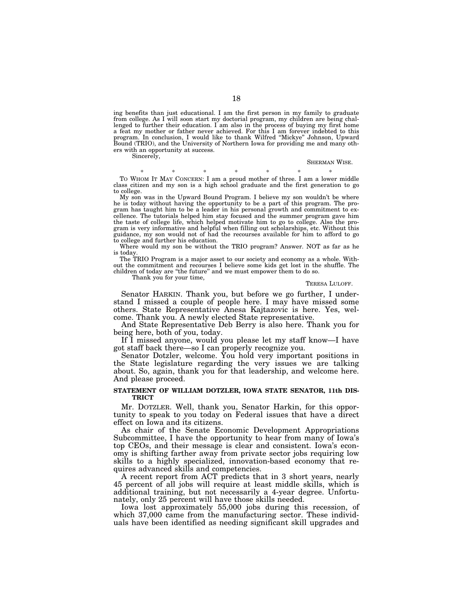ing benefits than just educational. I am the first person in my family to graduate from college. As I will soon start my doctorial program, my children are being challenged to further their education. I am also in the process of buying my first home a feat my mother or father never achieved. For this I am forever indebted to this program. In conclusion, I would like to thank Wilfred ''Mickye'' Johnson, Upward Bound (TRIO), and the University of Northern Iowa for providing me and many others with an opportunity at success.

Sincerely.

#### SHERMAN WISE.

\* \* \* \* \* \* \* TO WHOM IT MAY CONCERN: I am a proud mother of three. I am a lower middle class citizen and my son is a high school graduate and the first generation to go to college.

My son was in the Upward Bound Program. I believe my son wouldn't be where he is today without having the opportunity to be a part of this program. The program has taught him to be a leader in his personal growth and commitment to excellence. The tutorials helped him stay focused and the summer program gave him the taste of college life, which helped motivate him to go to college. Also the program is very informative and helpful when filling out scholarships, etc. Without this guidance, my son would not of had the recourses available for him to afford to go to college and further his education.

Where would my son be without the TRIO program? Answer. NOT as far as he is today.

The TRIO Program is a major asset to our society and economy as a whole. Without the commitment and recourses I believe some kids get lost in the shuffle. The children of today are ''the future'' and we must empower them to do so.

Thank you for your time,

#### TERESA LILOFF.

Senator HARKIN. Thank you, but before we go further, I understand I missed a couple of people here. I may have missed some others. State Representative Anesa Kajtazovic is here. Yes, welcome. Thank you. A newly elected State representative.

And State Representative Deb Berry is also here. Thank you for being here, both of you, today.

If I missed anyone, would you please let my staff know—I have got staff back there—so I can properly recognize you.

Senator Dotzler, welcome. You hold very important positions in the State legislature regarding the very issues we are talking about. So, again, thank you for that leadership, and welcome here. And please proceed.

# **STATEMENT OF WILLIAM DOTZLER, IOWA STATE SENATOR, 11th DIS-TRICT**

Mr. DOTZLER. Well, thank you, Senator Harkin, for this opportunity to speak to you today on Federal issues that have a direct effect on Iowa and its citizens.

As chair of the Senate Economic Development Appropriations Subcommittee, I have the opportunity to hear from many of Iowa's top CEOs, and their message is clear and consistent. Iowa's economy is shifting farther away from private sector jobs requiring low skills to a highly specialized, innovation-based economy that requires advanced skills and competencies.

A recent report from ACT predicts that in 3 short years, nearly 45 percent of all jobs will require at least middle skills, which is additional training, but not necessarily a 4-year degree. Unfortunately, only 25 percent will have those skills needed.

Iowa lost approximately 55,000 jobs during this recession, of which 37,000 came from the manufacturing sector. These individuals have been identified as needing significant skill upgrades and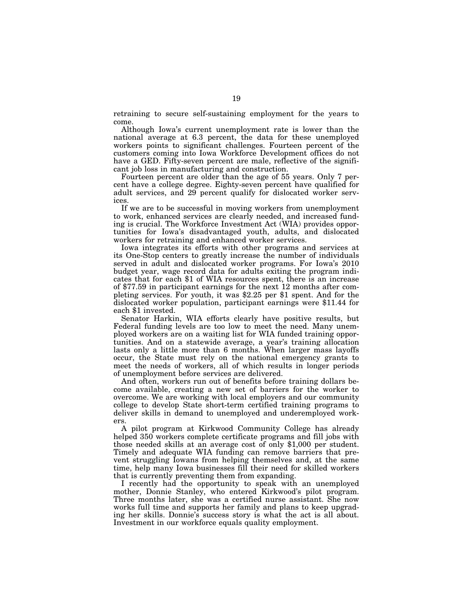retraining to secure self-sustaining employment for the years to come.

Although Iowa's current unemployment rate is lower than the national average at 6.3 percent, the data for these unemployed workers points to significant challenges. Fourteen percent of the customers coming into Iowa Workforce Development offices do not have a GED. Fifty-seven percent are male, reflective of the significant job loss in manufacturing and construction.

Fourteen percent are older than the age of 55 years. Only 7 percent have a college degree. Eighty-seven percent have qualified for adult services, and 29 percent qualify for dislocated worker services.

If we are to be successful in moving workers from unemployment to work, enhanced services are clearly needed, and increased funding is crucial. The Workforce Investment Act (WIA) provides opportunities for Iowa's disadvantaged youth, adults, and dislocated workers for retraining and enhanced worker services.

Iowa integrates its efforts with other programs and services at its One-Stop centers to greatly increase the number of individuals served in adult and dislocated worker programs. For Iowa's 2010 budget year, wage record data for adults exiting the program indicates that for each \$1 of WIA resources spent, there is an increase of \$77.59 in participant earnings for the next 12 months after completing services. For youth, it was \$2.25 per \$1 spent. And for the dislocated worker population, participant earnings were \$11.44 for each \$1 invested.

Senator Harkin, WIA efforts clearly have positive results, but Federal funding levels are too low to meet the need. Many unemployed workers are on a waiting list for WIA funded training opportunities. And on a statewide average, a year's training allocation lasts only a little more than 6 months. When larger mass layoffs occur, the State must rely on the national emergency grants to meet the needs of workers, all of which results in longer periods of unemployment before services are delivered.

And often, workers run out of benefits before training dollars become available, creating a new set of barriers for the worker to overcome. We are working with local employers and our community college to develop State short-term certified training programs to deliver skills in demand to unemployed and underemployed workers.

A pilot program at Kirkwood Community College has already helped 350 workers complete certificate programs and fill jobs with those needed skills at an average cost of only \$1,000 per student. Timely and adequate WIA funding can remove barriers that prevent struggling Iowans from helping themselves and, at the same time, help many Iowa businesses fill their need for skilled workers that is currently preventing them from expanding.

I recently had the opportunity to speak with an unemployed mother, Donnie Stanley, who entered Kirkwood's pilot program. Three months later, she was a certified nurse assistant. She now works full time and supports her family and plans to keep upgrading her skills. Donnie's success story is what the act is all about. Investment in our workforce equals quality employment.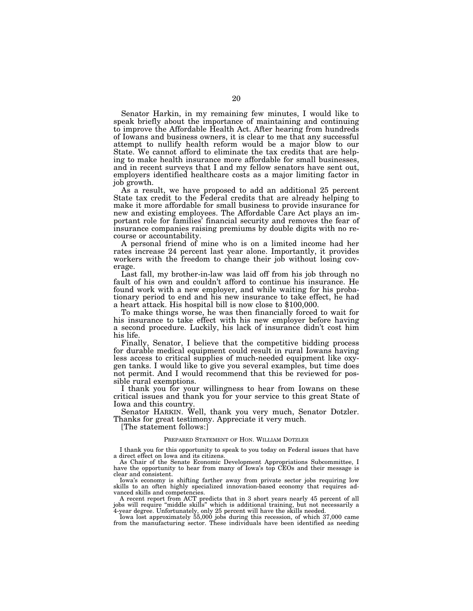Senator Harkin, in my remaining few minutes, I would like to speak briefly about the importance of maintaining and continuing to improve the Affordable Health Act. After hearing from hundreds of Iowans and business owners, it is clear to me that any successful attempt to nullify health reform would be a major blow to our State. We cannot afford to eliminate the tax credits that are helping to make health insurance more affordable for small businesses, and in recent surveys that I and my fellow senators have sent out, employers identified healthcare costs as a major limiting factor in job growth.

As a result, we have proposed to add an additional 25 percent State tax credit to the Federal credits that are already helping to make it more affordable for small business to provide insurance for new and existing employees. The Affordable Care Act plays an important role for families' financial security and removes the fear of insurance companies raising premiums by double digits with no recourse or accountability.

A personal friend of mine who is on a limited income had her rates increase 24 percent last year alone. Importantly, it provides workers with the freedom to change their job without losing coverage.

Last fall, my brother-in-law was laid off from his job through no fault of his own and couldn't afford to continue his insurance. He found work with a new employer, and while waiting for his probationary period to end and his new insurance to take effect, he had a heart attack. His hospital bill is now close to \$100,000.

To make things worse, he was then financially forced to wait for his insurance to take effect with his new employer before having a second procedure. Luckily, his lack of insurance didn't cost him his life.

Finally, Senator, I believe that the competitive bidding process for durable medical equipment could result in rural Iowans having less access to critical supplies of much-needed equipment like oxygen tanks. I would like to give you several examples, but time does not permit. And I would recommend that this be reviewed for possible rural exemptions.

I thank you for your willingness to hear from Iowans on these critical issues and thank you for your service to this great State of Iowa and this country.

Senator HARKIN. Well, thank you very much, Senator Dotzler. Thanks for great testimony. Appreciate it very much.

[The statement follows:]

### PREPARED STATEMENT OF HON. WILLIAM DOTZLER

I thank you for this opportunity to speak to you today on Federal issues that have a direct effect on Iowa and its citizens.

As Chair of the Senate Economic Development Appropriations Subcommittee, I have the opportunity to hear from many of Iowa's top CEOs and their message is clear and consistent.

Iowa's economy is shifting farther away from private sector jobs requiring low skills to an often highly specialized innovation-based economy that requires advanced skills and competencies.

A recent report from ACT predicts that in 3 short years nearly 45 percent of all jobs will require ''middle skills'' which is additional training, but not necessarily a 4-year degree. Unfortunately, only 25 percent will have the skills needed.

Iowa lost approximately 55,000 jobs during this recession, of which 37,000 came from the manufacturing sector. These individuals have been identified as needing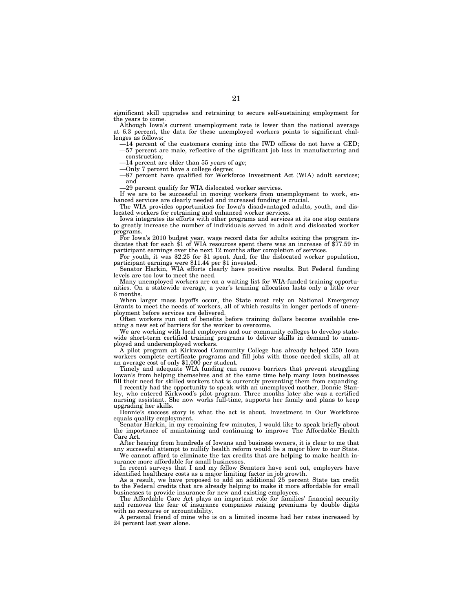significant skill upgrades and retraining to secure self-sustaining employment for the years to come.

Although Iowa's current unemployment rate is lower than the national average at 6.3 percent, the data for these unemployed workers points to significant challenges as follows:

—14 percent of the customers coming into the IWD offices do not have a GED; —57 percent are male, reflective of the significant job loss in manufacturing and construction;

—14 percent are older than 55 years of age;

—Only 7 percent have a college degree;

—87 percent have qualified for Workforce Investment Act (WIA) adult services; and

—29 percent qualify for WIA dislocated worker services.

If we are to be successful in moving workers from unemployment to work, enhanced services are clearly needed and increased funding is crucial.

The WIA provides opportunities for Iowa's disadvantaged adults, youth, and dislocated workers for retraining and enhanced worker services.

Iowa integrates its efforts with other programs and services at its one stop centers to greatly increase the number of individuals served in adult and dislocated worker programs.

For Iowa's 2010 budget year, wage record data for adults exiting the program indicates that for each \$1 of WIA resources spent there was an increase of \$77.59 in participant earnings over the next 12 months after completion of services.

For youth, it was \$2.25 for \$1 spent. And, for the dislocated worker population, participant earnings were \$11.44 per \$1 invested.

Senator Harkin, WIA efforts clearly have positive results. But Federal funding levels are too low to meet the need.

Many unemployed workers are on a waiting list for WIA-funded training opportunities. On a statewide average, a year's training allocation lasts only a little over 6 months.

When larger mass layoffs occur, the State must rely on National Emergency Grants to meet the needs of workers, all of which results in longer periods of unemployment before services are delivered.

Often workers run out of benefits before training dollars become available creating a new set of barriers for the worker to overcome.

We are working with local employers and our community colleges to develop statewide short-term certified training programs to deliver skills in demand to unemployed and underemployed workers.

A pilot program at Kirkwood Community College has already helped 350 Iowa workers complete certificate programs and fill jobs with those needed skills, all at an average cost of only \$1,000 per student.

Timely and adequate WIA funding can remove barriers that prevent struggling Iowan's from helping themselves and at the same time help many Iowa businesses fill their need for skilled workers that is currently preventing them from expanding.

I recently had the opportunity to speak with an unemployed mother, Donnie Stanley, who entered Kirkwood's pilot program. Three months later she was a certified nursing assistant. She now works full-time, supports her family and plans to keep upgrading her skills.

Donnie's success story is what the act is about. Investment in Our Workforce equals quality employment.

Senator Harkin, in my remaining few minutes, I would like to speak briefly about the importance of maintaining and continuing to improve The Affordable Health Care Act.

After hearing from hundreds of Iowans and business owners, it is clear to me that any successful attempt to nullify health reform would be a major blow to our State.

We cannot afford to eliminate the tax credits that are helping to make health insurance more affordable for small businesses.

In recent surveys that I and my fellow Senators have sent out, employers have identified healthcare costs as a major limiting factor in job growth.

As a result, we have proposed to add an additional 25 percent State tax credit to the Federal credits that are already helping to make it more affordable for small businesses to provide insurance for new and existing employees.

The Affordable Care Act plays an important role for families' financial security and removes the fear of insurance companies raising premiums by double digits with no recourse or accountability.

A personal friend of mine who is on a limited income had her rates increased by 24 percent last year alone.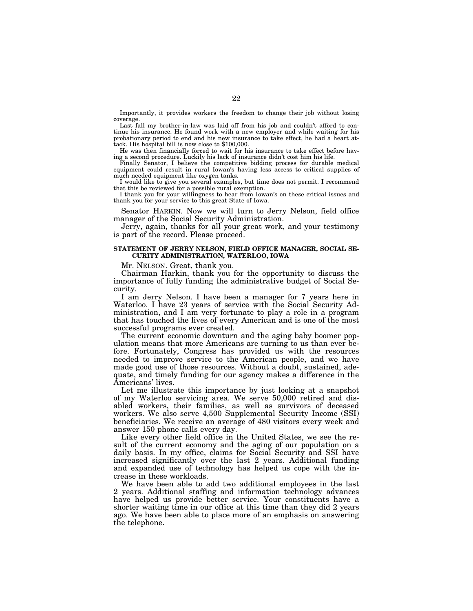Importantly, it provides workers the freedom to change their job without losing coverage.

Last fall my brother-in-law was laid off from his job and couldn't afford to continue his insurance. He found work with a new employer and while waiting for his probationary period to end and his new insurance to take effect, he had a heart attack. His hospital bill is now close to \$100,000.

He was then financially forced to wait for his insurance to take effect before having a second procedure. Luckily his lack of insurance didn't cost him his life.

Finally Senator, I believe the competitive bidding process for durable medical equipment could result in rural Iowan's having less access to critical supplies of much needed equipment like oxygen tanks.

I would like to give you several examples, but time does not permit. I recommend that this be reviewed for a possible rural exemption.

I thank you for your willingness to hear from Iowan's on these critical issues and thank you for your service to this great State of Iowa.

Senator HARKIN. Now we will turn to Jerry Nelson, field office manager of the Social Security Administration.

Jerry, again, thanks for all your great work, and your testimony is part of the record. Please proceed.

# **STATEMENT OF JERRY NELSON, FIELD OFFICE MANAGER, SOCIAL SE-CURITY ADMINISTRATION, WATERLOO, IOWA**

Mr. NELSON. Great, thank you.

Chairman Harkin, thank you for the opportunity to discuss the importance of fully funding the administrative budget of Social Security.

I am Jerry Nelson. I have been a manager for 7 years here in Waterloo. I have 23 years of service with the Social Security Administration, and I am very fortunate to play a role in a program that has touched the lives of every American and is one of the most successful programs ever created.

The current economic downturn and the aging baby boomer population means that more Americans are turning to us than ever before. Fortunately, Congress has provided us with the resources needed to improve service to the American people, and we have made good use of those resources. Without a doubt, sustained, adequate, and timely funding for our agency makes a difference in the Americans' lives.

Let me illustrate this importance by just looking at a snapshot of my Waterloo servicing area. We serve 50,000 retired and disabled workers, their families, as well as survivors of deceased workers. We also serve 4,500 Supplemental Security Income (SSI) beneficiaries. We receive an average of 480 visitors every week and answer 150 phone calls every day.

Like every other field office in the United States, we see the result of the current economy and the aging of our population on a daily basis. In my office, claims for Social Security and SSI have increased significantly over the last 2 years. Additional funding and expanded use of technology has helped us cope with the increase in these workloads.

We have been able to add two additional employees in the last 2 years. Additional staffing and information technology advances have helped us provide better service. Your constituents have a shorter waiting time in our office at this time than they did 2 years ago. We have been able to place more of an emphasis on answering the telephone.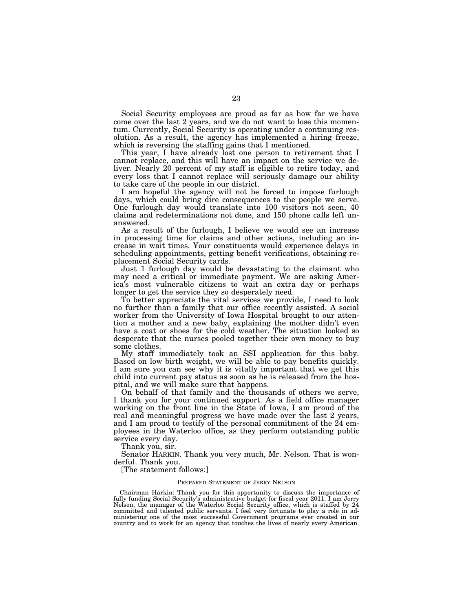Social Security employees are proud as far as how far we have come over the last 2 years, and we do not want to lose this momentum. Currently, Social Security is operating under a continuing resolution. As a result, the agency has implemented a hiring freeze, which is reversing the staffing gains that I mentioned.

This year, I have already lost one person to retirement that I cannot replace, and this will have an impact on the service we deliver. Nearly 20 percent of my staff is eligible to retire today, and every loss that I cannot replace will seriously damage our ability to take care of the people in our district.

I am hopeful the agency will not be forced to impose furlough days, which could bring dire consequences to the people we serve. One furlough day would translate into 100 visitors not seen, 40 claims and redeterminations not done, and 150 phone calls left unanswered.

As a result of the furlough, I believe we would see an increase in processing time for claims and other actions, including an increase in wait times. Your constituents would experience delays in scheduling appointments, getting benefit verifications, obtaining replacement Social Security cards.

Just 1 furlough day would be devastating to the claimant who may need a critical or immediate payment. We are asking America's most vulnerable citizens to wait an extra day or perhaps longer to get the service they so desperately need.

To better appreciate the vital services we provide, I need to look no further than a family that our office recently assisted. A social worker from the University of Iowa Hospital brought to our attention a mother and a new baby, explaining the mother didn't even have a coat or shoes for the cold weather. The situation looked so desperate that the nurses pooled together their own money to buy some clothes.

My staff immediately took an SSI application for this baby. Based on low birth weight, we will be able to pay benefits quickly. I am sure you can see why it is vitally important that we get this child into current pay status as soon as he is released from the hospital, and we will make sure that happens.

On behalf of that family and the thousands of others we serve, I thank you for your continued support. As a field office manager working on the front line in the State of Iowa, I am proud of the real and meaningful progress we have made over the last 2 years, and I am proud to testify of the personal commitment of the 24 employees in the Waterloo office, as they perform outstanding public service every day.

Thank you, sir.

Senator HARKIN. Thank you very much, Mr. Nelson. That is wonderful. Thank you.

[The statement follows:]

#### PREPARED STATEMENT OF JERRY NELSON

Chairman Harkin: Thank you for this opportunity to discuss the importance of fully funding Social Security's administrative budget for fiscal year 2011. I am Jerry Nelson, the manager of the Waterloo Social Security office, which is staffed by 24 committed and talented public servants. I feel very fortunate to play a role in administering one of the most successful Government programs ever created in our country and to work for an agency that touches the lives of nearly every American.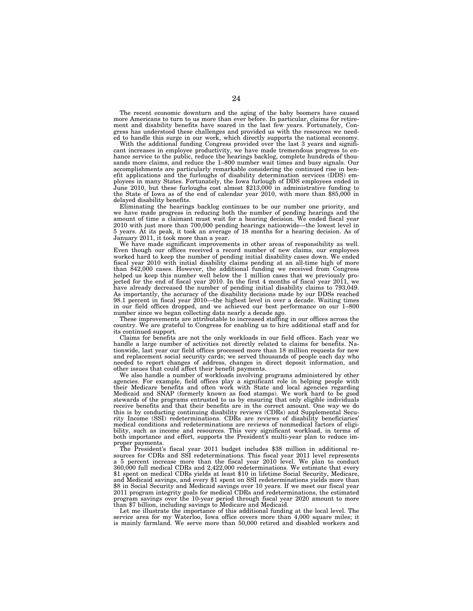The recent economic downturn and the aging of the baby boomers have caused more Americans to turn to us more than ever before. In particular, claims for retirement and disability benefits have soared in the last few years. Fortunately, Congress has understood these challenges and provided us with the resources we needed to handle this surge in our work, which directly supports the national economy.

With the additional funding Congress provided over the last 3 years and significant increases in employee productivity, we have made tremendous progress to enhance service to the public, reduce the hearings backlog, complete hundreds of thousands more claims, and reduce the 1–800 number wait times and busy signals. Our accomplishments are particularly remarkable considering the continued rise in benefit applications and the furloughs of disability determination services (DDS) employees in many States. Fortunately, the Iowa furlough of DDS employees ended in June 2010, but these furloughs cost almost \$213,000 in administrative funding to the State of Iowa as of the end of calendar year 2010, with more than \$85,000 in delayed disability benefits.

Eliminating the hearings backlog continues to be our number one priority, and we have made progress in reducing both the number of pending hearings and the amount of time a claimant must wait for a hearing decision. We ended fiscal year 2010 with just more than 700,000 pending hearings nationwide—the lowest level in 5 years. At its peak, it took an average of 18 months for a hearing decision. As of January 2011, it took more than a year.

We have made significant improvements in other areas of responsibility as well. Even though our offices received a record number of new claims, our employees worked hard to keep the number of pending initial disability cases down. We ended fiscal year 2010 with initial disability claims pending at an all-time high of more than 842,000 cases. However, the additional funding we received from Congress helped us keep this number well below the 1 million cases that we previously projected for the end of fiscal year 2010. In the first 4 months of fiscal year 2011, we have already decreased the number of pending initial disability claims to 793,049. As importantly, the accuracy of the disability decisions made by our DDSs reached 98.1 percent in fiscal year 2010—the highest level in over a decade. Waiting times in our field offices dropped, and we achieved our best performance on our 1–800 number since we began collecting data nearly a decade ago.

These improvements are attributable to increased staffing in our offices across the country. We are grateful to Congress for enabling us to hire additional staff and for its continued support.

Claims for benefits are not the only workloads in our field offices. Each year we handle a large number of activities not directly related to claims for benefits. Nationwide, last year our field offices processed more than 18 million requests for new and replacement social security cards; we served thousands of people each day who needed to report changes of address, changes in direct deposit information, and other issues that could affect their benefit payments.

We also handle a number of workloads involving programs administered by other agencies. For example, field offices play a significant role in helping people with their Medicare benefits and often work with State and local agencies regarding Medicaid and SNAP (formerly known as food stamps). We work hard to be good stewards of the programs entrusted to us by ensuring that only eligible individuals receive benefits and that their benefits are in the correct amount. One way we do this is by conducting continuing disability reviews (CDRs) and Supplemental Security Income (SSI) redeterminations. CDRs are reviews of disability beneficiaries' medical conditions and redeterminations are reviews of nonmedical factors of eligibility, such as income and resources. This very significant workload, in terms of both importance and effort, supports the President's multi-year plan to reduce improper payments.

The President's fiscal year 2011 budget includes \$38 million in additional resources for CDRs and SSI redeterminations. This fiscal year 2011 level represents a 5 percent increase more than the fiscal year 2010 level. We plan to conduct 360,000 full medical CDRs and 2,422,000 redeterminations. We estimate that every \$1 spent on medical CDRs yields at least \$10 in lifetime Social Security, Medicare, and Medicaid savings, and every \$1 spent on SSI redeterminations yields more than \$8 in Social Security and Medicaid savings over 10 years. If we meet our fiscal year 2011 program integrity goals for medical CDRs and redeterminations, the estimated program savings over the 10-year period through fiscal year 2020 amount to more than \$7 billion, including savings to Medicare and Medicaid.

Let me illustrate the importance of this additional funding at the local level. The service area for my Waterloo, Iowa office covers more than 4,000 square miles; it is mainly farmland. We serve more than 50,000 retired and disabled workers and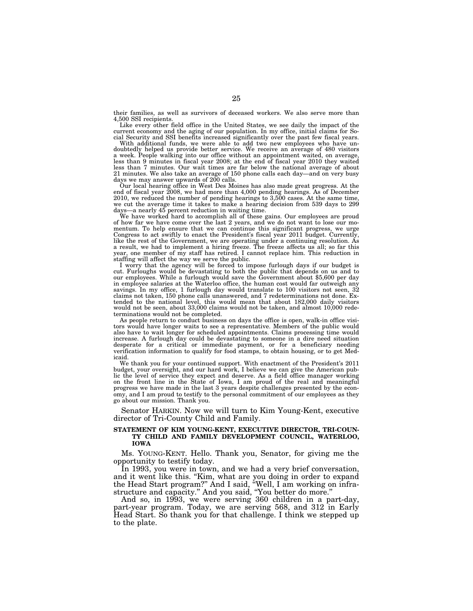their families, as well as survivors of deceased workers. We also serve more than 4,500 SSI recipients.

Like every other field office in the United States, we see daily the impact of the current economy and the aging of our population. In my office, initial claims for Social Security and SSI benefits increased significantly over the past few fiscal years.

With additional funds, we were able to add two new employees who have un-doubtedly helped us provide better service. We receive an average of 480 visitors a week. People walking into our office without an appointment waited, on average, less than 9 minutes in fiscal year 2008; at the end of fiscal year 2010 they waited less than 7 minutes. Our wait times are far below the national average of about 21 minutes. We also take an average of 150 phone calls each day—and on very busy days we may answer upwards of 200 calls. Our local hearing office in West Des Moines has also made great progress. At the

end of fiscal year 2008, we had more than 4,000 pending hearings. As of December 2010, we reduced the number of pending hearings to 3,500 cases. At the same time, we cut the average time it takes to make a hearing decision from 539 days to 299 days—a nearly 45 percent reduction in waiting time.

We have worked hard to accomplish all of these gains. Our employees are proud of how far we have come over the last 2 years, and we do not want to lose our momentum. To help ensure that we can continue this significant progress, we urge Congress to act swiftly to enact the President's fiscal year 2011 budget. Currently, like the rest of the Government, we are operating under a continuing resolution. As a result, we had to implement a hiring freeze. The freeze affects us all; so far this year, one member of my staff has retired. I cannot replace him. This reduction in staffing will affect the way we serve the public.

I worry that the agency will be forced to impose furlough days if our budget is cut. Furloughs would be devastating to both the public that depends on us and to our employees. While a furlough would save the Government about \$5,600 per day in employee salaries at the Waterloo office, the human cost would far outweigh any savings. In my office, 1 furlough day would translate to 100 visitors not seen, 32 claims not taken, 150 phone calls unanswered, and 7 redeterminations not done. Extended to the national level, this would mean that about 182,000 daily visitors would not be seen, about 33,000 claims would not be taken, and almost 10,000 redeterminations would not be completed.

As people return to conduct business on days the office is open, walk-in office visitors would have longer waits to see a representative. Members of the public would also have to wait longer for scheduled appointments. Claims processing time would increase. A furlough day could be devastating to someone in a dire need situation desperate for a critical or immediate payment, or for a beneficiary needing verification information to qualify for food stamps, to obtain housing, or to get Medicaid.

We thank you for your continued support. With enactment of the President's 2011 budget, your oversight, and our hard work, I believe we can give the American public the level of service they expect and deserve. As a field office manager working on the front line in the State of Iowa, I am proud of the real and meaningful progress we have made in the last 3 years despite challenges presented by the economy, and I am proud to testify to the personal commitment of our employees as they go about our mission. Thank you.

Senator HARKIN. Now we will turn to Kim Young-Kent, executive director of Tri-County Child and Family.

# **STATEMENT OF KIM YOUNG-KENT, EXECUTIVE DIRECTOR, TRI-COUN-TY CHILD AND FAMILY DEVELOPMENT COUNCIL, WATERLOO, IOWA**

Ms. YOUNG-KENT. Hello. Thank you, Senator, for giving me the opportunity to testify today.

In 1993, you were in town, and we had a very brief conversation, and it went like this. ''Kim, what are you doing in order to expand the Head Start program?'' And I said, ''Well, I am working on infrastructure and capacity.'' And you said, ''You better do more.''

And so, in 1993, we were serving 360 children in a part-day, part-year program. Today, we are serving 568, and 312 in Early Head Start. So thank you for that challenge. I think we stepped up to the plate.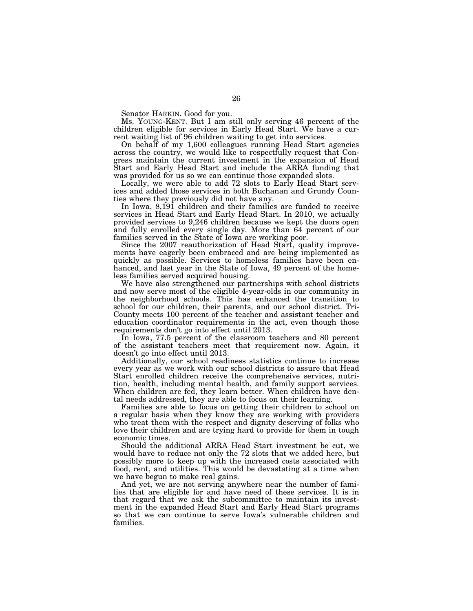Senator HARKIN. Good for you.

Ms. YOUNG-KENT. But I am still only serving 46 percent of the children eligible for services in Early Head Start. We have a current waiting list of 96 children waiting to get into services.

On behalf of my 1,600 colleagues running Head Start agencies across the country, we would like to respectfully request that Congress maintain the current investment in the expansion of Head Start and Early Head Start and include the ARRA funding that was provided for us so we can continue those expanded slots.

Locally, we were able to add 72 slots to Early Head Start services and added those services in both Buchanan and Grundy Counties where they previously did not have any.

In Iowa, 8,191 children and their families are funded to receive services in Head Start and Early Head Start. In 2010, we actually provided services to 9,246 children because we kept the doors open and fully enrolled every single day. More than 64 percent of our families served in the State of Iowa are working poor.

Since the 2007 reauthorization of Head Start, quality improvements have eagerly been embraced and are being implemented as quickly as possible. Services to homeless families have been enhanced, and last year in the State of Iowa, 49 percent of the homeless families served acquired housing.

We have also strengthened our partnerships with school districts and now serve most of the eligible 4-year-olds in our community in the neighborhood schools. This has enhanced the transition to school for our children, their parents, and our school district. Tri-County meets 100 percent of the teacher and assistant teacher and education coordinator requirements in the act, even though those requirements don't go into effect until 2013.

In Iowa, 77.5 percent of the classroom teachers and 80 percent of the assistant teachers meet that requirement now. Again, it doesn't go into effect until 2013.

Additionally, our school readiness statistics continue to increase every year as we work with our school districts to assure that Head Start enrolled children receive the comprehensive services, nutrition, health, including mental health, and family support services. When children are fed, they learn better. When children have dental needs addressed, they are able to focus on their learning.

Families are able to focus on getting their children to school on a regular basis when they know they are working with providers who treat them with the respect and dignity deserving of folks who love their children and are trying hard to provide for them in tough economic times.

Should the additional ARRA Head Start investment be cut, we would have to reduce not only the 72 slots that we added here, but possibly more to keep up with the increased costs associated with food, rent, and utilities. This would be devastating at a time when we have begun to make real gains.

And yet, we are not serving anywhere near the number of families that are eligible for and have need of these services. It is in that regard that we ask the subcommittee to maintain its investment in the expanded Head Start and Early Head Start programs so that we can continue to serve Iowa's vulnerable children and families.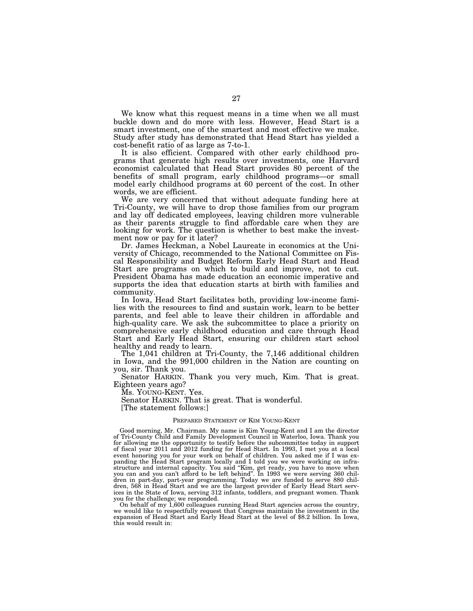We know what this request means in a time when we all must buckle down and do more with less. However, Head Start is a smart investment, one of the smartest and most effective we make. Study after study has demonstrated that Head Start has yielded a cost-benefit ratio of as large as 7-to-1.

It is also efficient. Compared with other early childhood programs that generate high results over investments, one Harvard economist calculated that Head Start provides 80 percent of the benefits of small program, early childhood programs—or small model early childhood programs at 60 percent of the cost. In other words, we are efficient.

We are very concerned that without adequate funding here at Tri-County, we will have to drop those families from our program and lay off dedicated employees, leaving children more vulnerable as their parents struggle to find affordable care when they are looking for work. The question is whether to best make the investment now or pay for it later?

Dr. James Heckman, a Nobel Laureate in economics at the University of Chicago, recommended to the National Committee on Fiscal Responsibility and Budget Reform Early Head Start and Head Start are programs on which to build and improve, not to cut. President Obama has made education an economic imperative and supports the idea that education starts at birth with families and community.

In Iowa, Head Start facilitates both, providing low-income families with the resources to find and sustain work, learn to be better parents, and feel able to leave their children in affordable and high-quality care. We ask the subcommittee to place a priority on comprehensive early childhood education and care through Head Start and Early Head Start, ensuring our children start school healthy and ready to learn.

The 1,041 children at Tri-County, the 7,146 additional children in Iowa, and the 991,000 children in the Nation are counting on you, sir. Thank you.

Senator HARKIN. Thank you very much, Kim. That is great. Eighteen years ago?

Ms. YOUNG-KENT. Yes.

Senator HARKIN. That is great. That is wonderful.

[The statement follows:]

### PREPARED STATEMENT OF KIM YOUNG-KENT

Good morning, Mr. Chairman. My name is Kim Young-Kent and I am the director of Tri-County Child and Family Development Council in Waterloo, Iowa. Thank you for allowing me the opportunity to testify before the subcommittee today in support of fiscal year 2011 and 2012 funding for Head Start. In 1993, I met you at a local event honoring you for your work on behalf of children. You asked me if I was expanding the Head Start program locally and I told you we were working on infrastructure and internal capacity. You said ''Kim, get ready, you have to move when you can and you can't afford to be left behind''. In 1993 we were serving 360 children in part-day, part-year programming. Today we are funded to serve 880 children, 568 in Head Start and we are the largest provider of Early Head Start services in the State of Iowa, serving 312 infants, toddlers, and pregnant women. Thank you for the challenge; we responded.

On behalf of my 1,600 colleagues running Head Start agencies across the country, we would like to respectfully request that Congress maintain the investment in the expansion of Head Start and Early Head Start at the level of \$8.2 billion. In Iowa, this would result in: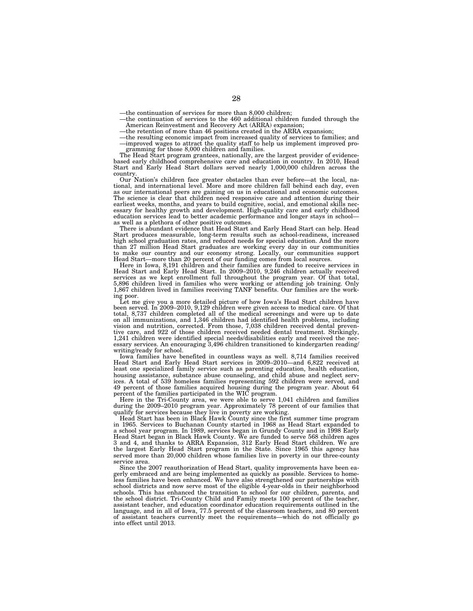—the continuation of services for more than 8,000 children;

- —the continuation of services to the 460 additional children funded through the American Reinvestment and Recovery Act (ARRA) expansion;
- —the retention of more than 46 positions created in the ARRA expansion;
- —the resulting economic impact from increased quality of services to families; and —improved wages to attract the quality staff to help us implement improved programming for those 8,000 children and families.

The Head Start program grantees, nationally, are the largest provider of evidencebased early childhood comprehensive care and education in country. In 2010, Head Start and Early Head Start dollars served nearly 1,000,000 children across the country.

Our Nation's children face greater obstacles than ever before—at the local, national, and international level. More and more children fall behind each day, even as our international peers are gaining on us in educational and economic outcomes. The science is clear that children need responsive care and attention during their earliest weeks, months, and years to build cognitive, social, and emotional skills nec-essary for healthy growth and development. High-quality care and early childhood education services lead to better academic performance and longer stays in school as well as a plethora of other positive outcomes.

There is abundant evidence that Head Start and Early Head Start can help. Head Start produces measurable, long-term results such as school-readiness, increased high school graduation rates, and reduced needs for special education. And the more than 27 million Head Start graduates are working every day in our communities to make our country and our economy strong. Locally, our communities support Head Start—more than 20 percent of our funding comes from local sources.

Here in Iowa, 8,191 children and their families are funded to receive services in Head Start and Early Head Start. In 2009–2010, 9,246 children actually received services as we kept enrollment full throughout the program year. Of that total, 5,896 children lived in families who were working or attending job training. Only 1,867 children lived in families receiving TANF benefits. Our families are the work-

ing poor. Let me give you a more detailed picture of how Iowa's Head Start children have been served. In 2009–2010, 9,129 children were given access to medical care. Of that total, 8,737 children completed all of the medical screenings and were up to date on all immunizations, and 1,346 children had identified health problems, including vision and nutrition, corrected. From those, 7,038 children received dental preven-tive care, and 922 of those children received needed dental treatment. Strikingly, 1,241 children were identified special needs/disabilities early and received the necessary services. An encouraging 3,496 children transitioned to kindergarten reading/ writing/ready for school.

Iowa families have benefited in countless ways as well. 8,714 families received Head Start and Early Head Start services in 2009–2010—and 6,822 received at least one specialized family service such as parenting education, health education, housing assistance, substance abuse counseling, and child abuse and neglect services. A total of 539 homeless families representing 592 children were served, and 49 percent of those families acquired housing during the program year. About 64 percent of the families participated in the WIC program.

Here in the Tri-County area, we were able to serve 1,041 children and families during the 2009–2010 program year. Approximately 78 percent of our families that qualify for services because they live in poverty are working.

Head Start has been in Black Hawk County since the first summer time program in 1965. Services to Buchanan County started in 1968 as Head Start expanded to a school year program. In 1989, services began in Grundy County and in 1998 Early Head Start began in Black Hawk County. We are funded to serve 568 children ages 3 and 4, and thanks to ARRA Expansion, 312 Early Head Start children. We are the largest Early Head Start program in the State. Since 1965 this agency has served more than 20,000 children whose families live in poverty in our three-county service area.

Since the 2007 reauthorization of Head Start, quality improvements have been eagerly embraced and are being implemented as quickly as possible. Services to homeless families have been enhanced. We have also strengthened our partnerships with school districts and now serve most of the eligible 4-year-olds in their neighborhood schools. This has enhanced the transition to school for our children, parents, and the school district. Tri-County Child and Family meets 100 percent of the teacher, assistant teacher, and education coordinator education requirements outlined in the language, and in all of Iowa, 77.5 percent of the classroom teachers, and 80 percent of assistant teachers currently meet the requirements—which do not officially go into effect until 2013.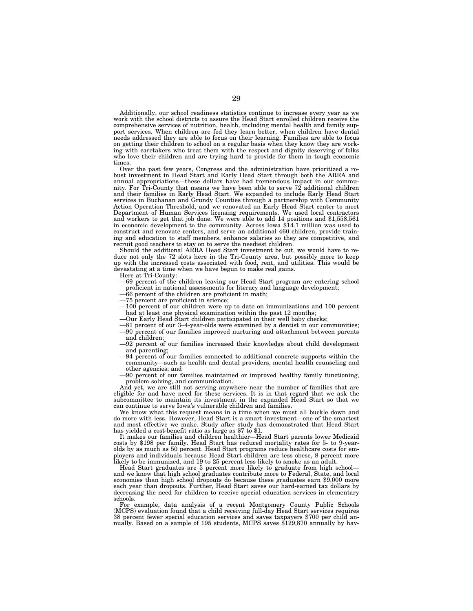Additionally, our school readiness statistics continue to increase every year as we work with the school districts to assure the Head Start enrolled children receive the comprehensive services of nutrition, health, including mental health and family support services. When children are fed they learn better, when children have dental needs addressed they are able to focus on their learning. Families are able to focus on getting their children to school on a regular basis when they know they are working with caretakers who treat them with the respect and dignity deserving of folks who love their children and are trying hard to provide for them in tough economic times.

Over the past few years, Congress and the administration have prioritized a robust investment in Head Start and Early Head Start through both the ARRA and annual appropriations—these dollars have had tremendous impact in our community. For Tri-County that means we have been able to serve  $72$  additional children and their families in Early Head Start. We expanded to include Early Head Start services in Buchanan and Grundy Counties through a partnership with Community Action Operation Threshold, and we renovated an Early Head Start center to meet Department of Human Services licensing requirements. We used local contractors and workers to get that job done. We were able to add 14 positions and \$1,558,561 in economic development to the community. Across Iowa \$14.1 million was used to construct and renovate centers, and serve an additional 460 children, provide training and education to staff members, enhance salaries so they are competitive, and recruit good teachers to stay on to serve the neediest children.

Should the additional ARRA Head Start investment be cut, we would have to reduce not only the 72 slots here in the Tri-County area, but possibly more to keep up with the increased costs associated with food, rent, and utilities. This would be devastating at a time when we have begun to make real gains.

Here at Tri-County:

- —69 percent of the children leaving our Head Start program are entering school proficient in national assessments for literacy and language development;
- —66 percent of the children are proficient in math;
- —75 percent are proficient in science;
- —100 percent of our children were up to date on immunizations and 100 percent had at least one physical examination within the past 12 months;
- —Our Early Head Start children participated in their well baby checks;
- —81 percent of our 3–4-year-olds were examined by a dentist in our communities; —90 percent of our families improved nurturing and attachment between parents
- and children; —92 percent of our families increased their knowledge about child development
- and parenting; —94 percent of our families connected to additional concrete supports within the community—such as health and dental providers, mental health counseling and other agencies; and
- —90 percent of our families maintained or improved healthy family functioning, problem solving, and communication.

And yet, we are still not serving anywhere near the number of families that are eligible for and have need for these services. It is in that regard that we ask the subcommittee to maintain its investment in the expanded Head Start so that we can continue to serve Iowa's vulnerable children and families.

We know what this request means in a time when we must all buckle down and do more with less. However, Head Start is a smart investment—one of the smartest and most effective we make. Study after study has demonstrated that Head Start has yielded a cost-benefit ratio as large as \$7 to \$1.

It makes our families and children healthier—Head Start parents lower Medicaid costs by \$198 per family. Head Start has reduced mortality rates for 5- to 9-yearolds by as much as 50 percent. Head Start programs reduce healthcare costs for employers and individuals because Head Start children are less obese, 8 percent more likely to be immunized, and 19 to 25 percent less likely to smoke as an adult.

Head Start graduates are 5 percent more likely to graduate from high school and we know that high school graduates contribute more to Federal, State, and local economies than high school dropouts do because these graduates earn \$9,000 more each year than dropouts. Further, Head Start saves our hard-earned tax dollars by decreasing the need for children to receive special education services in elementary schools.

For example, data analysis of a recent Montgomery County Public Schools (MCPS) evaluation found that a child receiving full-day Head Start services requires 38 percent fewer special education services and saves taxpayers \$700 per child annually. Based on a sample of 195 students, MCPS saves \$129,870 annually by hav-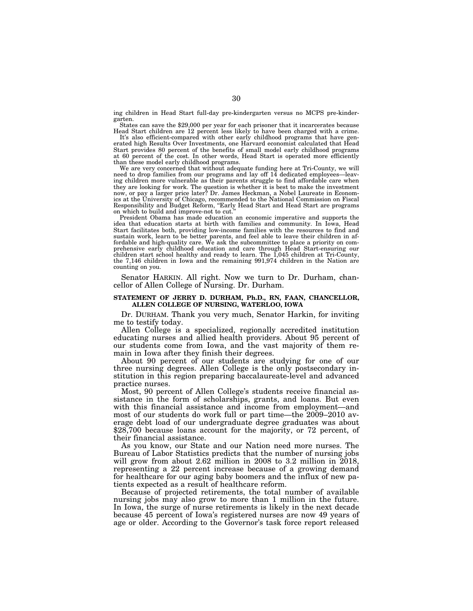ing children in Head Start full-day pre-kindergarten versus no MCPS pre-kindergarten.

States can save the \$29,000 per year for each prisoner that it incarcerates because Head Start children are 12 percent less likely to have been charged with a crime.

It's also efficient-compared with other early childhood programs that have generated high Results Over Investments, one Harvard economist calculated that Head Start provides 80 percent of the benefits of small model early childhood programs at 60 percent of the cost. In other words, Head Start is operated more efficiently than these model early childhood programs.

We are very concerned that without adequate funding here at Tri-County, we will need to drop families from our programs and lay off 14 dedicated employees—leaving children more vulnerable as their parents struggle to find affordable care when they are looking for work. The question is whether it is best to make the investment now, or pay a larger price later? Dr. James Heckman, a Nobel Laureate in Economics at the University of Chicago, recommended to the National Commission on Fiscal Responsibility and Budget Reform, ''Early Head Start and Head Start are programs on which to build and improve-not to cut.

President Obama has made education an economic imperative and supports the idea that education starts at birth with families and community. In Iowa, Head Start facilitates both, providing low-income families with the resources to find and sustain work, learn to be better parents, and feel able to leave their children in affordable and high-quality care. We ask the subcommittee to place a priority on comprehensive early childhood education and care through Head Start-ensuring our children start school healthy and ready to learn. The 1,045 children at Tri-County, the 7,146 children in Iowa and the remaining 991,974 children in the Nation are counting on you.

Senator HARKIN. All right. Now we turn to Dr. Durham, chancellor of Allen College of Nursing. Dr. Durham.

# **STATEMENT OF JERRY D. DURHAM, Ph.D., RN, FAAN, CHANCELLOR, ALLEN COLLEGE OF NURSING, WATERLOO, IOWA**

Dr. DURHAM. Thank you very much, Senator Harkin, for inviting me to testify today.

Allen College is a specialized, regionally accredited institution educating nurses and allied health providers. About 95 percent of our students come from Iowa, and the vast majority of them remain in Iowa after they finish their degrees.

About 90 percent of our students are studying for one of our three nursing degrees. Allen College is the only postsecondary institution in this region preparing baccalaureate-level and advanced practice nurses.

Most, 90 percent of Allen College's students receive financial assistance in the form of scholarships, grants, and loans. But even with this financial assistance and income from employment—and most of our students do work full or part time—the 2009–2010 average debt load of our undergraduate degree graduates was about \$28,700 because loans account for the majority, or 72 percent, of their financial assistance.

As you know, our State and our Nation need more nurses. The Bureau of Labor Statistics predicts that the number of nursing jobs will grow from about 2.62 million in 2008 to 3.2 million in 2018, representing a 22 percent increase because of a growing demand for healthcare for our aging baby boomers and the influx of new patients expected as a result of healthcare reform.

Because of projected retirements, the total number of available nursing jobs may also grow to more than 1 million in the future. In Iowa, the surge of nurse retirements is likely in the next decade because 45 percent of Iowa's registered nurses are now 49 years of age or older. According to the Governor's task force report released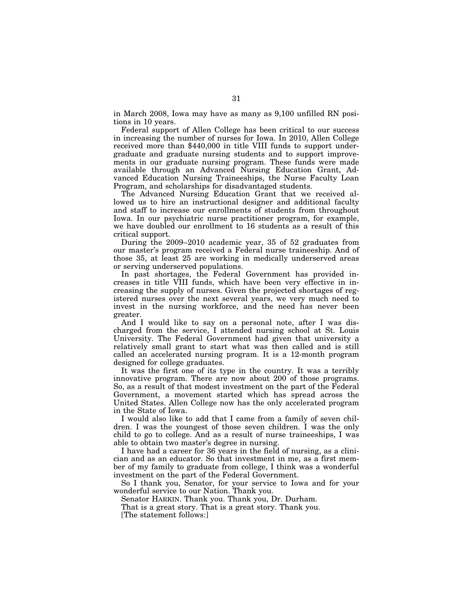in March 2008, Iowa may have as many as 9,100 unfilled RN positions in 10 years.

Federal support of Allen College has been critical to our success in increasing the number of nurses for Iowa. In 2010, Allen College received more than \$440,000 in title VIII funds to support undergraduate and graduate nursing students and to support improvements in our graduate nursing program. These funds were made available through an Advanced Nursing Education Grant, Advanced Education Nursing Traineeships, the Nurse Faculty Loan Program, and scholarships for disadvantaged students.

The Advanced Nursing Education Grant that we received allowed us to hire an instructional designer and additional faculty and staff to increase our enrollments of students from throughout Iowa. In our psychiatric nurse practitioner program, for example, we have doubled our enrollment to 16 students as a result of this critical support.

During the 2009–2010 academic year, 35 of 52 graduates from our master's program received a Federal nurse traineeship. And of those 35, at least 25 are working in medically underserved areas or serving underserved populations.

In past shortages, the Federal Government has provided increases in title VIII funds, which have been very effective in increasing the supply of nurses. Given the projected shortages of registered nurses over the next several years, we very much need to invest in the nursing workforce, and the need has never been greater.

And I would like to say on a personal note, after I was discharged from the service, I attended nursing school at St. Louis University. The Federal Government had given that university a relatively small grant to start what was then called and is still called an accelerated nursing program. It is a 12-month program designed for college graduates.

It was the first one of its type in the country. It was a terribly innovative program. There are now about 200 of those programs. So, as a result of that modest investment on the part of the Federal Government, a movement started which has spread across the United States. Allen College now has the only accelerated program in the State of Iowa.

I would also like to add that I came from a family of seven children. I was the youngest of those seven children. I was the only child to go to college. And as a result of nurse traineeships, I was able to obtain two master's degree in nursing.

I have had a career for 36 years in the field of nursing, as a clinician and as an educator. So that investment in me, as a first member of my family to graduate from college, I think was a wonderful investment on the part of the Federal Government.

So I thank you, Senator, for your service to Iowa and for your wonderful service to our Nation. Thank you.

Senator HARKIN. Thank you. Thank you, Dr. Durham.

That is a great story. That is a great story. Thank you.

[The statement follows:]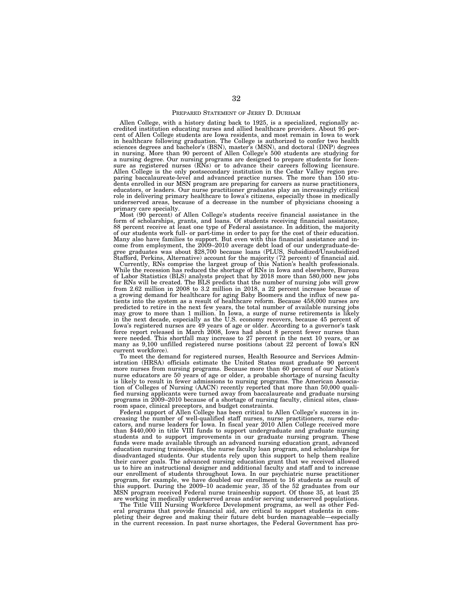#### PREPARED STATEMENT OF JERRY D. DURHAM

Allen College, with a history dating back to 1925, is a specialized, regionally ac-credited institution educating nurses and allied healthcare providers. About 95 percent of Allen College students are Iowa residents, and most remain in Iowa to work in healthcare following graduation. The College is authorized to confer two health sciences degrees and bachelor's (BSN), master's (MSN), and doctoral (DNP) degrees in nursing. More than 90 percent of Allen College's 500 students are studying for a nursing degree. Our nursing programs are designed to prepare students for licen-sure as registered nurses (RNs) or to advance their careers following licensure. Allen College is the only postsecondary institution in the Cedar Valley region pre-paring baccalaureate-level and advanced practice nurses. The more than 150 students enrolled in our MSN program are preparing for careers as nurse practitioners, educators, or leaders. Our nurse practitioner graduates play an increasingly critical role in delivering primary healthcare to Iowa's citizens, especially those in medically underserved areas, because of a decrease in the number of physicians choosing a primary care specialty.

Most (90 percent) of Allen College's students receive financial assistance in the form of scholarships, grants, and loans. Of students receiving financial assistance, 88 percent receive at least one type of Federal assistance. In addition, the majority of our students work full- or part-time in order to pay for the cost of their education. Many also have families to support. But even with this financial assistance and income from employment, the 2009–2010 average debt load of our undergraduate-degree graduates was about \$28,700 because loans (PLUS, Subsidized/Unsubsidized Stafford, Perkins, Alternative) account for the majority (72 percent) of financial aid.

Currently, RNs comprise the largest group of this Nation's health professionals. While the recession has reduced the shortage of RNs in Iowa and elsewhere, Bureau of Labor Statistics (BLS) analysts project that by 2018 more than 580,000 new jobs for RNs will be created. The BLS predicts that the number of nursing jobs will grow from 2.62 million in 2008 to 3.2 million in 2018, a 22 percent increase because of a growing demand for healthcare for aging Baby Boomers and the influx of new patients into the system as a result of healthcare reform. Because 458,000 nurses are predicted to retire in the next few years, the total number of available nursing jobs may grow to more than 1 million. In Iowa, a surge of nurse retirements is likely in the next decade, especially as the U.S. economy recovers, because 45 percent of Iowa's registered nurses are 49 years of age or older. According to a governor's task force report released in March 2008, Iowa had about 8 percent fewer nurses than were needed. This shortfall may increase to 27 percent in the next 10 years, or as many as 9,100 unfilled registered nurse positions (about 22 percent of Iowa's RN current workforce).

To meet the demand for registered nurses, Health Resource and Services Administration (HRSA) officials estimate the United States must graduate 90 percent more nurses from nursing programs. Because more than 60 percent of our Nation's nurse educators are 50 years of age or older, a probable shortage of nursing faculty is likely to result in fewer admissions to nursing programs. The American Association of Colleges of Nursing (AACN) recently reported that more than 50,000 qualified nursing applicants were turned away from baccalaureate and graduate nursing programs in 2009–2010 because of a shortage of nursing faculty, clinical sites, classroom space, clinical preceptors, and budget constraints.

Federal support of Allen College has been critical to Allen College's success in increasing the number of well-qualified staff nurses, nurse practitioners, nurse educators, and nurse leaders for Iowa. In fiscal year 2010 Allen College received more than \$440,000 in title VIII funds to support undergraduate and graduate nursing students and to support improvements in our graduate nursing program. These funds were made available through an advanced nursing education grant, advanced education nursing traineeships, the nurse faculty loan program, and scholarships for disadvantaged students. Our students rely upon this support to help them realize their career goals. The advanced nursing education grant that we received allowed us to hire an instructional designer and additional faculty and staff and to increase our enrollment of students throughout Iowa. In our psychiatric nurse practitioner program, for example, we have doubled our enrollment to 16 students as result of this support. During the 2009–10 academic year, 35 of the 52 graduates from our MSN program received Federal nurse traineeship support. Of those 35, at least 25 are working in medically underserved areas and/or serving underserved populations.

The Title VIII Nursing Workforce Development programs, as well as other Federal programs that provide financial aid, are critical to support students in completing their degree and making their future debt burden manageable—especially in the current recession. In past nurse shortages, the Federal Government has pro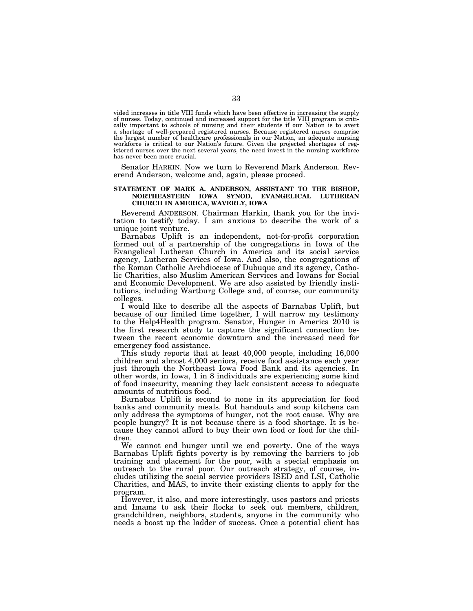vided increases in title VIII funds which have been effective in increasing the supply of nurses. Today, continued and increased support for the title VIII program is critically important to schools of nursing and their students if our Nation is to avert a shortage of well-prepared registered nurses. Because registered nurses comprise the largest number of healthcare professionals in our Nation, an adequate nursing workforce is critical to our Nation's future. Given the projected shortages of registered nurses over the next several years, the need invest in the nursing workforce has never been more crucial.

Senator HARKIN. Now we turn to Reverend Mark Anderson. Reverend Anderson, welcome and, again, please proceed.

# **STATEMENT OF MARK A. ANDERSON, ASSISTANT TO THE BISHOP, NORTHEASTERN IOWA SYNOD, EVANGELICAL LUTHERAN CHURCH IN AMERICA, WAVERLY, IOWA**

Reverend ANDERSON. Chairman Harkin, thank you for the invitation to testify today. I am anxious to describe the work of a unique joint venture.

Barnabas Uplift is an independent, not-for-profit corporation formed out of a partnership of the congregations in Iowa of the Evangelical Lutheran Church in America and its social service agency, Lutheran Services of Iowa. And also, the congregations of the Roman Catholic Archdiocese of Dubuque and its agency, Catholic Charities, also Muslim American Services and Iowans for Social and Economic Development. We are also assisted by friendly institutions, including Wartburg College and, of course, our community colleges.

I would like to describe all the aspects of Barnabas Uplift, but because of our limited time together, I will narrow my testimony to the Help4Health program. Senator, Hunger in America 2010 is the first research study to capture the significant connection between the recent economic downturn and the increased need for emergency food assistance.

This study reports that at least 40,000 people, including 16,000 children and almost 4,000 seniors, receive food assistance each year just through the Northeast Iowa Food Bank and its agencies. In other words, in Iowa, 1 in 8 individuals are experiencing some kind of food insecurity, meaning they lack consistent access to adequate amounts of nutritious food.

Barnabas Uplift is second to none in its appreciation for food banks and community meals. But handouts and soup kitchens can only address the symptoms of hunger, not the root cause. Why are people hungry? It is not because there is a food shortage. It is because they cannot afford to buy their own food or food for the children.

We cannot end hunger until we end poverty. One of the ways Barnabas Uplift fights poverty is by removing the barriers to job training and placement for the poor, with a special emphasis on outreach to the rural poor. Our outreach strategy, of course, includes utilizing the social service providers ISED and LSI, Catholic Charities, and MAS, to invite their existing clients to apply for the program.

However, it also, and more interestingly, uses pastors and priests and Imams to ask their flocks to seek out members, children, grandchildren, neighbors, students, anyone in the community who needs a boost up the ladder of success. Once a potential client has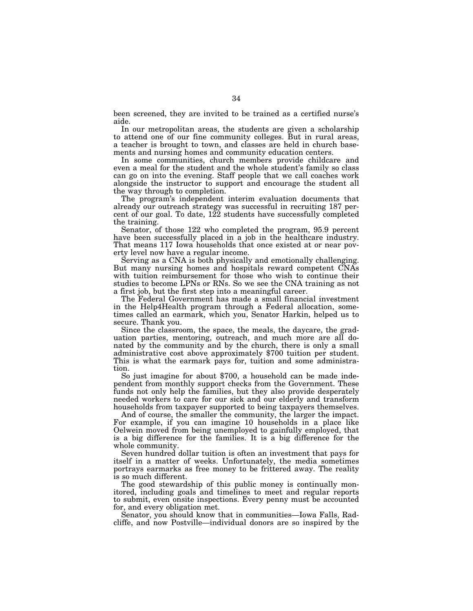been screened, they are invited to be trained as a certified nurse's aide.

In our metropolitan areas, the students are given a scholarship to attend one of our fine community colleges. But in rural areas, a teacher is brought to town, and classes are held in church basements and nursing homes and community education centers.

In some communities, church members provide childcare and even a meal for the student and the whole student's family so class can go on into the evening. Staff people that we call coaches work alongside the instructor to support and encourage the student all the way through to completion.

The program's independent interim evaluation documents that already our outreach strategy was successful in recruiting 187 percent of our goal. To date,  $122$  students have successfully completed the training.

Senator, of those 122 who completed the program, 95.9 percent have been successfully placed in a job in the healthcare industry. That means 117 Iowa households that once existed at or near poverty level now have a regular income.

Serving as a CNA is both physically and emotionally challenging. But many nursing homes and hospitals reward competent CNAs with tuition reimbursement for those who wish to continue their studies to become LPNs or RNs. So we see the CNA training as not a first job, but the first step into a meaningful career.

The Federal Government has made a small financial investment in the Help4Health program through a Federal allocation, sometimes called an earmark, which you, Senator Harkin, helped us to secure. Thank you.

Since the classroom, the space, the meals, the daycare, the graduation parties, mentoring, outreach, and much more are all donated by the community and by the church, there is only a small administrative cost above approximately \$700 tuition per student. This is what the earmark pays for, tuition and some administration.

So just imagine for about \$700, a household can be made independent from monthly support checks from the Government. These funds not only help the families, but they also provide desperately needed workers to care for our sick and our elderly and transform households from taxpayer supported to being taxpayers themselves.

And of course, the smaller the community, the larger the impact. For example, if you can imagine 10 households in a place like Oelwein moved from being unemployed to gainfully employed, that is a big difference for the families. It is a big difference for the whole community.

Seven hundred dollar tuition is often an investment that pays for itself in a matter of weeks. Unfortunately, the media sometimes portrays earmarks as free money to be frittered away. The reality is so much different.

The good stewardship of this public money is continually monitored, including goals and timelines to meet and regular reports to submit, even onsite inspections. Every penny must be accounted for, and every obligation met.

Senator, you should know that in communities—Iowa Falls, Radcliffe, and now Postville—individual donors are so inspired by the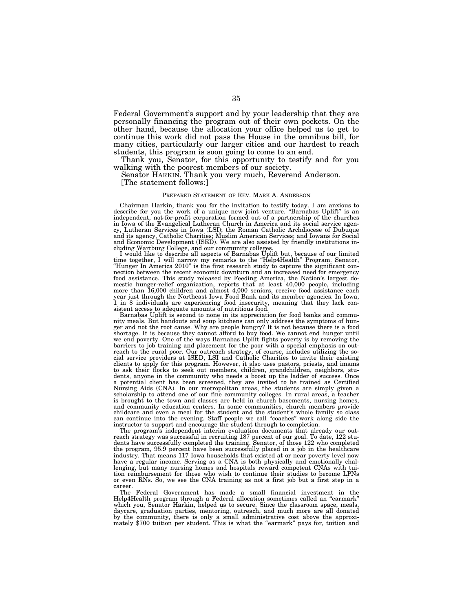Federal Government's support and by your leadership that they are personally financing the program out of their own pockets. On the other hand, because the allocation your office helped us to get to continue this work did not pass the House in the omnibus bill, for many cities, particularly our larger cities and our hardest to reach students, this program is soon going to come to an end.

Thank you, Senator, for this opportunity to testify and for you walking with the poorest members of our society.

Senator HARKIN. Thank you very much, Reverend Anderson. [The statement follows:]

#### PREPARED STATEMENT OF REV. MARK A. ANDERSON

Chairman Harkin, thank you for the invitation to testify today. I am anxious to describe for you the work of a unique new joint venture. ''Barnabas Uplift'' is an independent, not-for-profit corporation formed out of a partnership of the churches in Iowa of the Evangelical Lutheran Church in America and its social service agency, Lutheran Services in Iowa (LSI); the Roman Catholic Archdiocese of Dubuque and its agency, Catholic Charities; Muslim American Services; and Iowans for Social and Economic Development (ISED). We are also assisted by friendly institutions including Wartburg College, and our community colleges.

I would like to describe all aspects of Barnabas Uplift but, because of our limited time together, I will narrow my remarks to the ''Help4Health'' Program. Senator, "Hunger In America 2010" is the first research study to capture the significant connection between the recent economic downturn and an increased need for emergency food assistance. This study released by Feeding America, the Nation's largest domestic hunger-relief organization, reports that at least 40,000 people, including more than 16,000 children and almost 4,000 seniors, receive food assistance each year just through the Northeast Iowa Food Bank and its member agencies. In Iowa, 1 in 8 individuals are experiencing food insecurity, meaning that they lack consistent access to adequate amounts of nutritious food.

Barnabas Uplift is second to none in its appreciation for food banks and community meals. But handouts and soup kitchens can only address the symptoms of hunger and not the root cause. Why are people hungry? It is not because there is a food shortage. It is because they cannot afford to buy food. We cannot end hunger until we end poverty. One of the ways Barnabas Uplift fights poverty is by removing the barriers to job training and placement for the poor with a special emphasis on outreach to the rural poor. Our outreach strategy, of course, includes utilizing the social service providers at ISED, LSI and Catholic Charities to invite their existing clients to apply for this program. However, it also uses pastors, priests, and imams to ask their flocks to seek out members, children, grandchildren, neighbors, students, anyone in the community who needs a boost up the ladder of success. Once a potential client has been screened, they are invited to be trained as Certified Nursing Aids (CNA). In our metropolitan areas, the students are simply given a scholarship to attend one of our fine community colleges. In rural areas, a teacher is brought to the town and classes are held in church basements, nursing homes, and community education centers. In some communities, church members provide childcare and even a meal for the student and the student's whole family so class can continue into the evening. Staff people we call ''coaches'' work along side the instructor to support and encourage the student through to completion.

The program's independent interim evaluation documents that already our outreach strategy was successful in recruiting 187 percent of our goal. To date, 122 stu-dents have successfully completed the training. Senator, of those 122 who completed the program, 95.9 percent have been successfully placed in a job in the healthcare industry. That means 117 Iowa households that existed at or near poverty level now have a regular income. Serving as a CNA is both physically and emotionally challenging, but many nursing homes and hospitals reward competent CNAs with tuition reimbursement for those who wish to continue their studies to become LPNs or even RNs. So, we see the CNA training as not a first job but a first step in a career.

The Federal Government has made a small financial investment in the Help4Health program through a Federal allocation sometimes called an ''earmark'' which you, Senator Harkin, helped us to secure. Since the classroom space, meals, daycare, graduation parties, mentoring, outreach, and much more are all donated by the community, there is only a small administrative cost above the approximately \$700 tuition per student. This is what the "earmark" pays for, tuition and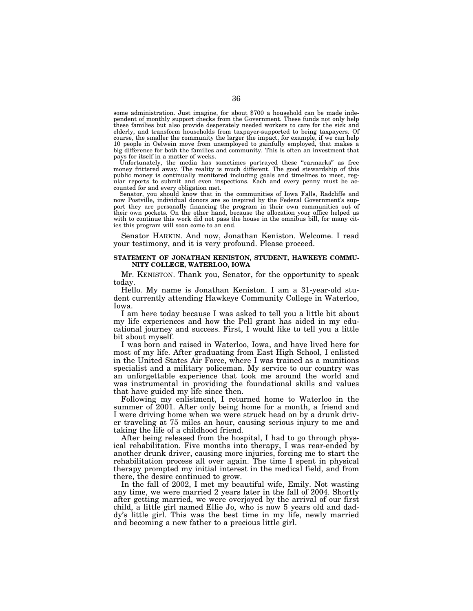some administration. Just imagine, for about \$700 a household can be made independent of monthly support checks from the Government. These funds not only help these families but also provide desperately needed workers to care for the sick and elderly, and transform households from taxpayer-supported to being taxpayers. Of course, the smaller the community the larger the impact, for example, if we can help 10 people in Oelwein move from unemployed to gainfully employed, that makes a big difference for both the families and community. This is often an investment that pays for itself in a matter of weeks.

Unfortunately, the media has sometimes portrayed these "earmarks" as free money frittered away. The reality is much different. The good stewardship of this public money is continually monitored including goals and timelines to meet, regular reports to submit and even inspections. Each and every penny must be accounted for and every obligation met.

Senator, you should know that in the communities of Iowa Falls, Radcliffe and now Postville, individual donors are so inspired by the Federal Government's support they are personally financing the program in their own communities out of their own pockets. On the other hand, because the allocation your office helped us with to continue this work did not pass the house in the omnibus bill, for many cities this program will soon come to an end.

Senator HARKIN. And now, Jonathan Keniston. Welcome. I read your testimony, and it is very profound. Please proceed.

# **STATEMENT OF JONATHAN KENISTON, STUDENT, HAWKEYE COMMU-NITY COLLEGE, WATERLOO, IOWA**

Mr. KENISTON. Thank you, Senator, for the opportunity to speak today.

Hello. My name is Jonathan Keniston. I am a 31-year-old student currently attending Hawkeye Community College in Waterloo, Iowa.

I am here today because I was asked to tell you a little bit about my life experiences and how the Pell grant has aided in my educational journey and success. First, I would like to tell you a little bit about myself.

I was born and raised in Waterloo, Iowa, and have lived here for most of my life. After graduating from East High School, I enlisted in the United States Air Force, where I was trained as a munitions specialist and a military policeman. My service to our country was an unforgettable experience that took me around the world and was instrumental in providing the foundational skills and values that have guided my life since then.

Following my enlistment, I returned home to Waterloo in the summer of 2001. After only being home for a month, a friend and I were driving home when we were struck head on by a drunk driver traveling at 75 miles an hour, causing serious injury to me and taking the life of a childhood friend.

After being released from the hospital, I had to go through physical rehabilitation. Five months into therapy, I was rear-ended by another drunk driver, causing more injuries, forcing me to start the rehabilitation process all over again. The time I spent in physical therapy prompted my initial interest in the medical field, and from there, the desire continued to grow.

In the fall of 2002, I met my beautiful wife, Emily. Not wasting any time, we were married 2 years later in the fall of 2004. Shortly after getting married, we were overjoyed by the arrival of our first child, a little girl named Ellie Jo, who is now 5 years old and daddy's little girl. This was the best time in my life, newly married and becoming a new father to a precious little girl.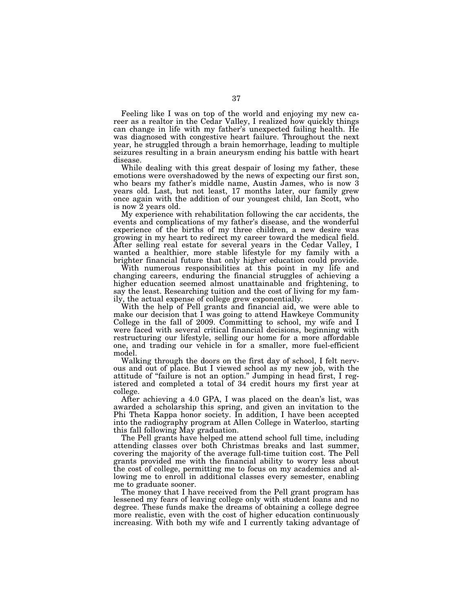Feeling like I was on top of the world and enjoying my new career as a realtor in the Cedar Valley, I realized how quickly things can change in life with my father's unexpected failing health. He was diagnosed with congestive heart failure. Throughout the next year, he struggled through a brain hemorrhage, leading to multiple seizures resulting in a brain aneurysm ending his battle with heart disease.

While dealing with this great despair of losing my father, these emotions were overshadowed by the news of expecting our first son, who bears my father's middle name, Austin James, who is now 3 years old. Last, but not least, 17 months later, our family grew once again with the addition of our youngest child, Ian Scott, who is now 2 years old.

My experience with rehabilitation following the car accidents, the events and complications of my father's disease, and the wonderful experience of the births of my three children, a new desire was growing in my heart to redirect my career toward the medical field. After selling real estate for several years in the Cedar Valley, I wanted a healthier, more stable lifestyle for my family with a brighter financial future that only higher education could provide.

With numerous responsibilities at this point in my life and changing careers, enduring the financial struggles of achieving a higher education seemed almost unattainable and frightening, to say the least. Researching tuition and the cost of living for my family, the actual expense of college grew exponentially.

With the help of Pell grants and financial aid, we were able to make our decision that I was going to attend Hawkeye Community College in the fall of 2009. Committing to school, my wife and I were faced with several critical financial decisions, beginning with restructuring our lifestyle, selling our home for a more affordable one, and trading our vehicle in for a smaller, more fuel-efficient model.

Walking through the doors on the first day of school, I felt nervous and out of place. But I viewed school as my new job, with the attitude of ''failure is not an option.'' Jumping in head first, I registered and completed a total of 34 credit hours my first year at college.

After achieving a 4.0 GPA, I was placed on the dean's list, was awarded a scholarship this spring, and given an invitation to the Phi Theta Kappa honor society. In addition, I have been accepted into the radiography program at Allen College in Waterloo, starting this fall following May graduation.

The Pell grants have helped me attend school full time, including attending classes over both Christmas breaks and last summer, covering the majority of the average full-time tuition cost. The Pell grants provided me with the financial ability to worry less about the cost of college, permitting me to focus on my academics and allowing me to enroll in additional classes every semester, enabling me to graduate sooner.

The money that I have received from the Pell grant program has lessened my fears of leaving college only with student loans and no degree. These funds make the dreams of obtaining a college degree more realistic, even with the cost of higher education continuously increasing. With both my wife and I currently taking advantage of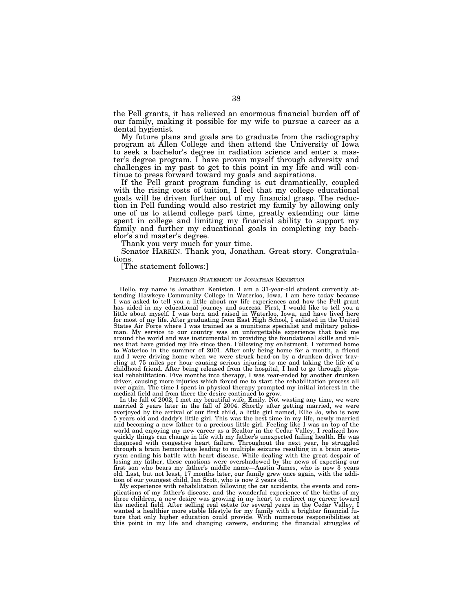the Pell grants, it has relieved an enormous financial burden off of our family, making it possible for my wife to pursue a career as a dental hygienist.

My future plans and goals are to graduate from the radiography program at Allen College and then attend the University of Iowa to seek a bachelor's degree in radiation science and enter a master's degree program. I have proven myself through adversity and challenges in my past to get to this point in my life and will continue to press forward toward my goals and aspirations.

If the Pell grant program funding is cut dramatically, coupled with the rising costs of tuition, I feel that my college educational goals will be driven further out of my financial grasp. The reduction in Pell funding would also restrict my family by allowing only one of us to attend college part time, greatly extending our time spent in college and limiting my financial ability to support my family and further my educational goals in completing my bachelor's and master's degree.

Thank you very much for your time.

Senator HARKIN. Thank you, Jonathan. Great story. Congratulations.

[The statement follows:]

# PREPARED STATEMENT OF JONATHAN KENISTON

Hello, my name is Jonathan Keniston. I am a 31-year-old student currently at-tending Hawkeye Community College in Waterloo, Iowa. I am here today because I was asked to tell you a little about my life experiences and how the Pell grant has aided in my educational journey and success. First, I would like to tell you a little about myself. I was born and raised in Waterloo, Iowa, and have lived here for most of my life. After graduating from East High School, I enlisted in the United States Air Force where I was trained as a munitions specialist and military policeman. My service to our country was an unforgettable experience that took me around the world and was instrumental in providing the foundational skills and values that have guided my life since then. Following my enlistment, I returned home to Waterloo in the summer of 2001. After only being home for a month, a friend and I were driving home when we were struck head-on by a drunken driver traveling at 75 miles per hour causing serious injuring to me and taking the life of a childhood friend. After being released from the hospital, I had to go through physical rehabilitation. Five months into therapy, I was rear-ended by another drunken driver, causing more injuries which forced me to start the rehabilitation process all over again. The time I spent in physical therapy prompted my initial interest in the medical field and from there the desire continued to grow.

In the fall of 2002, I met my beautiful wife, Emily. Not wasting any time, we were married 2 years later in the fall of 2004. Shortly after getting married, we were overjoyed by the arrival of our first child, a little girl named, Ellie Jo, who is now 5 years old and daddy's little girl. This was the best time in my life, newly married and becoming a new father to a precious little girl. Feeling like I was on top of the world and enjoying my new career as a Realtor in the Cedar Valley, I realized how quickly things can change in life with my father's unexpected failing health. He was diagnosed with congestive heart failure. Throughout the next year, he struggled through a brain hemorrhage leading to multiple seizures resulting in a brain aneurysm ending his battle with heart disease. While dealing with the great despair of losing my father, these emotions were overshadowed by the news of expecting our first son who bears my father's middle name—Austin James, who is now 3 years old. Last, but not least, 17 months later, our family grew once again, with the addition of our youngest child, Ian Scott, who is now 2 years old.

My experience with rehabilitation following the car accidents, the events and complications of my father's disease, and the wonderful experience of the births of my three children, a new desire was growing in my heart to redirect my career toward the medical field. After selling real estate for several years in the Cedar Valley, I wanted a healthier more stable lifestyle for my family with a brighter financial future that only higher education could provide. With numerous responsibilities at this point in my life and changing careers, enduring the financial struggles of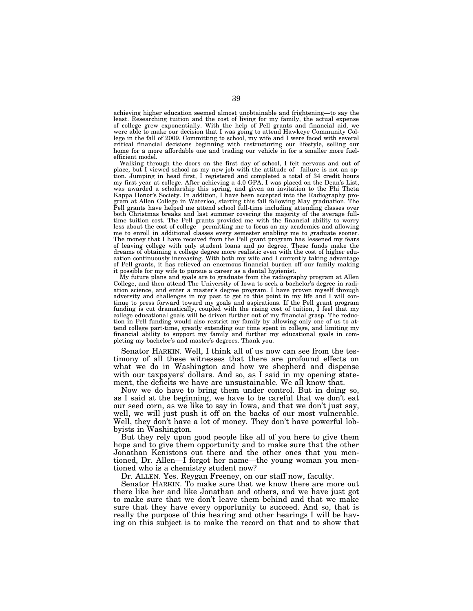achieving higher education seemed almost unobtainable and frightening—to say the least. Researching tuition and the cost of living for my family, the actual expense of college grew exponentially. With the help of Pell grants and financial aid, we were able to make our decision that I was going to attend Hawkeye Community College in the fall of 2009. Committing to school, my wife and I were faced with several critical financial decisions beginning with restructuring our lifestyle, selling our home for a more affordable one and trading our vehicle in for a smaller more fuelefficient model.

Walking through the doors on the first day of school, I felt nervous and out of place, but I viewed school as my new job with the attitude of—failure is not an option. Jumping in head first, I registered and completed a total of 34 credit hours my first year at college. After achieving a 4.0 GPA, I was placed on the Dean's List, was awarded a scholarship this spring, and given an invitation to the Phi Theta Kappa Honor's Society. In addition, I have been accepted into the Radiography program at Allen College in Waterloo, starting this fall following May graduation. The Pell grants have helped me attend school full-time including attending classes over both Christmas breaks and last summer covering the majority of the average fulltime tuition cost. The Pell grants provided me with the financial ability to worry less about the cost of college—permitting me to focus on my academics and allowing me to enroll in additional classes every semester enabling me to graduate sooner. The money that I have received from the Pell grant program has lessened my fears of leaving college with only student loans and no degree. These funds make the dreams of obtaining a college degree more realistic even with the cost of higher education continuously increasing. With both my wife and I currently taking advantage of Pell grants, it has relieved an enormous financial burden off our family making it possible for my wife to pursue a career as a dental hygienist.

My future plans and goals are to graduate from the radiography program at Allen College, and then attend The University of Iowa to seek a bachelor's degree in radiation science, and enter a master's degree program. I have proven myself through adversity and challenges in my past to get to this point in my life and I will continue to press forward toward my goals and aspirations. If the Pell grant program funding is cut dramatically, coupled with the rising cost of tuition, I feel that my college educational goals will be driven further out of my financial grasp. The reduction in Pell funding would also restrict my family by allowing only one of us to attend college part-time, greatly extending our time spent in college, and limiting my financial ability to support my family and further my educational goals in completing my bachelor's and master's degrees. Thank you.

Senator HARKIN. Well, I think all of us now can see from the testimony of all these witnesses that there are profound effects on what we do in Washington and how we shepherd and dispense with our taxpayers' dollars. And so, as I said in my opening statement, the deficits we have are unsustainable. We all know that.

Now we do have to bring them under control. But in doing so, as I said at the beginning, we have to be careful that we don't eat our seed corn, as we like to say in Iowa, and that we don't just say, well, we will just push it off on the backs of our most vulnerable. Well, they don't have a lot of money. They don't have powerful lobbyists in Washington.

But they rely upon good people like all of you here to give them hope and to give them opportunity and to make sure that the other Jonathan Kenistons out there and the other ones that you mentioned, Dr. Allen—I forgot her name—the young woman you mentioned who is a chemistry student now?

Dr. ALLEN. Yes. Reygan Freeney, on our staff now, faculty.

Senator HARKIN. To make sure that we know there are more out there like her and like Jonathan and others, and we have just got to make sure that we don't leave them behind and that we make sure that they have every opportunity to succeed. And so, that is really the purpose of this hearing and other hearings I will be having on this subject is to make the record on that and to show that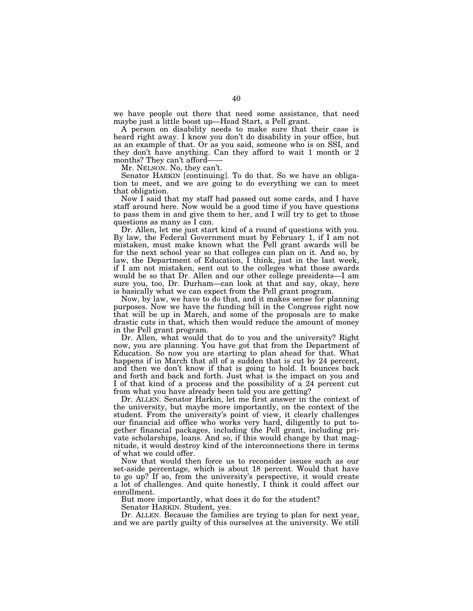we have people out there that need some assistance, that need maybe just a little boost up—Head Start, a Pell grant.

A person on disability needs to make sure that their case is heard right away. I know you don't do disability in your office, but as an example of that. Or as you said, someone who is on SSI, and they don't have anything. Can they afford to wait 1 month or 2 months? They can't afford-

Mr. NELSON. No, they can't.

Senator HARKIN [continuing]. To do that. So we have an obligation to meet, and we are going to do everything we can to meet that obligation.

Now I said that my staff had passed out some cards, and I have staff around here. Now would be a good time if you have questions to pass them in and give them to her, and I will try to get to those questions as many as I can.

Dr. Allen, let me just start kind of a round of questions with you. By law, the Federal Government must by February 1, if I am not mistaken, must make known what the Pell grant awards will be for the next school year so that colleges can plan on it. And so, by law, the Department of Education, I think, just in the last week, if I am not mistaken, sent out to the colleges what those awards would be so that Dr. Allen and our other college presidents—I am sure you, too, Dr. Durham—can look at that and say, okay, here is basically what we can expect from the Pell grant program.

Now, by law, we have to do that, and it makes sense for planning purposes. Now we have the funding bill in the Congress right now that will be up in March, and some of the proposals are to make drastic cuts in that, which then would reduce the amount of money in the Pell grant program.

Dr. Allen, what would that do to you and the university? Right now, you are planning. You have got that from the Department of Education. So now you are starting to plan ahead for that. What happens if in March that all of a sudden that is cut by 24 percent, and then we don't know if that is going to hold. It bounces back and forth and back and forth. Just what is the impact on you and I of that kind of a process and the possibility of a 24 percent cut from what you have already been told you are getting?

Dr. ALLEN. Senator Harkin, let me first answer in the context of the university, but maybe more importantly, on the context of the student. From the university's point of view, it clearly challenges our financial aid office who works very hard, diligently to put together financial packages, including the Pell grant, including private scholarships, loans. And so, if this would change by that magnitude, it would destroy kind of the interconnections there in terms of what we could offer.

Now that would then force us to reconsider issues such as our set-aside percentage, which is about 18 percent. Would that have to go up? If so, from the university's perspective, it would create a lot of challenges. And quite honestly, I think it could affect our enrollment.

But more importantly, what does it do for the student?

Senator HARKIN. Student, yes.

Dr. ALLEN. Because the families are trying to plan for next year, and we are partly guilty of this ourselves at the university. We still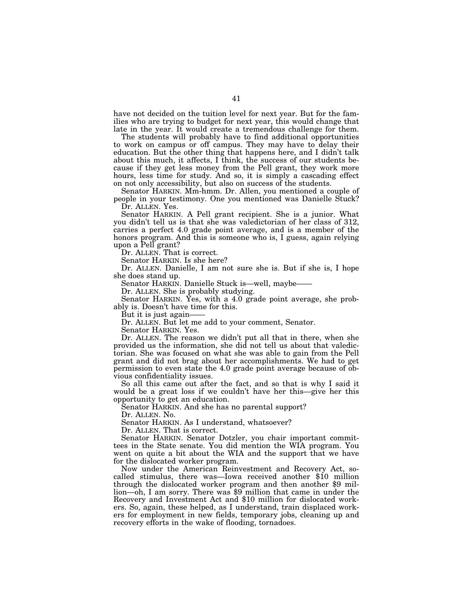have not decided on the tuition level for next year. But for the families who are trying to budget for next year, this would change that late in the year. It would create a tremendous challenge for them.

The students will probably have to find additional opportunities to work on campus or off campus. They may have to delay their education. But the other thing that happens here, and I didn't talk about this much, it affects, I think, the success of our students because if they get less money from the Pell grant, they work more hours, less time for study. And so, it is simply a cascading effect on not only accessibility, but also on success of the students.

Senator HARKIN. Mm-hmm. Dr. Allen, you mentioned a couple of people in your testimony. One you mentioned was Danielle Stuck? Dr. ALLEN. Yes.

Senator HARKIN. A Pell grant recipient. She is a junior. What you didn't tell us is that she was valedictorian of her class of 312, carries a perfect 4.0 grade point average, and is a member of the honors program. And this is someone who is, I guess, again relying upon a Pell grant?

Dr. ALLEN. That is correct.

Senator HARKIN. Is she here?

Dr. ALLEN. Danielle, I am not sure she is. But if she is, I hope she does stand up.

Senator HARKIN. Danielle Stuck is—well, maybe—

Dr. ALLEN. She is probably studying.

Senator HARKIN. Yes, with a 4.0 grade point average, she probably is. Doesn't have time for this.

But it is just again-

Dr. ALLEN. But let me add to your comment, Senator.

Senator HARKIN. Yes.

Dr. ALLEN. The reason we didn't put all that in there, when she provided us the information, she did not tell us about that valedictorian. She was focused on what she was able to gain from the Pell grant and did not brag about her accomplishments. We had to get permission to even state the 4.0 grade point average because of obvious confidentiality issues.

So all this came out after the fact, and so that is why I said it would be a great loss if we couldn't have her this—give her this opportunity to get an education.

Senator HARKIN. And she has no parental support?

Dr. ALLEN. No.

Senator HARKIN. As I understand, whatsoever?

Dr. ALLEN. That is correct.

Senator HARKIN. Senator Dotzler, you chair important committees in the State senate. You did mention the WIA program. You went on quite a bit about the WIA and the support that we have for the dislocated worker program.

Now under the American Reinvestment and Recovery Act, socalled stimulus, there was—Iowa received another \$10 million through the dislocated worker program and then another \$9 million—oh, I am sorry. There was \$9 million that came in under the Recovery and Investment Act and \$10 million for dislocated workers. So, again, these helped, as I understand, train displaced workers for employment in new fields, temporary jobs, cleaning up and recovery efforts in the wake of flooding, tornadoes.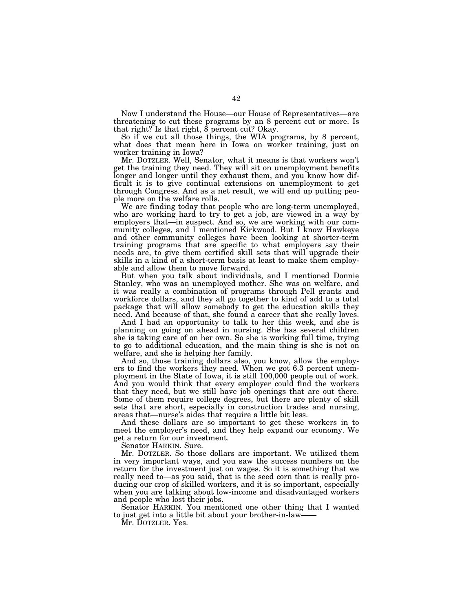Now I understand the House—our House of Representatives—are threatening to cut these programs by an 8 percent cut or more. Is that right? Is that right,  $\hat{8}$  percent cut? Okay.

So if we cut all those things, the WIA programs, by 8 percent, what does that mean here in Iowa on worker training, just on worker training in Iowa?

Mr. DOTZLER. Well, Senator, what it means is that workers won't get the training they need. They will sit on unemployment benefits longer and longer until they exhaust them, and you know how difficult it is to give continual extensions on unemployment to get through Congress. And as a net result, we will end up putting people more on the welfare rolls.

We are finding today that people who are long-term unemployed, who are working hard to try to get a job, are viewed in a way by employers that—in suspect. And so, we are working with our community colleges, and I mentioned Kirkwood. But I know Hawkeye and other community colleges have been looking at shorter-term training programs that are specific to what employers say their needs are, to give them certified skill sets that will upgrade their skills in a kind of a short-term basis at least to make them employable and allow them to move forward.

But when you talk about individuals, and I mentioned Donnie Stanley, who was an unemployed mother. She was on welfare, and it was really a combination of programs through Pell grants and workforce dollars, and they all go together to kind of add to a total package that will allow somebody to get the education skills they need. And because of that, she found a career that she really loves.

And I had an opportunity to talk to her this week, and she is planning on going on ahead in nursing. She has several children she is taking care of on her own. So she is working full time, trying to go to additional education, and the main thing is she is not on welfare, and she is helping her family.

And so, those training dollars also, you know, allow the employers to find the workers they need. When we got 6.3 percent unemployment in the State of Iowa, it is still 100,000 people out of work. And you would think that every employer could find the workers that they need, but we still have job openings that are out there. Some of them require college degrees, but there are plenty of skill sets that are short, especially in construction trades and nursing, areas that—nurse's aides that require a little bit less.

And these dollars are so important to get these workers in to meet the employer's need, and they help expand our economy. We get a return for our investment.

Senator HARKIN. Sure.

Mr. DOTZLER. So those dollars are important. We utilized them in very important ways, and you saw the success numbers on the return for the investment just on wages. So it is something that we really need to—as you said, that is the seed corn that is really producing our crop of skilled workers, and it is so important, especially when you are talking about low-income and disadvantaged workers and people who lost their jobs.

Senator HARKIN. You mentioned one other thing that I wanted to just get into a little bit about your brother-in-law-

Mr. DOTZLER. Yes.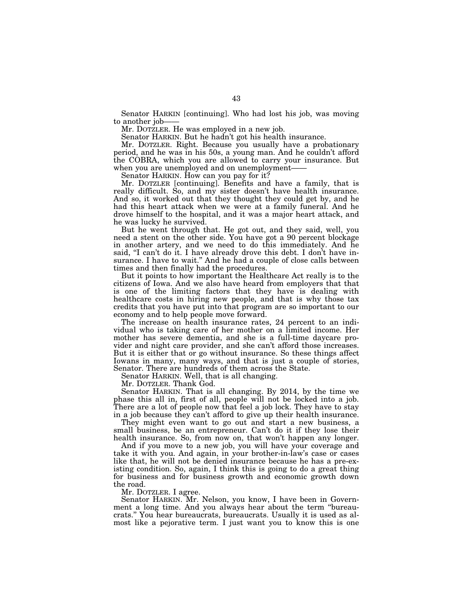Senator HARKIN [continuing]. Who had lost his job, was moving to another job-

Mr. DOTZLER. He was employed in a new job.

Senator HARKIN. But he hadn't got his health insurance.

Mr. DOTZLER. Right. Because you usually have a probationary period, and he was in his 50s, a young man. And he couldn't afford the COBRA, which you are allowed to carry your insurance. But when you are unemployed and on unemployment-

Senator HARKIN. How can you pay for it?

Mr. DOTZLER [continuing]. Benefits and have a family, that is really difficult. So, and my sister doesn't have health insurance. And so, it worked out that they thought they could get by, and he had this heart attack when we were at a family funeral. And he drove himself to the hospital, and it was a major heart attack, and he was lucky he survived.

But he went through that. He got out, and they said, well, you need a stent on the other side. You have got a 90 percent blockage in another artery, and we need to do this immediately. And he said, "I can't do it. I have already drove this debt. I don't have insurance. I have to wait.'' And he had a couple of close calls between times and then finally had the procedures.

But it points to how important the Healthcare Act really is to the citizens of Iowa. And we also have heard from employers that that is one of the limiting factors that they have is dealing with healthcare costs in hiring new people, and that is why those tax credits that you have put into that program are so important to our economy and to help people move forward.

The increase on health insurance rates, 24 percent to an individual who is taking care of her mother on a limited income. Her mother has severe dementia, and she is a full-time daycare provider and night care provider, and she can't afford those increases. But it is either that or go without insurance. So these things affect Iowans in many, many ways, and that is just a couple of stories, Senator. There are hundreds of them across the State.

Senator HARKIN. Well, that is all changing.

Mr. DOTZLER. Thank God.

Senator HARKIN. That is all changing. By 2014, by the time we phase this all in, first of all, people will not be locked into a job. There are a lot of people now that feel a job lock. They have to stay in a job because they can't afford to give up their health insurance.

They might even want to go out and start a new business, a small business, be an entrepreneur. Can't do it if they lose their health insurance. So, from now on, that won't happen any longer.

And if you move to a new job, you will have your coverage and take it with you. And again, in your brother-in-law's case or cases like that, he will not be denied insurance because he has a pre-existing condition. So, again, I think this is going to do a great thing for business and for business growth and economic growth down the road.

Mr. DOTZLER. I agree.

Senator HARKIN. Mr. Nelson, you know, I have been in Government a long time. And you always hear about the term ''bureaucrats.'' You hear bureaucrats, bureaucrats. Usually it is used as almost like a pejorative term. I just want you to know this is one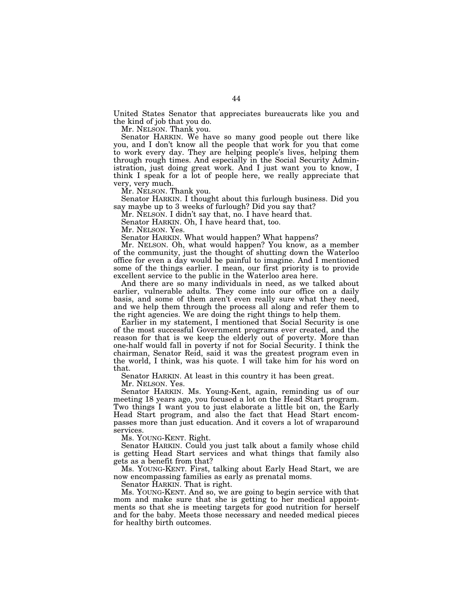United States Senator that appreciates bureaucrats like you and the kind of job that you do.

Mr. NELSON. Thank you.

Senator HARKIN. We have so many good people out there like you, and I don't know all the people that work for you that come to work every day. They are helping people's lives, helping them through rough times. And especially in the Social Security Administration, just doing great work. And I just want you to know, I think I speak for a lot of people here, we really appreciate that very, very much.

Mr. NELSON. Thank you.

Senator HARKIN. I thought about this furlough business. Did you say maybe up to 3 weeks of furlough? Did you say that?

Mr. NELSON. I didn't say that, no. I have heard that.

Senator HARKIN. Oh, I have heard that, too.

Mr. NELSON. Yes.

Senator HARKIN. What would happen? What happens?

Mr. NELSON. Oh, what would happen? You know, as a member of the community, just the thought of shutting down the Waterloo office for even a day would be painful to imagine. And I mentioned some of the things earlier. I mean, our first priority is to provide excellent service to the public in the Waterloo area here.

And there are so many individuals in need, as we talked about earlier, vulnerable adults. They come into our office on a daily basis, and some of them aren't even really sure what they need, and we help them through the process all along and refer them to the right agencies. We are doing the right things to help them.

Earlier in my statement, I mentioned that Social Security is one of the most successful Government programs ever created, and the reason for that is we keep the elderly out of poverty. More than one-half would fall in poverty if not for Social Security. I think the chairman, Senator Reid, said it was the greatest program even in the world, I think, was his quote. I will take him for his word on that.

Senator HARKIN. At least in this country it has been great.

Mr. NELSON. Yes.

Senator HARKIN. Ms. Young-Kent, again, reminding us of our meeting 18 years ago, you focused a lot on the Head Start program. Two things I want you to just elaborate a little bit on, the Early Head Start program, and also the fact that Head Start encompasses more than just education. And it covers a lot of wraparound services.

Ms. YOUNG-KENT. Right.

Senator HARKIN. Could you just talk about a family whose child is getting Head Start services and what things that family also gets as a benefit from that?

Ms. YOUNG-KENT. First, talking about Early Head Start, we are now encompassing families as early as prenatal moms.

Senator HARKIN. That is right.

Ms. YOUNG-KENT. And so, we are going to begin service with that mom and make sure that she is getting to her medical appointments so that she is meeting targets for good nutrition for herself and for the baby. Meets those necessary and needed medical pieces for healthy birth outcomes.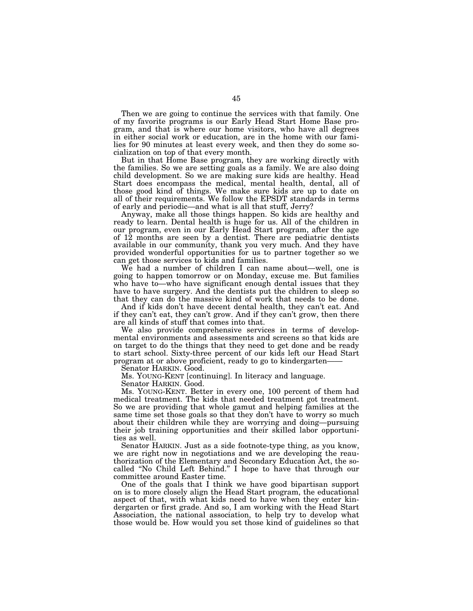Then we are going to continue the services with that family. One of my favorite programs is our Early Head Start Home Base program, and that is where our home visitors, who have all degrees in either social work or education, are in the home with our families for 90 minutes at least every week, and then they do some socialization on top of that every month.

But in that Home Base program, they are working directly with the families. So we are setting goals as a family. We are also doing child development. So we are making sure kids are healthy. Head Start does encompass the medical, mental health, dental, all of those good kind of things. We make sure kids are up to date on all of their requirements. We follow the EPSDT standards in terms of early and periodic—and what is all that stuff, Jerry?

Anyway, make all those things happen. So kids are healthy and ready to learn. Dental health is huge for us. All of the children in our program, even in our Early Head Start program, after the age of 12 months are seen by a dentist. There are pediatric dentists available in our community, thank you very much. And they have provided wonderful opportunities for us to partner together so we can get those services to kids and families.

We had a number of children I can name about—well, one is going to happen tomorrow or on Monday, excuse me. But families who have to—who have significant enough dental issues that they have to have surgery. And the dentists put the children to sleep so that they can do the massive kind of work that needs to be done.

And if kids don't have decent dental health, they can't eat. And if they can't eat, they can't grow. And if they can't grow, then there are all kinds of stuff that comes into that.

We also provide comprehensive services in terms of developmental environments and assessments and screens so that kids are on target to do the things that they need to get done and be ready to start school. Sixty-three percent of our kids left our Head Start program at or above proficient, ready to go to kindergarten——

Senator HARKIN. Good.

Ms. YOUNG-KENT [continuing]. In literacy and language.

Senator HARKIN. Good.

Ms. YOUNG-KENT. Better in every one, 100 percent of them had medical treatment. The kids that needed treatment got treatment. So we are providing that whole gamut and helping families at the same time set those goals so that they don't have to worry so much about their children while they are worrying and doing—pursuing their job training opportunities and their skilled labor opportunities as well.

Senator HARKIN. Just as a side footnote-type thing, as you know, we are right now in negotiations and we are developing the reauthorization of the Elementary and Secondary Education Act, the socalled ''No Child Left Behind.'' I hope to have that through our committee around Easter time.

One of the goals that I think we have good bipartisan support on is to more closely align the Head Start program, the educational aspect of that, with what kids need to have when they enter kindergarten or first grade. And so, I am working with the Head Start Association, the national association, to help try to develop what those would be. How would you set those kind of guidelines so that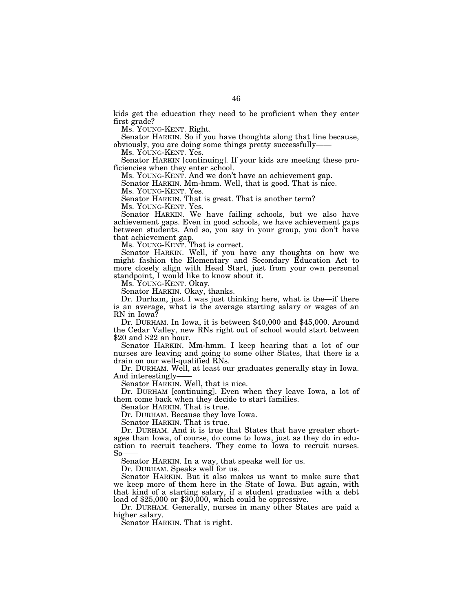kids get the education they need to be proficient when they enter first grade?

Ms. YOUNG-KENT. Right.

Senator HARKIN. So if you have thoughts along that line because, obviously, you are doing some things pretty successfully——

Ms. YOUNG-KENT. Yes.

Senator HARKIN [continuing]. If your kids are meeting these proficiencies when they enter school.

Ms. YOUNG-KENT. And we don't have an achievement gap.

Senator HARKIN. Mm-hmm. Well, that is good. That is nice. Ms. YOUNG-KENT. Yes.

Senator HARKIN. That is great. That is another term?

Ms. YOUNG-KENT. Yes.

Senator HARKIN. We have failing schools, but we also have achievement gaps. Even in good schools, we have achievement gaps between students. And so, you say in your group, you don't have that achievement gap.

Ms. YOUNG-KENT. That is correct.

Senator HARKIN. Well, if you have any thoughts on how we might fashion the Elementary and Secondary Education Act to more closely align with Head Start, just from your own personal standpoint, I would like to know about it.

Ms. YOUNG-KENT. Okay.

Senator HARKIN. Okay, thanks.

Dr. Durham, just I was just thinking here, what is the—if there is an average, what is the average starting salary or wages of an RN in Iowa?

Dr. DURHAM. In Iowa, it is between \$40,000 and \$45,000. Around the Cedar Valley, new RNs right out of school would start between \$20 and \$22 an hour.

Senator HARKIN. Mm-hmm. I keep hearing that a lot of our nurses are leaving and going to some other States, that there is a drain on our well-qualified RNs.

Dr. DURHAM. Well, at least our graduates generally stay in Iowa. And interestingly-

Senator HARKIN. Well, that is nice.

Dr. DURHAM [continuing]. Even when they leave Iowa, a lot of them come back when they decide to start families.

Senator HARKIN. That is true.

Dr. DURHAM. Because they love Iowa.

Senator HARKIN. That is true.

Dr. DURHAM. And it is true that States that have greater shortages than Iowa, of course, do come to Iowa, just as they do in education to recruit teachers. They come to Iowa to recruit nurses.  $So-$ 

Senator HARKIN. In a way, that speaks well for us.

Dr. DURHAM. Speaks well for us.

Senator HARKIN. But it also makes us want to make sure that we keep more of them here in the State of Iowa. But again, with that kind of a starting salary, if a student graduates with a debt load of \$25,000 or \$30,000, which could be oppressive.

Dr. DURHAM. Generally, nurses in many other States are paid a higher salary.

Senator HARKIN. That is right.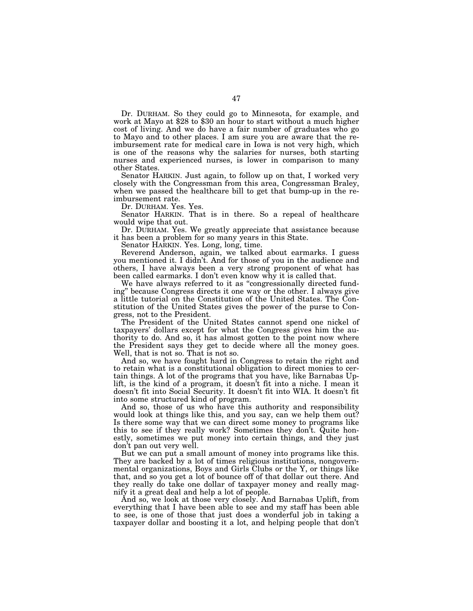Dr. DURHAM. So they could go to Minnesota, for example, and work at Mayo at \$28 to \$30 an hour to start without a much higher cost of living. And we do have a fair number of graduates who go to Mayo and to other places. I am sure you are aware that the reimbursement rate for medical care in Iowa is not very high, which is one of the reasons why the salaries for nurses, both starting nurses and experienced nurses, is lower in comparison to many other States.

Senator HARKIN. Just again, to follow up on that, I worked very closely with the Congressman from this area, Congressman Braley, when we passed the healthcare bill to get that bump-up in the reimbursement rate.

Dr. DURHAM. Yes. Yes.

Senator HARKIN. That is in there. So a repeal of healthcare would wipe that out.

Dr. DURHAM. Yes. We greatly appreciate that assistance because it has been a problem for so many years in this State.

Senator HARKIN. Yes. Long, long, time.

Reverend Anderson, again, we talked about earmarks. I guess you mentioned it. I didn't. And for those of you in the audience and others, I have always been a very strong proponent of what has been called earmarks. I don't even know why it is called that.

We have always referred to it as ''congressionally directed funding'' because Congress directs it one way or the other. I always give a little tutorial on the Constitution of the United States. The Constitution of the United States gives the power of the purse to Congress, not to the President.

The President of the United States cannot spend one nickel of taxpayers' dollars except for what the Congress gives him the authority to do. And so, it has almost gotten to the point now where the President says they get to decide where all the money goes. Well, that is not so. That is not so.

And so, we have fought hard in Congress to retain the right and to retain what is a constitutional obligation to direct monies to certain things. A lot of the programs that you have, like Barnabas Uplift, is the kind of a program, it doesn't fit into a niche. I mean it doesn't fit into Social Security. It doesn't fit into WIA. It doesn't fit into some structured kind of program.

And so, those of us who have this authority and responsibility would look at things like this, and you say, can we help them out? Is there some way that we can direct some money to programs like this to see if they really work? Sometimes they don't. Quite honestly, sometimes we put money into certain things, and they just don't pan out very well.

But we can put a small amount of money into programs like this. They are backed by a lot of times religious institutions, nongovernmental organizations, Boys and Girls Clubs or the Y, or things like that, and so you get a lot of bounce off of that dollar out there. And they really do take one dollar of taxpayer money and really magnify it a great deal and help a lot of people.

And so, we look at those very closely. And Barnabas Uplift, from everything that I have been able to see and my staff has been able to see, is one of those that just does a wonderful job in taking a taxpayer dollar and boosting it a lot, and helping people that don't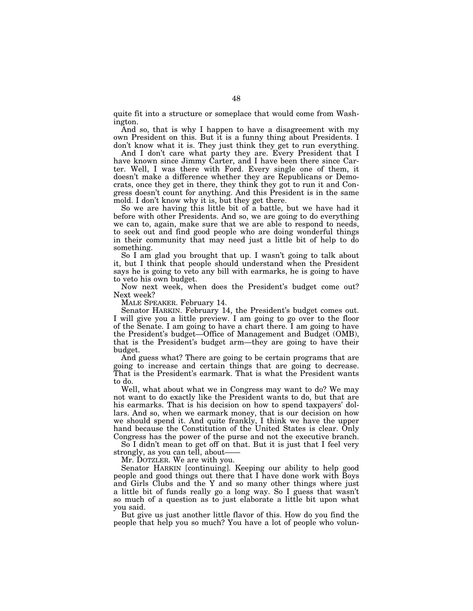quite fit into a structure or someplace that would come from Washington.

And so, that is why I happen to have a disagreement with my own President on this. But it is a funny thing about Presidents. I don't know what it is. They just think they get to run everything.

And I don't care what party they are. Every President that I have known since Jimmy Carter, and I have been there since Carter. Well, I was there with Ford. Every single one of them, it doesn't make a difference whether they are Republicans or Democrats, once they get in there, they think they got to run it and Congress doesn't count for anything. And this President is in the same mold. I don't know why it is, but they get there.

So we are having this little bit of a battle, but we have had it before with other Presidents. And so, we are going to do everything we can to, again, make sure that we are able to respond to needs, to seek out and find good people who are doing wonderful things in their community that may need just a little bit of help to do something.

So I am glad you brought that up. I wasn't going to talk about it, but I think that people should understand when the President says he is going to veto any bill with earmarks, he is going to have to veto his own budget.

Now next week, when does the President's budget come out? Next week?

MALE SPEAKER. February 14.

Senator HARKIN. February 14, the President's budget comes out. I will give you a little preview. I am going to go over to the floor of the Senate. I am going to have a chart there. I am going to have the President's budget—Office of Management and Budget (OMB), that is the President's budget arm—they are going to have their budget.

And guess what? There are going to be certain programs that are going to increase and certain things that are going to decrease. going to increase and correct masp case of  $\sigma$ . That is what the President wants to do.

Well, what about what we in Congress may want to do? We may not want to do exactly like the President wants to do, but that are his earmarks. That is his decision on how to spend taxpayers' dollars. And so, when we earmark money, that is our decision on how we should spend it. And quite frankly, I think we have the upper hand because the Constitution of the United States is clear. Only Congress has the power of the purse and not the executive branch.

So I didn't mean to get off on that. But it is just that I feel very strongly, as you can tell, about-

Mr. DOTZLER. We are with you.

Senator HARKIN [continuing]. Keeping our ability to help good people and good things out there that I have done work with Boys and Girls Clubs and the Y and so many other things where just a little bit of funds really go a long way. So I guess that wasn't so much of a question as to just elaborate a little bit upon what you said.

But give us just another little flavor of this. How do you find the people that help you so much? You have a lot of people who volun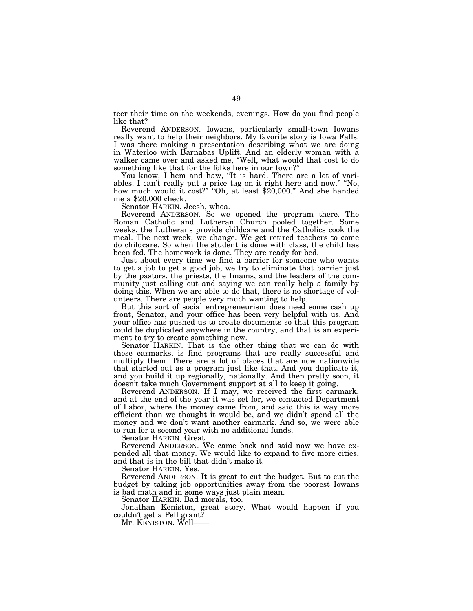teer their time on the weekends, evenings. How do you find people like that?

Reverend ANDERSON. Iowans, particularly small-town Iowans really want to help their neighbors. My favorite story is Iowa Falls. I was there making a presentation describing what we are doing in Waterloo with Barnabas Uplift. And an elderly woman with a walker came over and asked me, "Well, what would that cost to do something like that for the folks here in our town?''

You know, I hem and haw, "It is hard. There are a lot of variables. I can't really put a price tag on it right here and now.'' ''No, how much would it cost?" "Oh, at least \$20,000." And she handed me a \$20,000 check.

Senator HARKIN. Jeesh, whoa.

Reverend ANDERSON. So we opened the program there. The Roman Catholic and Lutheran Church pooled together. Some weeks, the Lutherans provide childcare and the Catholics cook the meal. The next week, we change. We get retired teachers to come do childcare. So when the student is done with class, the child has been fed. The homework is done. They are ready for bed.

Just about every time we find a barrier for someone who wants to get a job to get a good job, we try to eliminate that barrier just by the pastors, the priests, the Imams, and the leaders of the community just calling out and saying we can really help a family by doing this. When we are able to do that, there is no shortage of volunteers. There are people very much wanting to help.

But this sort of social entrepreneurism does need some cash up front, Senator, and your office has been very helpful with us. And your office has pushed us to create documents so that this program could be duplicated anywhere in the country, and that is an experiment to try to create something new.

Senator HARKIN. That is the other thing that we can do with these earmarks, is find programs that are really successful and multiply them. There are a lot of places that are now nationwide that started out as a program just like that. And you duplicate it, and you build it up regionally, nationally. And then pretty soon, it doesn't take much Government support at all to keep it going.

Reverend ANDERSON. If I may, we received the first earmark, and at the end of the year it was set for, we contacted Department of Labor, where the money came from, and said this is way more efficient than we thought it would be, and we didn't spend all the money and we don't want another earmark. And so, we were able to run for a second year with no additional funds.

Senator HARKIN. Great.

Reverend ANDERSON. We came back and said now we have expended all that money. We would like to expand to five more cities, and that is in the bill that didn't make it.

Senator HARKIN. Yes.

Reverend ANDERSON. It is great to cut the budget. But to cut the budget by taking job opportunities away from the poorest Iowans is bad math and in some ways just plain mean.

Senator HARKIN. Bad morals, too.

Jonathan Keniston, great story. What would happen if you couldn't get a Pell grant?

Mr. KENISTON. Well——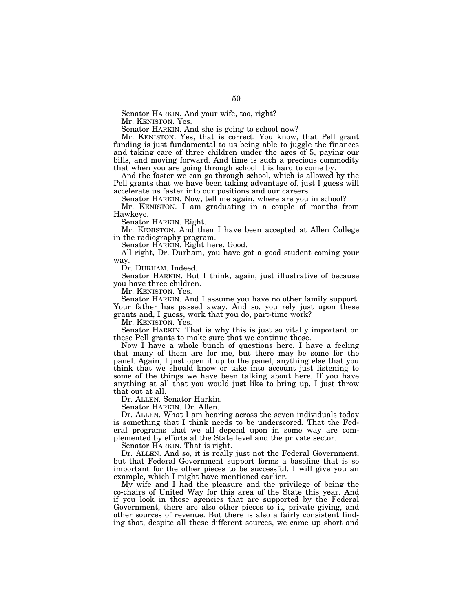Senator HARKIN. And your wife, too, right?

Mr. KENISTON. Yes.

Senator HARKIN. And she is going to school now?

Mr. KENISTON. Yes, that is correct. You know, that Pell grant funding is just fundamental to us being able to juggle the finances and taking care of three children under the ages of 5, paying our bills, and moving forward. And time is such a precious commodity that when you are going through school it is hard to come by.

And the faster we can go through school, which is allowed by the Pell grants that we have been taking advantage of, just I guess will accelerate us faster into our positions and our careers.

Senator HARKIN. Now, tell me again, where are you in school?

Mr. KENISTON. I am graduating in a couple of months from Hawkeye.

Senator HARKIN. Right.

Mr. KENISTON. And then I have been accepted at Allen College in the radiography program.

Senator HARKIN. Right here. Good.

All right, Dr. Durham, you have got a good student coming your way.

Dr. DURHAM. Indeed.

Senator HARKIN. But I think, again, just illustrative of because you have three children.

Mr. KENISTON. Yes.

Senator HARKIN. And I assume you have no other family support. Your father has passed away. And so, you rely just upon these grants and, I guess, work that you do, part-time work?

Mr. KENISTON. Yes.

Senator HARKIN. That is why this is just so vitally important on these Pell grants to make sure that we continue those.

Now I have a whole bunch of questions here. I have a feeling that many of them are for me, but there may be some for the panel. Again, I just open it up to the panel, anything else that you think that we should know or take into account just listening to some of the things we have been talking about here. If you have anything at all that you would just like to bring up, I just throw that out at all.

Dr. ALLEN. Senator Harkin.

Senator HARKIN. Dr. Allen.

Dr. ALLEN. What I am hearing across the seven individuals today is something that I think needs to be underscored. That the Federal programs that we all depend upon in some way are complemented by efforts at the State level and the private sector.

Senator HARKIN. That is right.

Dr. ALLEN. And so, it is really just not the Federal Government, but that Federal Government support forms a baseline that is so important for the other pieces to be successful. I will give you an example, which I might have mentioned earlier.

My wife and I had the pleasure and the privilege of being the co-chairs of United Way for this area of the State this year. And if you look in those agencies that are supported by the Federal Government, there are also other pieces to it, private giving, and other sources of revenue. But there is also a fairly consistent finding that, despite all these different sources, we came up short and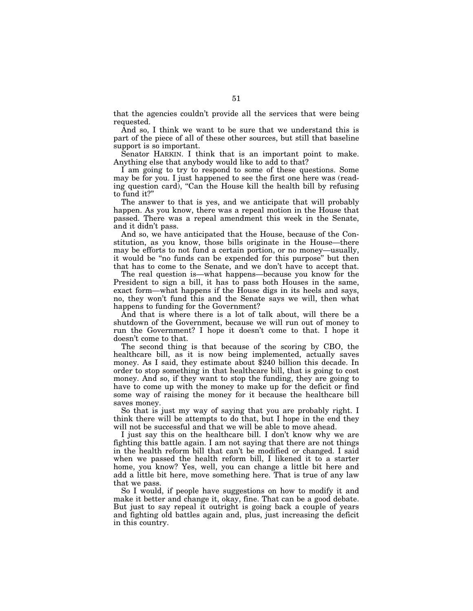that the agencies couldn't provide all the services that were being requested.

And so, I think we want to be sure that we understand this is part of the piece of all of these other sources, but still that baseline support is so important.

Senator HARKIN. I think that is an important point to make. Anything else that anybody would like to add to that?

I am going to try to respond to some of these questions. Some may be for you. I just happened to see the first one here was (reading question card), "Can the House kill the health bill by refusing to fund it?''

The answer to that is yes, and we anticipate that will probably happen. As you know, there was a repeal motion in the House that passed. There was a repeal amendment this week in the Senate, and it didn't pass.

And so, we have anticipated that the House, because of the Constitution, as you know, those bills originate in the House—there may be efforts to not fund a certain portion, or no money—usually, it would be ''no funds can be expended for this purpose'' but then that has to come to the Senate, and we don't have to accept that.

The real question is—what happens—because you know for the President to sign a bill, it has to pass both Houses in the same, exact form—what happens if the House digs in its heels and says, no, they won't fund this and the Senate says we will, then what happens to funding for the Government?

And that is where there is a lot of talk about, will there be a shutdown of the Government, because we will run out of money to run the Government? I hope it doesn't come to that. I hope it doesn't come to that.

The second thing is that because of the scoring by CBO, the healthcare bill, as it is now being implemented, actually saves money. As I said, they estimate about \$240 billion this decade. In order to stop something in that healthcare bill, that is going to cost money. And so, if they want to stop the funding, they are going to have to come up with the money to make up for the deficit or find some way of raising the money for it because the healthcare bill saves money.

So that is just my way of saying that you are probably right. I think there will be attempts to do that, but I hope in the end they will not be successful and that we will be able to move ahead.

I just say this on the healthcare bill. I don't know why we are fighting this battle again. I am not saying that there are not things in the health reform bill that can't be modified or changed. I said when we passed the health reform bill, I likened it to a starter home, you know? Yes, well, you can change a little bit here and add a little bit here, move something here. That is true of any law that we pass.

So I would, if people have suggestions on how to modify it and make it better and change it, okay, fine. That can be a good debate. But just to say repeal it outright is going back a couple of years and fighting old battles again and, plus, just increasing the deficit in this country.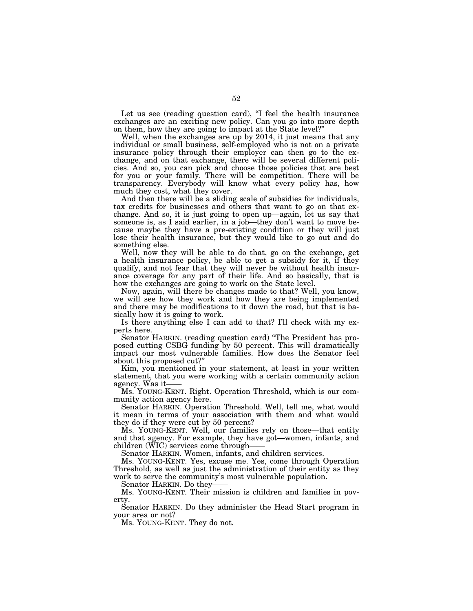Let us see (reading question card), "I feel the health insurance exchanges are an exciting new policy. Can you go into more depth on them, how they are going to impact at the State level?''

Well, when the exchanges are up by 2014, it just means that any individual or small business, self-employed who is not on a private insurance policy through their employer can then go to the exchange, and on that exchange, there will be several different policies. And so, you can pick and choose those policies that are best for you or your family. There will be competition. There will be transparency. Everybody will know what every policy has, how much they cost, what they cover.

And then there will be a sliding scale of subsidies for individuals, tax credits for businesses and others that want to go on that exchange. And so, it is just going to open up—again, let us say that someone is, as I said earlier, in a job—they don't want to move because maybe they have a pre-existing condition or they will just lose their health insurance, but they would like to go out and do something else.

Well, now they will be able to do that, go on the exchange, get a health insurance policy, be able to get a subsidy for it, if they qualify, and not fear that they will never be without health insurance coverage for any part of their life. And so basically, that is how the exchanges are going to work on the State level.

Now, again, will there be changes made to that? Well, you know, we will see how they work and how they are being implemented and there may be modifications to it down the road, but that is basically how it is going to work.

Is there anything else I can add to that? I'll check with my experts here.

Senator HARKIN. (reading question card) ''The President has proposed cutting CSBG funding by 50 percent. This will dramatically impact our most vulnerable families. How does the Senator feel about this proposed cut?''

Kim, you mentioned in your statement, at least in your written statement, that you were working with a certain community action agency. Was it-

Ms. YOUNG-KENT. Right. Operation Threshold, which is our community action agency here.

Senator HARKIN. Operation Threshold. Well, tell me, what would it mean in terms of your association with them and what would they do if they were cut by 50 percent?

Ms. YOUNG-KENT. Well, our families rely on those—that entity and that agency. For example, they have got—women, infants, and children (WIC) services come through——

Senator HARKIN. Women, infants, and children services.

Ms. YOUNG-KENT. Yes, excuse me. Yes, come through Operation Threshold, as well as just the administration of their entity as they work to serve the community's most vulnerable population.

Senator HARKIN. Do they-

Ms. YOUNG-KENT. Their mission is children and families in poverty.

Senator HARKIN. Do they administer the Head Start program in your area or not?

Ms. YOUNG-KENT. They do not.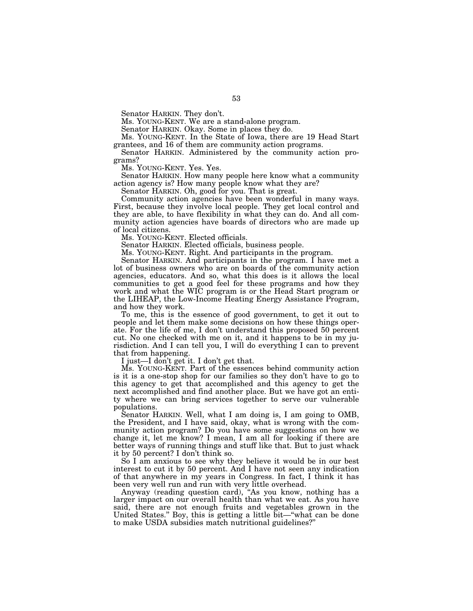Senator HARKIN. They don't.

Ms. YOUNG-KENT. We are a stand-alone program.

Senator HARKIN. Okay. Some in places they do.

Ms. YOUNG-KENT. In the State of Iowa, there are 19 Head Start grantees, and 16 of them are community action programs.

Senator HARKIN. Administered by the community action programs?

Ms. YOUNG-KENT. Yes. Yes.

Senator HARKIN. How many people here know what a community action agency is? How many people know what they are?

Senator HARKIN. Oh, good for you. That is great.

Community action agencies have been wonderful in many ways. First, because they involve local people. They get local control and they are able, to have flexibility in what they can do. And all community action agencies have boards of directors who are made up of local citizens.

Ms. YOUNG-KENT. Elected officials.

Senator HARKIN. Elected officials, business people.

Ms. YOUNG-KENT. Right. And participants in the program.

Senator HARKIN. And participants in the program. I have met a lot of business owners who are on boards of the community action agencies, educators. And so, what this does is it allows the local communities to get a good feel for these programs and how they work and what the WIC program is or the Head Start program or the LIHEAP, the Low-Income Heating Energy Assistance Program, and how they work.

To me, this is the essence of good government, to get it out to people and let them make some decisions on how these things operate. For the life of me, I don't understand this proposed 50 percent cut. No one checked with me on it, and it happens to be in my jurisdiction. And I can tell you, I will do everything I can to prevent that from happening.

I just—I don't get it. I don't get that.

Ms. YOUNG-KENT. Part of the essences behind community action is it is a one-stop shop for our families so they don't have to go to this agency to get that accomplished and this agency to get the next accomplished and find another place. But we have got an entity where we can bring services together to serve our vulnerable populations.

Senator HARKIN. Well, what I am doing is, I am going to OMB, the President, and I have said, okay, what is wrong with the community action program? Do you have some suggestions on how we change it, let me know? I mean, I am all for looking if there are better ways of running things and stuff like that. But to just whack it by 50 percent? I don't think so.

So I am anxious to see why they believe it would be in our best interest to cut it by 50 percent. And I have not seen any indication of that anywhere in my years in Congress. In fact, I think it has been very well run and run with very little overhead.

Anyway (reading question card), ''As you know, nothing has a larger impact on our overall health than what we eat. As you have said, there are not enough fruits and vegetables grown in the United States.'' Boy, this is getting a little bit—''what can be done to make USDA subsidies match nutritional guidelines?''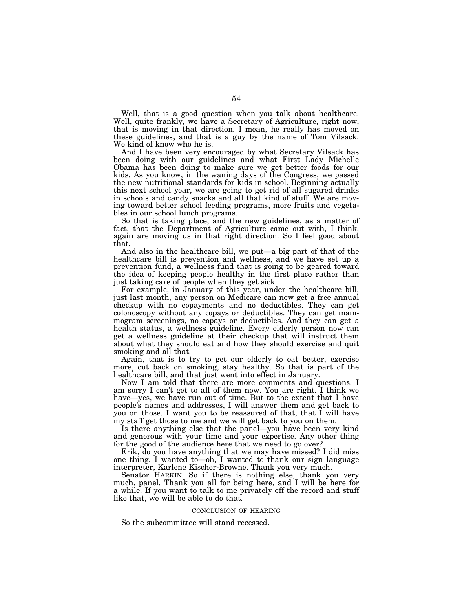Well, that is a good question when you talk about healthcare. Well, quite frankly, we have a Secretary of Agriculture, right now, that is moving in that direction. I mean, he really has moved on these guidelines, and that is a guy by the name of Tom Vilsack. We kind of know who he is.

And I have been very encouraged by what Secretary Vilsack has been doing with our guidelines and what First Lady Michelle Obama has been doing to make sure we get better foods for our kids. As you know, in the waning days of the Congress, we passed the new nutritional standards for kids in school. Beginning actually this next school year, we are going to get rid of all sugared drinks in schools and candy snacks and all that kind of stuff. We are moving toward better school feeding programs, more fruits and vegetables in our school lunch programs.

So that is taking place, and the new guidelines, as a matter of fact, that the Department of Agriculture came out with, I think, again are moving us in that right direction. So I feel good about that.

And also in the healthcare bill, we put—a big part of that of the healthcare bill is prevention and wellness, and we have set up a prevention fund, a wellness fund that is going to be geared toward the idea of keeping people healthy in the first place rather than just taking care of people when they get sick.

For example, in January of this year, under the healthcare bill, just last month, any person on Medicare can now get a free annual checkup with no copayments and no deductibles. They can get colonoscopy without any copays or deductibles. They can get mammogram screenings, no copays or deductibles. And they can get a health status, a wellness guideline. Every elderly person now can get a wellness guideline at their checkup that will instruct them about what they should eat and how they should exercise and quit smoking and all that.

Again, that is to try to get our elderly to eat better, exercise more, cut back on smoking, stay healthy. So that is part of the healthcare bill, and that just went into effect in January.

Now I am told that there are more comments and questions. I am sorry I can't get to all of them now. You are right. I think we have—yes, we have run out of time. But to the extent that I have people's names and addresses, I will answer them and get back to you on those. I want you to be reassured of that, that I will have my staff get those to me and we will get back to you on them.

Is there anything else that the panel—you have been very kind and generous with your time and your expertise. Any other thing for the good of the audience here that we need to go over?

Erik, do you have anything that we may have missed? I did miss one thing. I wanted to—oh, I wanted to thank our sign language interpreter, Karlene Kischer-Browne. Thank you very much.

Senator HARKIN. So if there is nothing else, thank you very much, panel. Thank you all for being here, and I will be here for a while. If you want to talk to me privately off the record and stuff like that, we will be able to do that.

## CONCLUSION OF HEARING

So the subcommittee will stand recessed.